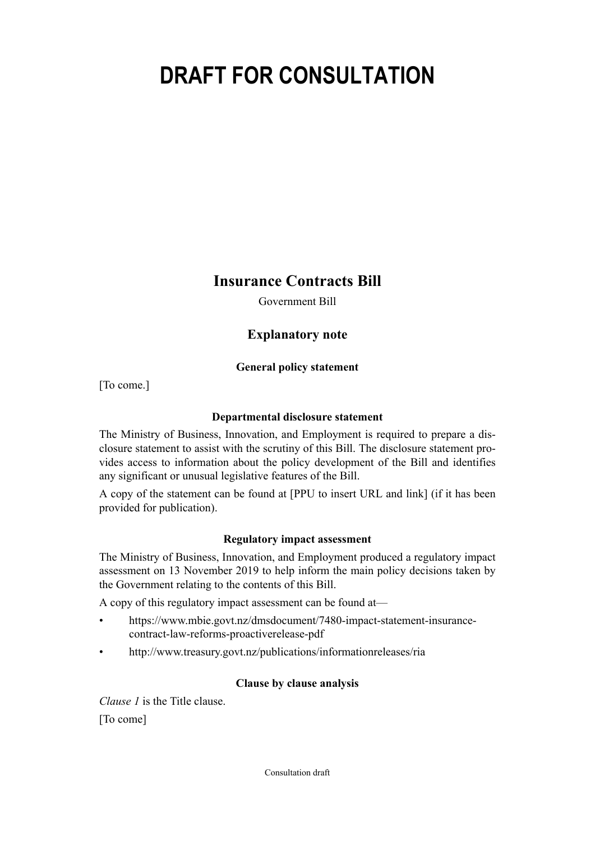# **DRAFT FOR CONSULTATION**

**Insurance Contracts Bill**

Government Bill

## **Explanatory note**

## **General policy statement**

[To come.]

## **Departmental disclosure statement**

The Ministry of Business, Innovation, and Employment is required to prepare a dis‐ closure statement to assist with the scrutiny of this Bill. The disclosure statement pro‐ vides access to information about the policy development of the Bill and identifies any significant or unusual legislative features of the Bill.

A copy of the statement can be found at [PPU to insert URL and link] (if it has been provided for publication).

## **Regulatory impact assessment**

The Ministry of Business, Innovation, and Employment produced a regulatory impact assessment on 13 November 2019 to help inform the main policy decisions taken by the Government relating to the contents of this Bill.

A copy of this regulatory impact assessment can be found at—

- https://www.mbie.govt.nz/dmsdocument/7480-impact-statement-insurancecontract-law-reforms-proactiverelease-pdf
- <http://www.treasury.govt.nz/publications/informationreleases/ria>

## **Clause by clause analysis**

*Clause 1* is the Title clause. [To come]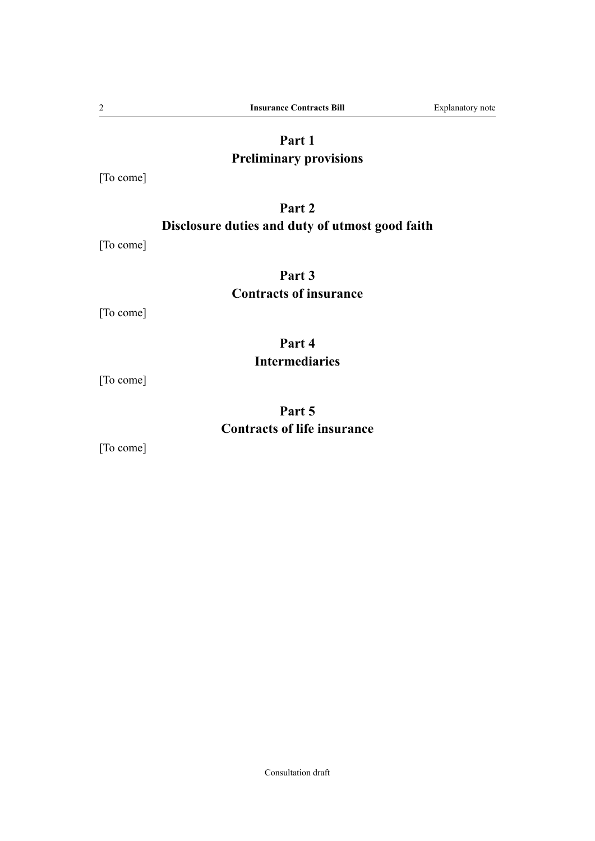## **Part 1**

## **Preliminary provisions**

[To come]

## **Part 2 Disclosure duties and duty of utmost good faith**

[To come]

## **Part 3 Contracts of insurance**

[To come]

## **Part 4 Intermediaries**

[To come]

## **Part 5 Contracts of life insurance**

[To come]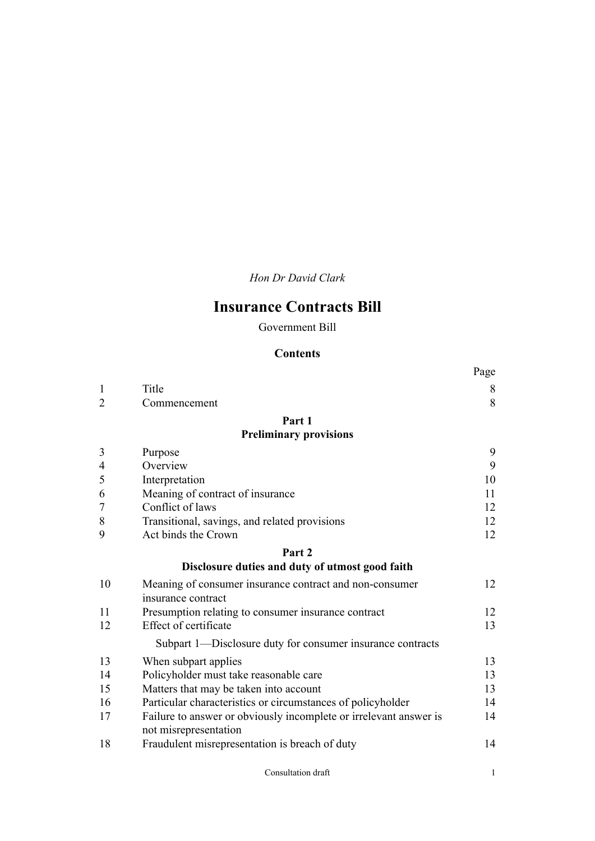*Hon Dr David Clark*

## **Insurance Contracts Bill**

Government Bill

## **Contents**

|                |                                                                                            | Page  |
|----------------|--------------------------------------------------------------------------------------------|-------|
| $\mathbf{1}$   | Title                                                                                      | $8\,$ |
| $\overline{2}$ | Commencement                                                                               | 8     |
|                | Part 1                                                                                     |       |
|                | <b>Preliminary provisions</b>                                                              |       |
| 3              | Purpose                                                                                    | 9     |
| $\overline{4}$ | Overview                                                                                   | 9     |
| 5              | Interpretation                                                                             | 10    |
| 6              | Meaning of contract of insurance                                                           | 11    |
| 7              | Conflict of laws                                                                           | 12    |
| 8              | Transitional, savings, and related provisions                                              | 12    |
| 9              | Act binds the Crown                                                                        | 12    |
|                | Part 2                                                                                     |       |
|                | Disclosure duties and duty of utmost good faith                                            |       |
| 10             | Meaning of consumer insurance contract and non-consumer                                    | 12    |
|                | insurance contract                                                                         |       |
| 11             | Presumption relating to consumer insurance contract                                        | 12    |
| 12             | Effect of certificate                                                                      | 13    |
|                | Subpart 1—Disclosure duty for consumer insurance contracts                                 |       |
| 13             | When subpart applies                                                                       | 13    |
| 14             | Policyholder must take reasonable care                                                     | 13    |
| 15             | Matters that may be taken into account                                                     | 13    |
| 16             | Particular characteristics or circumstances of policyholder                                | 14    |
| 17             | Failure to answer or obviously incomplete or irrelevant answer is<br>not misrepresentation | 14    |
| 18             | Fraudulent misrepresentation is breach of duty                                             | 14    |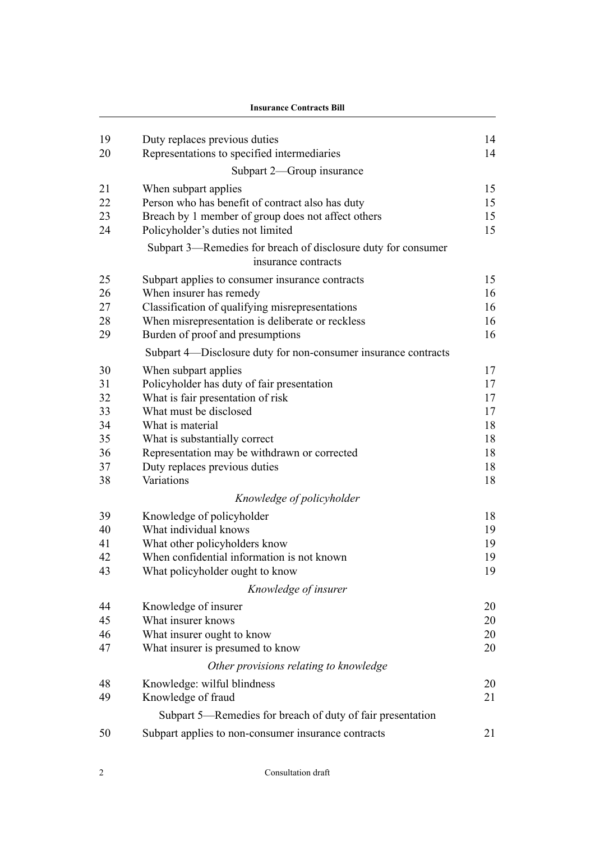|    | <b>Insurance Contracts Bill</b>                                                      |    |  |
|----|--------------------------------------------------------------------------------------|----|--|
| 19 | Duty replaces previous duties                                                        | 14 |  |
| 20 | Representations to specified intermediaries                                          | 14 |  |
|    | Subpart 2—Group insurance                                                            |    |  |
| 21 | When subpart applies                                                                 | 15 |  |
| 22 | Person who has benefit of contract also has duty                                     | 15 |  |
| 23 | Breach by 1 member of group does not affect others                                   | 15 |  |
| 24 | Policyholder's duties not limited                                                    | 15 |  |
|    | Subpart 3—Remedies for breach of disclosure duty for consumer<br>insurance contracts |    |  |
| 25 | Subpart applies to consumer insurance contracts                                      | 15 |  |
| 26 | When insurer has remedy                                                              | 16 |  |
| 27 | Classification of qualifying misrepresentations                                      | 16 |  |
| 28 | When misrepresentation is deliberate or reckless                                     | 16 |  |
| 29 | Burden of proof and presumptions                                                     | 16 |  |
|    | Subpart 4—Disclosure duty for non-consumer insurance contracts                       |    |  |
| 30 | When subpart applies                                                                 | 17 |  |
| 31 | Policyholder has duty of fair presentation                                           | 17 |  |
| 32 | What is fair presentation of risk                                                    | 17 |  |
| 33 | What must be disclosed                                                               | 17 |  |
| 34 | What is material                                                                     | 18 |  |
| 35 | What is substantially correct                                                        | 18 |  |
| 36 | Representation may be withdrawn or corrected                                         | 18 |  |
| 37 | Duty replaces previous duties                                                        | 18 |  |
| 38 | Variations                                                                           | 18 |  |
|    | Knowledge of policyholder                                                            |    |  |
| 39 | Knowledge of policyholder                                                            | 18 |  |
| 40 | What individual knows                                                                | 19 |  |
| 41 | What other policyholders know                                                        | 19 |  |
| 42 | When confidential information is not known                                           | 19 |  |
| 43 | What policyholder ought to know                                                      | 19 |  |
|    | Knowledge of insurer                                                                 |    |  |
| 44 | Knowledge of insurer                                                                 | 20 |  |
| 45 | What insurer knows                                                                   | 20 |  |
| 46 | What insurer ought to know                                                           | 20 |  |
| 47 | What insurer is presumed to know                                                     | 20 |  |
|    | Other provisions relating to knowledge                                               |    |  |
| 48 | Knowledge: wilful blindness                                                          | 20 |  |
| 49 | Knowledge of fraud                                                                   | 21 |  |
|    | Subpart 5—Remedies for breach of duty of fair presentation                           |    |  |
| 50 | Subpart applies to non-consumer insurance contracts                                  | 21 |  |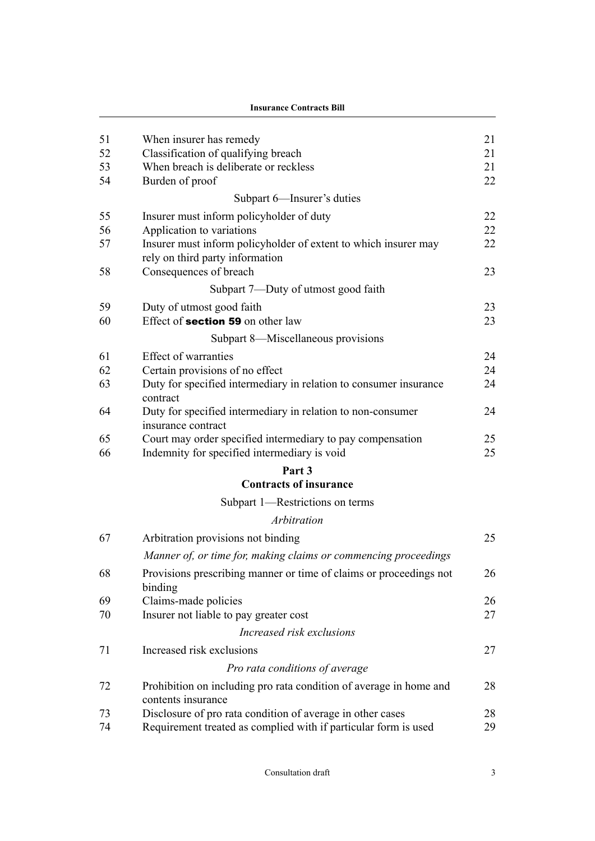**Insurance Contracts Bill**

| 51<br>52<br>53<br>54 | When insurer has remedy<br>Classification of qualifying breach<br>When breach is deliberate or reckless<br>Burden of proof   | 21<br>21<br>21<br>22 |
|----------------------|------------------------------------------------------------------------------------------------------------------------------|----------------------|
|                      | Subpart 6—Insurer's duties                                                                                                   |                      |
| 55<br>56             | Insurer must inform policyholder of duty<br>Application to variations                                                        | 22<br>22             |
| 57<br>58             | Insurer must inform policyholder of extent to which insurer may<br>rely on third party information<br>Consequences of breach | 22<br>23             |
|                      | Subpart 7—Duty of utmost good faith                                                                                          |                      |
| 59                   | Duty of utmost good faith                                                                                                    | 23                   |
| 60                   | Effect of <b>section 59</b> on other law                                                                                     | 23                   |
|                      | Subpart 8—Miscellaneous provisions                                                                                           |                      |
| 61                   | Effect of warranties                                                                                                         | 24                   |
| 62                   | Certain provisions of no effect                                                                                              | 24                   |
| 63                   | Duty for specified intermediary in relation to consumer insurance<br>contract                                                | 24                   |
| 64                   | Duty for specified intermediary in relation to non-consumer<br>insurance contract                                            | 24                   |
| 65<br>66             | Court may order specified intermediary to pay compensation<br>Indemnity for specified intermediary is void                   | 25<br>25             |
|                      | Part 3                                                                                                                       |                      |
|                      | <b>Contracts of insurance</b>                                                                                                |                      |
|                      | Subpart 1—Restrictions on terms                                                                                              |                      |
|                      | Arbitration                                                                                                                  |                      |
| 67                   | Arbitration provisions not binding                                                                                           | 25                   |
|                      | Manner of, or time for, making claims or commencing proceedings                                                              |                      |
| 68                   | Provisions prescribing manner or time of claims or proceedings not<br>binding                                                | 26                   |
| 69                   | Claims-made policies                                                                                                         | 26                   |
| 70                   | Insurer not liable to pay greater cost                                                                                       | 27                   |
|                      | Increased risk exclusions                                                                                                    |                      |
| 71                   | Increased risk exclusions                                                                                                    | 27                   |
|                      | Pro rata conditions of average                                                                                               |                      |
| 72                   | Prohibition on including pro rata condition of average in home and<br>contents insurance                                     | 28                   |
| 73                   | Disclosure of pro rata condition of average in other cases                                                                   | 28                   |
| 74                   | Requirement treated as complied with if particular form is used                                                              | 29                   |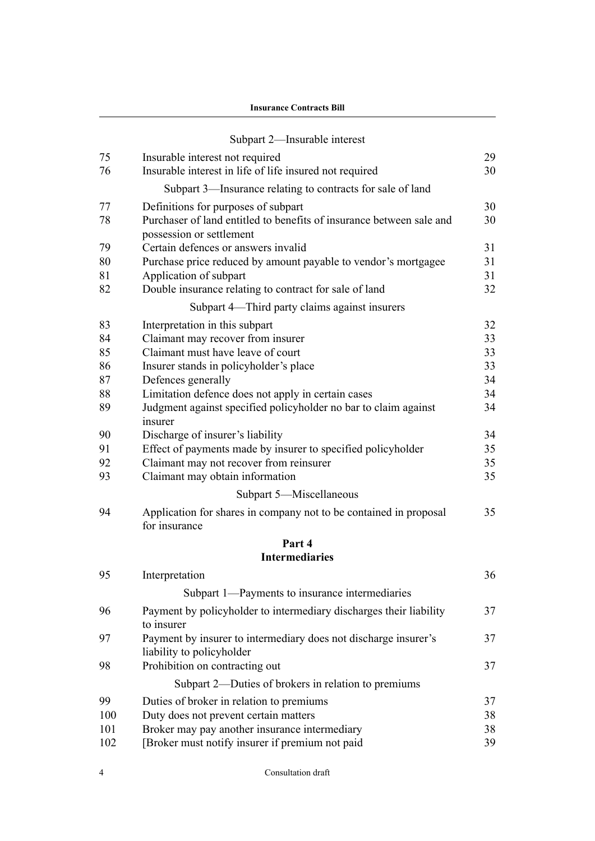**Insurance Contracts Bill**

|          | Subpart 2-Insurable interest                                                                     |          |
|----------|--------------------------------------------------------------------------------------------------|----------|
| 75       | Insurable interest not required                                                                  | 29       |
| 76       | Insurable interest in life of life insured not required                                          | 30       |
|          | Subpart 3-Insurance relating to contracts for sale of land                                       |          |
| 77       | Definitions for purposes of subpart                                                              | 30       |
| 78       | Purchaser of land entitled to benefits of insurance between sale and<br>possession or settlement | 30       |
| 79       | Certain defences or answers invalid                                                              | 31       |
| 80       | Purchase price reduced by amount payable to vendor's mortgagee                                   | 31       |
| 81<br>82 | Application of subpart<br>Double insurance relating to contract for sale of land                 | 31<br>32 |
|          |                                                                                                  |          |
|          | Subpart 4—Third party claims against insurers                                                    |          |
| 83<br>84 | Interpretation in this subpart                                                                   | 32       |
| 85       | Claimant may recover from insurer<br>Claimant must have leave of court                           | 33<br>33 |
| 86       | Insurer stands in policyholder's place                                                           | 33       |
| 87       | Defences generally                                                                               | 34       |
| 88       | Limitation defence does not apply in certain cases                                               | 34       |
| 89       | Judgment against specified policyholder no bar to claim against<br>insurer                       | 34       |
| 90       | Discharge of insurer's liability                                                                 | 34       |
| 91       | Effect of payments made by insurer to specified policyholder                                     | 35       |
| 92       | Claimant may not recover from reinsurer                                                          | 35       |
| 93       | Claimant may obtain information                                                                  | 35       |
|          | Subpart 5-Miscellaneous                                                                          |          |
| 94       | Application for shares in company not to be contained in proposal<br>for insurance               | 35       |
|          | Part 4                                                                                           |          |
|          | <b>Intermediaries</b>                                                                            |          |
| 95       | Interpretation                                                                                   | 36       |
|          | Subpart 1-Payments to insurance intermediaries                                                   |          |
| 96       | Payment by policyholder to intermediary discharges their liability<br>to insurer                 | 37       |
| 97       | Payment by insurer to intermediary does not discharge insurer's<br>liability to policyholder     | 37       |
| 98       | Prohibition on contracting out                                                                   | 37       |
|          | Subpart 2—Duties of brokers in relation to premiums                                              |          |
| 99       | Duties of broker in relation to premiums                                                         | 37       |
| 100      | Duty does not prevent certain matters                                                            | 38       |
| 101      | Broker may pay another insurance intermediary                                                    | 38       |
| 102      | [Broker must notify insurer if premium not paid                                                  | 39       |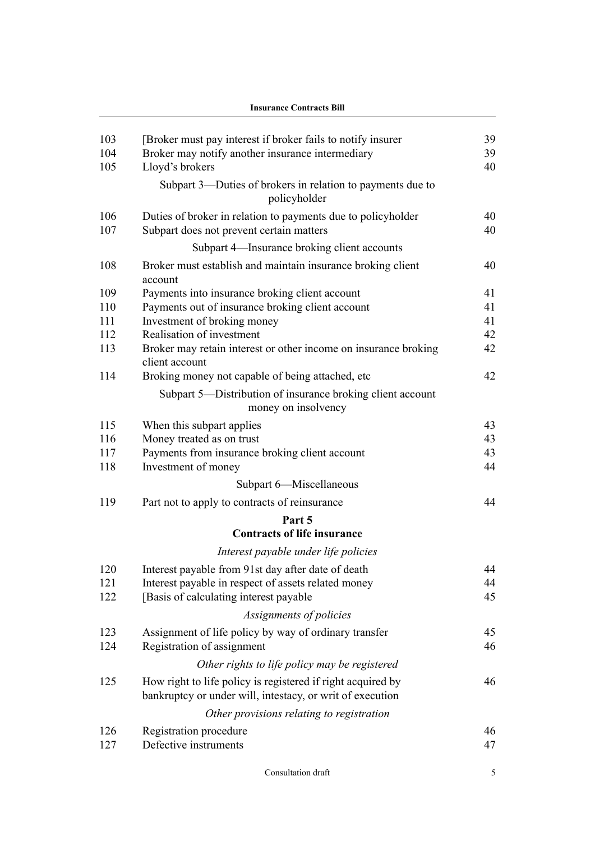| <b>Insurance Contracts Bill</b> |                                                                                                                          |    |
|---------------------------------|--------------------------------------------------------------------------------------------------------------------------|----|
| 103                             | [Broker must pay interest if broker fails to notify insurer                                                              | 39 |
| 104                             | Broker may notify another insurance intermediary                                                                         | 39 |
| 105                             | Lloyd's brokers                                                                                                          | 40 |
|                                 | Subpart 3-Duties of brokers in relation to payments due to<br>policyholder                                               |    |
| 106                             | Duties of broker in relation to payments due to policyholder                                                             | 40 |
| 107                             | Subpart does not prevent certain matters                                                                                 | 40 |
|                                 | Subpart 4—Insurance broking client accounts                                                                              |    |
| 108                             | Broker must establish and maintain insurance broking client                                                              | 40 |
|                                 | account                                                                                                                  |    |
| 109                             | Payments into insurance broking client account                                                                           | 41 |
| 110                             | Payments out of insurance broking client account                                                                         | 41 |
| 111                             | Investment of broking money                                                                                              | 41 |
| 112                             | Realisation of investment                                                                                                | 42 |
| 113                             | Broker may retain interest or other income on insurance broking<br>client account                                        | 42 |
| 114                             | Broking money not capable of being attached, etc                                                                         | 42 |
|                                 | Subpart 5—Distribution of insurance broking client account<br>money on insolvency                                        |    |
| 115                             | When this subpart applies                                                                                                | 43 |
| 116                             | Money treated as on trust                                                                                                | 43 |
| 117                             | Payments from insurance broking client account                                                                           | 43 |
| 118                             | Investment of money                                                                                                      | 44 |
|                                 | Subpart 6-Miscellaneous                                                                                                  |    |
| 119                             | Part not to apply to contracts of reinsurance                                                                            | 44 |
|                                 | Part 5                                                                                                                   |    |
|                                 | <b>Contracts of life insurance</b>                                                                                       |    |
|                                 | Interest payable under life policies                                                                                     |    |
| 120                             | Interest payable from 91st day after date of death                                                                       | 44 |
| 121                             | Interest payable in respect of assets related money                                                                      | 44 |
| 122                             | [Basis of calculating interest payable                                                                                   | 45 |
|                                 | Assignments of policies                                                                                                  |    |
| 123                             | Assignment of life policy by way of ordinary transfer                                                                    | 45 |
| 124                             | Registration of assignment                                                                                               | 46 |
|                                 | Other rights to life policy may be registered                                                                            |    |
| 125                             | How right to life policy is registered if right acquired by<br>bankruptcy or under will, intestacy, or writ of execution | 46 |
|                                 | Other provisions relating to registration                                                                                |    |
|                                 |                                                                                                                          |    |
| 126                             | Registration procedure                                                                                                   | 46 |
| 127                             | Defective instruments                                                                                                    | 47 |

Consultation draft 5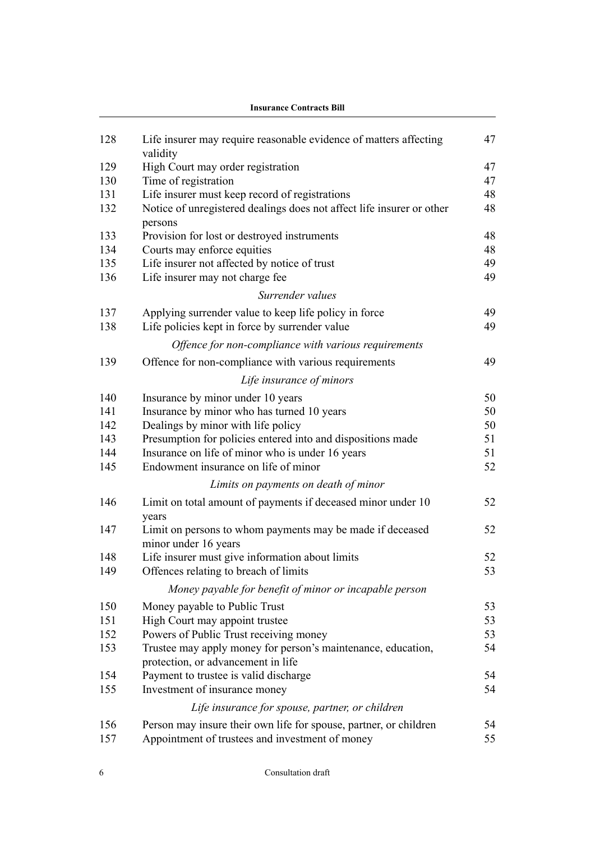|     | <b>Insurance Contracts Bill</b>                                                                    |    |  |
|-----|----------------------------------------------------------------------------------------------------|----|--|
| 128 | Life insurer may require reasonable evidence of matters affecting<br>validity                      | 47 |  |
| 129 | High Court may order registration                                                                  | 47 |  |
| 130 | Time of registration                                                                               | 47 |  |
| 131 | Life insurer must keep record of registrations                                                     | 48 |  |
| 132 | Notice of unregistered dealings does not affect life insurer or other<br>persons                   | 48 |  |
| 133 | Provision for lost or destroyed instruments                                                        | 48 |  |
| 134 | Courts may enforce equities                                                                        | 48 |  |
| 135 | Life insurer not affected by notice of trust                                                       | 49 |  |
| 136 | Life insurer may not charge fee                                                                    | 49 |  |
|     | Surrender values                                                                                   |    |  |
| 137 | Applying surrender value to keep life policy in force                                              | 49 |  |
| 138 | Life policies kept in force by surrender value                                                     | 49 |  |
|     | Offence for non-compliance with various requirements                                               |    |  |
| 139 | Offence for non-compliance with various requirements                                               | 49 |  |
|     | Life insurance of minors                                                                           |    |  |
| 140 | Insurance by minor under 10 years                                                                  | 50 |  |
| 141 | Insurance by minor who has turned 10 years                                                         | 50 |  |
| 142 | Dealings by minor with life policy                                                                 | 50 |  |
| 143 | Presumption for policies entered into and dispositions made                                        | 51 |  |
| 144 | Insurance on life of minor who is under 16 years                                                   | 51 |  |
| 145 | Endowment insurance on life of minor                                                               | 52 |  |
|     | Limits on payments on death of minor                                                               |    |  |
| 146 | Limit on total amount of payments if deceased minor under 10<br>years                              | 52 |  |
| 147 | Limit on persons to whom payments may be made if deceased<br>minor under 16 years                  | 52 |  |
| 148 | Life insurer must give information about limits                                                    | 52 |  |
| 149 | Offences relating to breach of limits                                                              | 53 |  |
|     | Money payable for benefit of minor or incapable person                                             |    |  |
| 150 | Money payable to Public Trust                                                                      | 53 |  |
| 151 | High Court may appoint trustee                                                                     | 53 |  |
| 152 | Powers of Public Trust receiving money                                                             | 53 |  |
| 153 | Trustee may apply money for person's maintenance, education,<br>protection, or advancement in life | 54 |  |
| 154 | Payment to trustee is valid discharge                                                              | 54 |  |
| 155 | Investment of insurance money                                                                      | 54 |  |
|     | Life insurance for spouse, partner, or children                                                    |    |  |
| 156 | Person may insure their own life for spouse, partner, or children                                  | 54 |  |
| 157 | Appointment of trustees and investment of money                                                    | 55 |  |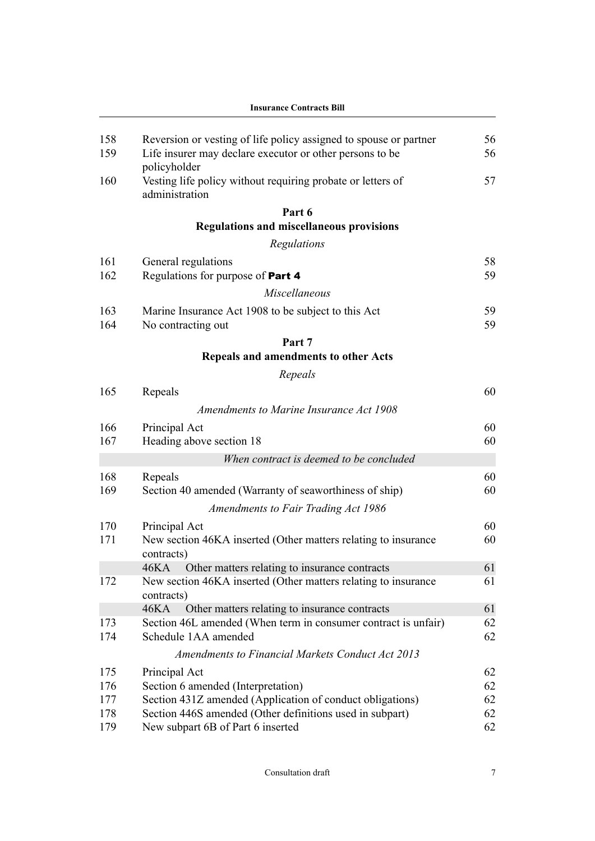|     | <b>Insurance Contracts Bill</b>                                                 |    |  |  |
|-----|---------------------------------------------------------------------------------|----|--|--|
| 158 | Reversion or vesting of life policy assigned to spouse or partner               | 56 |  |  |
| 159 | Life insurer may declare executor or other persons to be<br>policyholder        | 56 |  |  |
| 160 | Vesting life policy without requiring probate or letters of<br>administration   | 57 |  |  |
|     | Part 6                                                                          |    |  |  |
|     | <b>Regulations and miscellaneous provisions</b>                                 |    |  |  |
|     | Regulations                                                                     |    |  |  |
| 161 | General regulations                                                             | 58 |  |  |
| 162 | Regulations for purpose of Part 4                                               | 59 |  |  |
|     | Miscellaneous                                                                   |    |  |  |
| 163 | Marine Insurance Act 1908 to be subject to this Act                             | 59 |  |  |
| 164 | No contracting out                                                              | 59 |  |  |
|     | Part 7                                                                          |    |  |  |
|     | Repeals and amendments to other Acts                                            |    |  |  |
|     | Repeals                                                                         |    |  |  |
| 165 | Repeals                                                                         | 60 |  |  |
|     | Amendments to Marine Insurance Act 1908                                         |    |  |  |
| 166 | Principal Act                                                                   | 60 |  |  |
| 167 | Heading above section 18                                                        | 60 |  |  |
|     | When contract is deemed to be concluded                                         |    |  |  |
| 168 | Repeals                                                                         | 60 |  |  |
| 169 | Section 40 amended (Warranty of seaworthiness of ship)                          | 60 |  |  |
|     | <b>Amendments to Fair Trading Act 1986</b>                                      |    |  |  |
| 170 |                                                                                 | 60 |  |  |
| 171 | Principal Act<br>New section 46KA inserted (Other matters relating to insurance | 60 |  |  |
|     | contracts)                                                                      |    |  |  |
|     | 46KA<br>Other matters relating to insurance contracts                           | 61 |  |  |
| 172 | New section 46KA inserted (Other matters relating to insurance<br>contracts)    | 61 |  |  |
|     | 46KA<br>Other matters relating to insurance contracts                           | 61 |  |  |
| 173 | Section 46L amended (When term in consumer contract is unfair)                  | 62 |  |  |
| 174 | Schedule 1AA amended                                                            | 62 |  |  |
|     | <b>Amendments to Financial Markets Conduct Act 2013</b>                         |    |  |  |
| 175 | Principal Act                                                                   | 62 |  |  |
| 176 | Section 6 amended (Interpretation)                                              | 62 |  |  |
| 177 | Section 431Z amended (Application of conduct obligations)                       | 62 |  |  |
| 178 | Section 446S amended (Other definitions used in subpart)                        | 62 |  |  |
| 179 | New subpart 6B of Part 6 inserted                                               | 62 |  |  |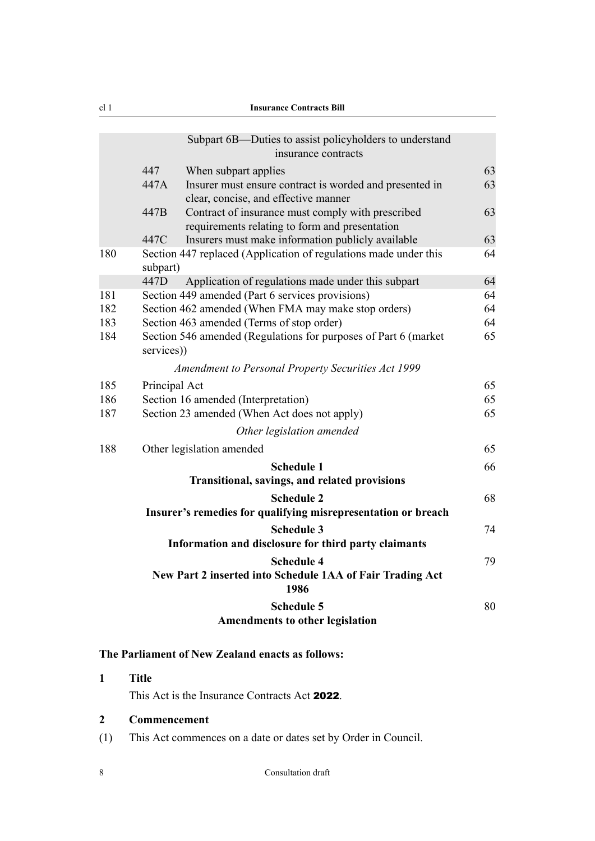<span id="page-9-0"></span>

|     |               | Subpart 6B—Duties to assist policyholders to understand<br>insurance contracts                      |    |
|-----|---------------|-----------------------------------------------------------------------------------------------------|----|
|     | 447           | When subpart applies                                                                                | 63 |
|     | 447A          | Insurer must ensure contract is worded and presented in<br>clear, concise, and effective manner     | 63 |
|     | 447B          | Contract of insurance must comply with prescribed<br>requirements relating to form and presentation | 63 |
|     | 447C          | Insurers must make information publicly available                                                   | 63 |
| 180 | subpart)      | Section 447 replaced (Application of regulations made under this                                    | 64 |
|     | 447D          | Application of regulations made under this subpart                                                  | 64 |
| 181 |               | Section 449 amended (Part 6 services provisions)                                                    | 64 |
| 182 |               | Section 462 amended (When FMA may make stop orders)                                                 | 64 |
| 183 |               | Section 463 amended (Terms of stop order)                                                           | 64 |
| 184 | services))    | Section 546 amended (Regulations for purposes of Part 6 (market                                     | 65 |
|     |               | Amendment to Personal Property Securities Act 1999                                                  |    |
| 185 | Principal Act |                                                                                                     | 65 |
| 186 |               | Section 16 amended (Interpretation)                                                                 | 65 |
| 187 |               | Section 23 amended (When Act does not apply)                                                        | 65 |
|     |               | Other legislation amended                                                                           |    |
| 188 |               | Other legislation amended                                                                           | 65 |
|     |               | <b>Schedule 1</b>                                                                                   | 66 |
|     |               | Transitional, savings, and related provisions                                                       |    |
|     |               | <b>Schedule 2</b>                                                                                   | 68 |
|     |               | Insurer's remedies for qualifying misrepresentation or breach                                       |    |
|     |               | <b>Schedule 3</b>                                                                                   | 74 |
|     |               | Information and disclosure for third party claimants                                                |    |
|     |               | <b>Schedule 4</b>                                                                                   | 79 |
|     |               | New Part 2 inserted into Schedule 1AA of Fair Trading Act<br>1986                                   |    |
|     |               | <b>Schedule 5</b>                                                                                   | 80 |
|     |               | <b>Amendments to other legislation</b>                                                              |    |
|     |               |                                                                                                     |    |

## **The Parliament of New Zealand enacts as follows:**

## **1 Title**

This Act is the Insurance Contracts Act 2022.

## **2 Commencement**

(1) This Act commences on a date or dates set by Order in Council.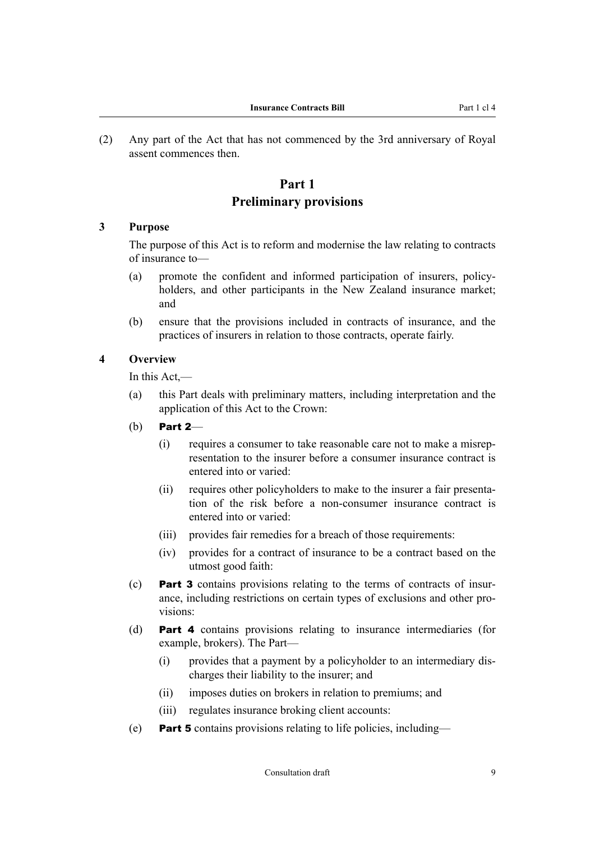<span id="page-10-0"></span>(2) Any part of the Act that has not commenced by the 3rd anniversary of Royal assent commences then.

## **Part 1 Preliminary provisions**

#### **3 Purpose**

The purpose of this Act is to reform and modernise the law relating to contracts of insurance to—

- (a) promote the confident and informed participation of insurers, policy‐ holders, and other participants in the New Zealand insurance market; and
- (b) ensure that the provisions included in contracts of insurance, and the practices of insurers in relation to those contracts, operate fairly.

#### **4 Overview**

In this Act,—

- (a) this Part deals with preliminary matters, including interpretation and the application of this Act to the Crown:
- (b) Part 2—
	- (i) requires a consumer to take reasonable care not to make a misrep‐ resentation to the insurer before a consumer insurance contract is entered into or varied:
	- (ii) requires other policyholders to make to the insurer a fair presentation of the risk before a non-consumer insurance contract is entered into or varied:
	- (iii) provides fair remedies for a breach of those requirements:
	- (iv) provides for a contract of insurance to be a contract based on the utmost good faith:
- (c) Part 3 contains provisions relating to the terms of contracts of insur‐ ance, including restrictions on certain types of exclusions and other provisions:
- (d) Part 4 contains provisions relating to insurance intermediaries (for example, brokers). The Part—
	- (i) provides that a payment by a policyholder to an intermediary dis‐ charges their liability to the insurer; and
	- (ii) imposes duties on brokers in relation to premiums; and
	- (iii) regulates insurance broking client accounts:
- (e) **Part 5** contains provisions relating to life policies, including—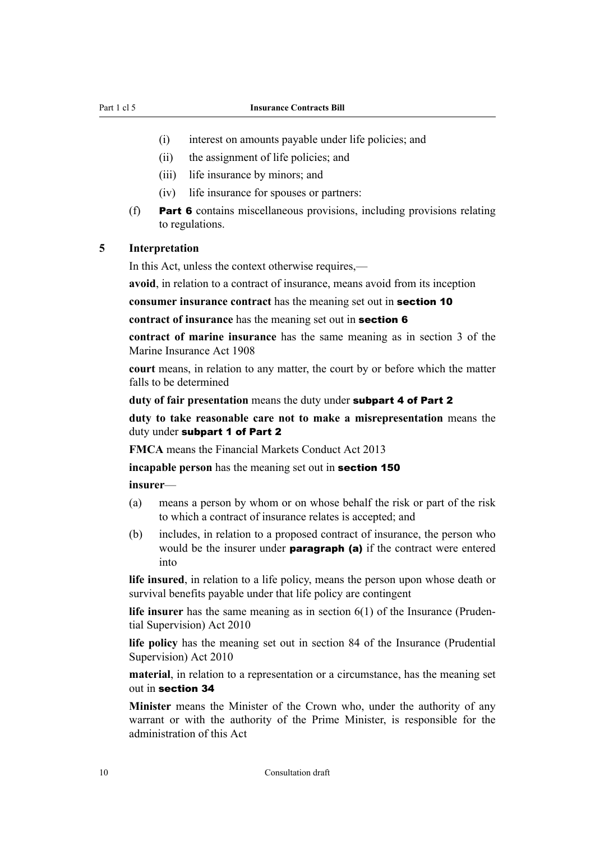#### <span id="page-11-0"></span>Part 1 cl 5 **Insurance Contracts Bill**

- (i) interest on amounts payable under life policies; and
- (ii) the assignment of life policies; and
- (iii) life insurance by minors; and
- (iv) life insurance for spouses or partners:
- (f) Part 6 contains miscellaneous provisions, including provisions relating to regulations.

### **5 Interpretation**

In this Act, unless the context otherwise requires,—

**avoid**, in relation to a contract of insurance, means avoid from its inception

**consumer insurance contract** has the meaning set out in [section 10](#page-13-0)

```
contract of insurance has the meaning set out in section 6
```
**contract of marine insurance** has the same meaning as in section 3 of the Marine Insurance Act 1908

**court** means, in relation to any matter, the court by or before which the matter falls to be determined

**duty of fair presentation** means the duty under [subpart 4](#page-18-0) of Part 2

**duty to take reasonable care not to make a misrepresentation** means the duty under [subpart 1](#page-14-0) of Part 2

**FMCA** means the Financial Markets Conduct Act 2013

**incapable person** has the meaning set out in **[section 150](#page-54-0)** 

**insurer**—

- (a) means a person by whom or on whose behalf the risk or part of the risk to which a contract of insurance relates is accepted; and
- (b) includes, in relation to a proposed contract of insurance, the person who would be the insurer under **paragraph** (a) if the contract were entered into

**life insured**, in relation to a life policy, means the person upon whose death or survival benefits payable under that life policy are contingent

**life insurer** has the same meaning as in section 6(1) of the Insurance (Pruden‐ tial Supervision) Act 2010

**life policy** has the meaning set out in section 84 of the Insurance (Prudential Supervision) Act 2010

**material**, in relation to a representation or a circumstance, has the meaning set out in [section 34](#page-19-0)

**Minister** means the Minister of the Crown who, under the authority of any warrant or with the authority of the Prime Minister, is responsible for the administration of this Act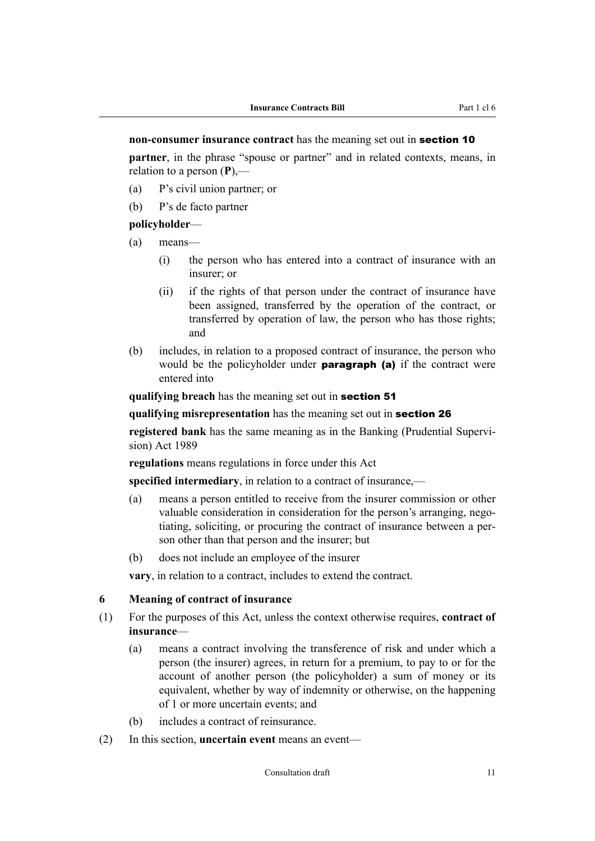#### <span id="page-12-0"></span>**non-consumer insurance contract** has the meaning set out in [section 10](#page-13-0)

**partner**, in the phrase "spouse or partner" and in related contexts, means, in relation to a person (**P**),—

- (a) P's civil union partner; or
- (b) P's de facto partner

#### **policyholder**—

- (a) means—
	- (i) the person who has entered into a contract of insurance with an insurer; or
	- (ii) if the rights of that person under the contract of insurance have been assigned, transferred by the operation of the contract, or transferred by operation of law, the person who has those rights; and
- (b) includes, in relation to a proposed contract of insurance, the person who would be the policyholder under **paragraph** (a) if the contract were entered into

**qualifying breach** has the meaning set out in [section 51](#page-22-0)

#### **qualifying misrepresentation** has the meaning set out in [section 26](#page-17-0)

**registered bank** has the same meaning as in the Banking (Prudential Supervision) Act 1989

**regulations** means regulations in force under this Act

**specified intermediary**, in relation to a contract of insurance,—

- (a) means a person entitled to receive from the insurer commission or other valuable consideration in consideration for the person's arranging, negotiating, soliciting, or procuring the contract of insurance between a per‐ son other than that person and the insurer; but
- (b) does not include an employee of the insurer

**vary**, in relation to a contract, includes to extend the contract.

#### **6 Meaning of contract of insurance**

- (1) For the purposes of this Act, unless the context otherwise requires, **contract of insurance**—
	- (a) means a contract involving the transference of risk and under which a person (the insurer) agrees, in return for a premium, to pay to or for the account of another person (the policyholder) a sum of money or its equivalent, whether by way of indemnity or otherwise, on the happening of 1 or more uncertain events; and
	- (b) includes a contract of reinsurance.
- (2) In this section, **uncertain event** means an event—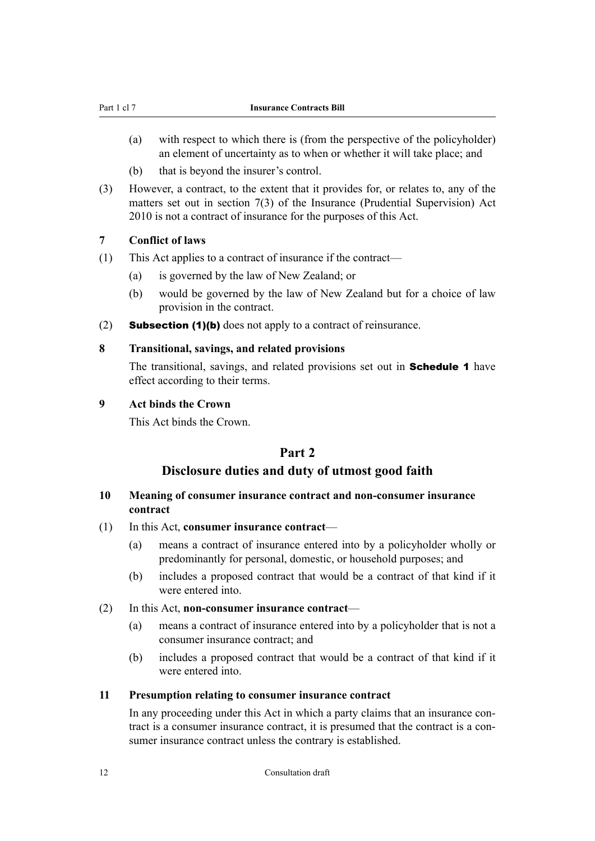- <span id="page-13-0"></span>(a) with respect to which there is (from the perspective of the policyholder) an element of uncertainty as to when or whether it will take place; and
- (b) that is beyond the insurer's control.
- (3) However, a contract, to the extent that it provides for, or relates to, any of the matters set out in section 7(3) of the Insurance (Prudential Supervision) Act 2010 is not a contract of insurance for the purposes of this Act.

## **7 Conflict of laws**

- (1) This Act applies to a contract of insurance if the contract—
	- (a) is governed by the law of New Zealand; or
	- (b) would be governed by the law of New Zealand but for a choice of law provision in the contract.
- (2) **Subsection (1)(b)** does not apply to a contract of reinsurance.

#### **8 Transitional, savings, and related provisions**

The transitional, savings, and related provisions set out in **Schedule 1** have effect according to their terms.

#### **9 Act binds the Crown**

This Act binds the Crown.

## **Part 2**

## **Disclosure duties and duty of utmost good faith**

#### **10 Meaning of consumer insurance contract and non-consumer insurance contract**

- (1) In this Act, **consumer insurance contract**
	- (a) means a contract of insurance entered into by a policyholder wholly or predominantly for personal, domestic, or household purposes; and
	- (b) includes a proposed contract that would be a contract of that kind if it were entered into.
- (2) In this Act, **non-consumer insurance contract**
	- (a) means a contract of insurance entered into by a policyholder that is not a consumer insurance contract; and
	- (b) includes a proposed contract that would be a contract of that kind if it were entered into

#### **11 Presumption relating to consumer insurance contract**

In any proceeding under this Act in which a party claims that an insurance contract is a consumer insurance contract, it is presumed that the contract is a consumer insurance contract unless the contrary is established.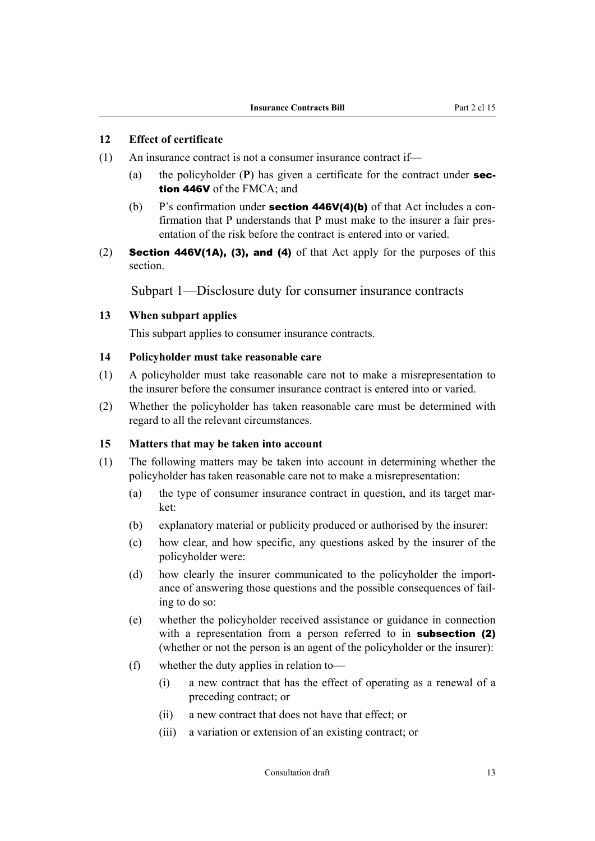## <span id="page-14-0"></span>**12 Effect of certificate**

- (1) An insurance contract is not a consumer insurance contract if—
	- (a) the policyholder (**P**) has given a certificate for the contract under section 446V of the FMCA; and
	- (b) P's confirmation under **section 446V(4)(b)** of that Act includes a confirmation that P understands that P must make to the insurer a fair presentation of the risk before the contract is entered into or varied.
- (2) Section 446V(1A), (3), and (4) of that Act apply for the purposes of this section.

Subpart 1—Disclosure duty for consumer insurance contracts

#### **13 When subpart applies**

This subpart applies to consumer insurance contracts.

#### **14 Policyholder must take reasonable care**

- (1) A policyholder must take reasonable care not to make a misrepresentation to the insurer before the consumer insurance contract is entered into or varied.
- (2) Whether the policyholder has taken reasonable care must be determined with regard to all the relevant circumstances.

#### **15 Matters that may be taken into account**

- (1) The following matters may be taken into account in determining whether the policyholder has taken reasonable care not to make a misrepresentation:
	- (a) the type of consumer insurance contract in question, and its target market:
	- (b) explanatory material or publicity produced or authorised by the insurer:
	- (c) how clear, and how specific, any questions asked by the insurer of the policyholder were:
	- (d) how clearly the insurer communicated to the policyholder the import‐ ance of answering those questions and the possible consequences of fail‐ ing to do so:
	- (e) whether the policyholder received assistance or guidance in connection with a representation from a person referred to in **subsection** (2) (whether or not the person is an agent of the policyholder or the insurer):
	- (f) whether the duty applies in relation to—
		- (i) a new contract that has the effect of operating as a renewal of a preceding contract; or
		- (ii) a new contract that does not have that effect; or
		- (iii) a variation or extension of an existing contract; or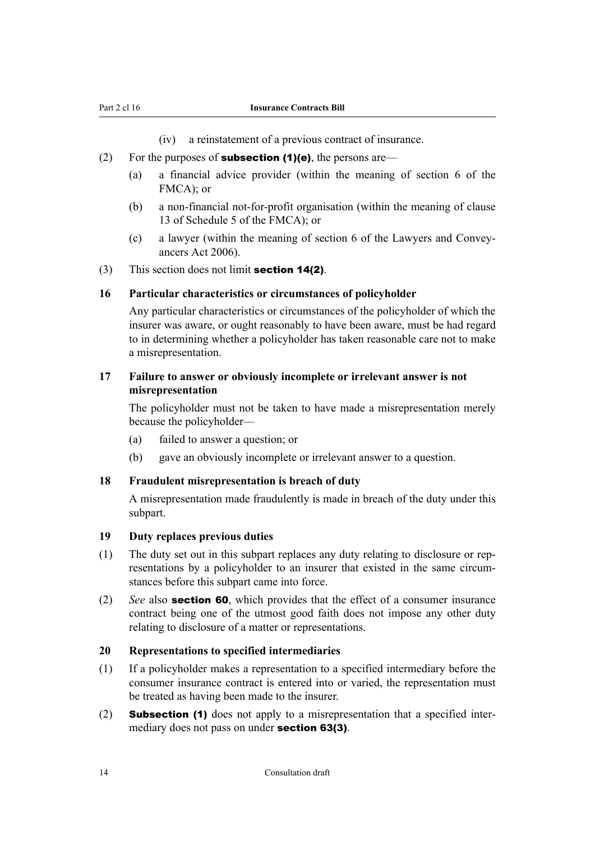<span id="page-15-0"></span>

(iv) a reinstatement of a previous contract of insurance.

- (2) For the purposes of **subsection (1)(e)**, the persons are—
	- (a) a financial advice provider (within the meaning of section 6 of the FMCA); or
	- (b) a non-financial not-for-profit organisation (within the meaning of clause 13 of Schedule 5 of the FMCA); or
	- (c) a lawyer (within the meaning of section 6 of the Lawyers and Convey‐ ancers Act 2006).
- (3) This section does not limit **[section 14\(2\)](#page-14-0)**.

#### **16 Particular characteristics or circumstances of policyholder**

Any particular characteristics or circumstances of the policyholder of which the insurer was aware, or ought reasonably to have been aware, must be had regard to in determining whether a policyholder has taken reasonable care not to make a misrepresentation.

## **17 Failure to answer or obviously incomplete or irrelevant answer is not misrepresentation**

The policyholder must not be taken to have made a misrepresentation merely because the policyholder—

- (a) failed to answer a question; or
- (b) gave an obviously incomplete or irrelevant answer to a question.

#### **18 Fraudulent misrepresentation is breach of duty**

A misrepresentation made fraudulently is made in breach of the duty under this subpart.

#### **19 Duty replaces previous duties**

- (1) The duty set out in this subpart replaces any duty relating to disclosure or rep‐ resentations by a policyholder to an insurer that existed in the same circumstances before this subpart came into force.
- (2) *See* also [section 60](#page-24-0), which provides that the effect of a consumer insurance contract being one of the utmost good faith does not impose any other duty relating to disclosure of a matter or representations.

#### **20 Representations to specified intermediaries**

- (1) If a policyholder makes a representation to a specified intermediary before the consumer insurance contract is entered into or varied, the representation must be treated as having been made to the insurer.
- (2) **Subsection (1)** does not apply to a misrepresentation that a specified intermediary does not pass on under **[section 63\(3\)](#page-25-0)**.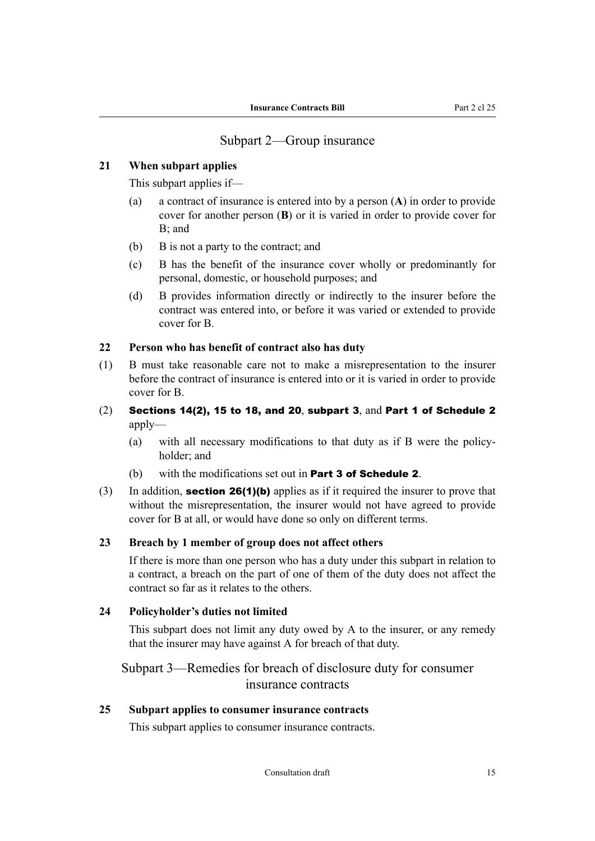## Subpart 2—Group insurance

## <span id="page-16-0"></span>**21 When subpart applies**

This subpart applies if—

- (a) a contract of insurance is entered into by a person (**A**) in order to provide cover for another person (**B**) or it is varied in order to provide cover for B; and
- (b) B is not a party to the contract; and
- (c) B has the benefit of the insurance cover wholly or predominantly for personal, domestic, or household purposes; and
- (d) B provides information directly or indirectly to the insurer before the contract was entered into, or before it was varied or extended to provide cover for B.

## **22 Person who has benefit of contract also has duty**

- (1) B must take reasonable care not to make a misrepresentation to the insurer before the contract of insurance is entered into or it is varied in order to provide cover for B.
- $(2)$  [Sections 14\(2\),](#page-14-0) [15](#page-14-0) to [18](#page-15-0), and [20](#page-15-0), subpart 3, and Part 1 of [Schedule 2](#page-69-0) apply—
	- (a) with all necessary modifications to that duty as if B were the policy‐ holder; and
	- (b) with the modifications set out in **Part 3 of [Schedule 2](#page-69-0).**
- (3) In addition, **[section 26\(1\)\(b\)](#page-17-0)** applies as if it required the insurer to prove that without the misrepresentation, the insurer would not have agreed to provide cover for B at all, or would have done so only on different terms.

## **23 Breach by 1 member of group does not affect others**

If there is more than one person who has a duty under this subpart in relation to a contract, a breach on the part of one of them of the duty does not affect the contract so far as it relates to the others.

#### **24 Policyholder's duties not limited**

This subpart does not limit any duty owed by A to the insurer, or any remedy that the insurer may have against A for breach of that duty.

## Subpart 3—Remedies for breach of disclosure duty for consumer insurance contracts

#### **25 Subpart applies to consumer insurance contracts**

This subpart applies to consumer insurance contracts.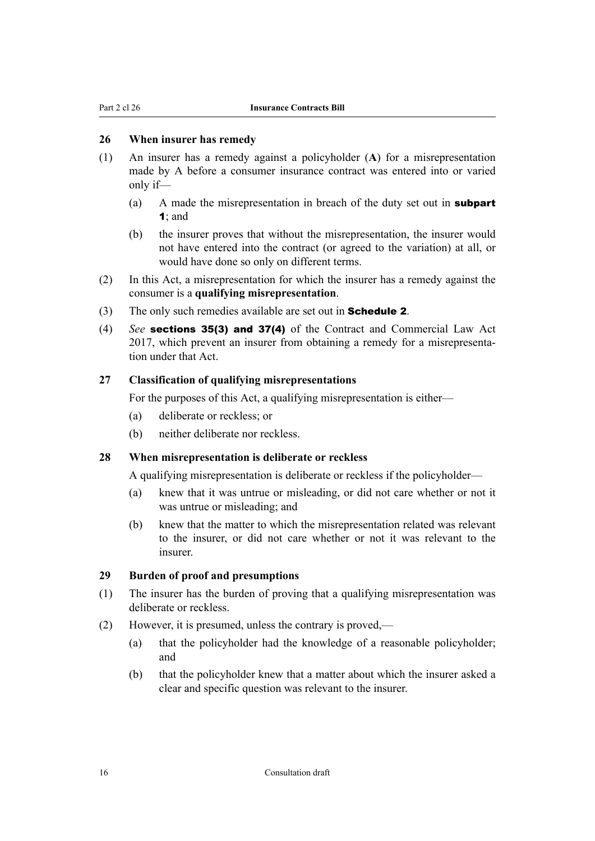## <span id="page-17-0"></span>**26 When insurer has remedy**

- (1) An insurer has a remedy against a policyholder (**A**) for a misrepresentation made by A before a consumer insurance contract was entered into or varied only if—
	- (a) A made the misrepresentation in breach of the duty set out in **[subpart](#page-14-0)** [1](#page-14-0); and
	- (b) the insurer proves that without the misrepresentation, the insurer would not have entered into the contract (or agreed to the variation) at all, or would have done so only on different terms.
- (2) In this Act, a misrepresentation for which the insurer has a remedy against the consumer is a **qualifying misrepresentation**.
- (3) The only such remedies available are set out in **[Schedule 2](#page-69-0)**.
- (4) *See* sections 35(3) and 37(4) of the Contract and Commercial Law Act 2017, which prevent an insurer from obtaining a remedy for a misrepresenta‐ tion under that Act.

#### **27 Classification of qualifying misrepresentations**

For the purposes of this Act, a qualifying misrepresentation is either—

- (a) deliberate or reckless; or
- (b) neither deliberate nor reckless.

#### **28 When misrepresentation is deliberate or reckless**

A qualifying misrepresentation is deliberate or reckless if the policyholder—

- (a) knew that it was untrue or misleading, or did not care whether or not it was untrue or misleading; and
- (b) knew that the matter to which the misrepresentation related was relevant to the insurer, or did not care whether or not it was relevant to the insurer.

## **29 Burden of proof and presumptions**

- (1) The insurer has the burden of proving that a qualifying misrepresentation was deliberate or reckless.
- (2) However, it is presumed, unless the contrary is proved,—
	- (a) that the policyholder had the knowledge of a reasonable policyholder; and
	- (b) that the policyholder knew that a matter about which the insurer asked a clear and specific question was relevant to the insurer.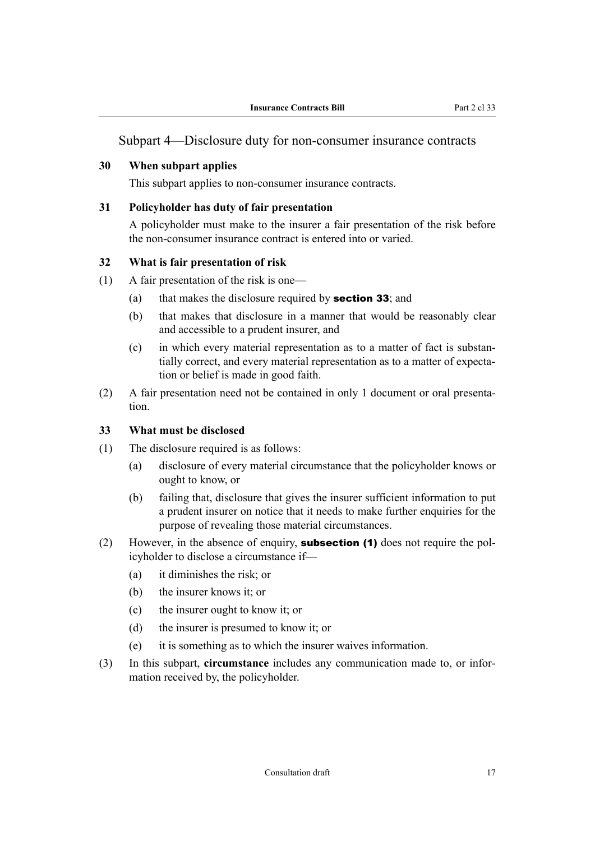## <span id="page-18-0"></span>**30 When subpart applies**

This subpart applies to non-consumer insurance contracts.

#### **31 Policyholder has duty of fair presentation**

A policyholder must make to the insurer a fair presentation of the risk before the non-consumer insurance contract is entered into or varied.

#### **32 What is fair presentation of risk**

- (1) A fair presentation of the risk is one—
	- (a) that makes the disclosure required by **section 33**; and
	- (b) that makes that disclosure in a manner that would be reasonably clear and accessible to a prudent insurer, and
	- (c) in which every material representation as to a matter of fact is substan‐ tially correct, and every material representation as to a matter of expecta‐ tion or belief is made in good faith.
- (2) A fair presentation need not be contained in only 1 document or oral presenta‐ tion.

#### **33 What must be disclosed**

- (1) The disclosure required is as follows:
	- (a) disclosure of every material circumstance that the policyholder knows or ought to know, or
	- (b) failing that, disclosure that gives the insurer sufficient information to put a prudent insurer on notice that it needs to make further enquiries for the purpose of revealing those material circumstances.
- (2) However, in the absence of enquiry, **subsection (1)** does not require the policyholder to disclose a circumstance if—
	- (a) it diminishes the risk; or
	- (b) the insurer knows it; or
	- (c) the insurer ought to know it; or
	- (d) the insurer is presumed to know it; or
	- (e) it is something as to which the insurer waives information.
- (3) In this subpart, **circumstance** includes any communication made to, or infor‐ mation received by, the policyholder.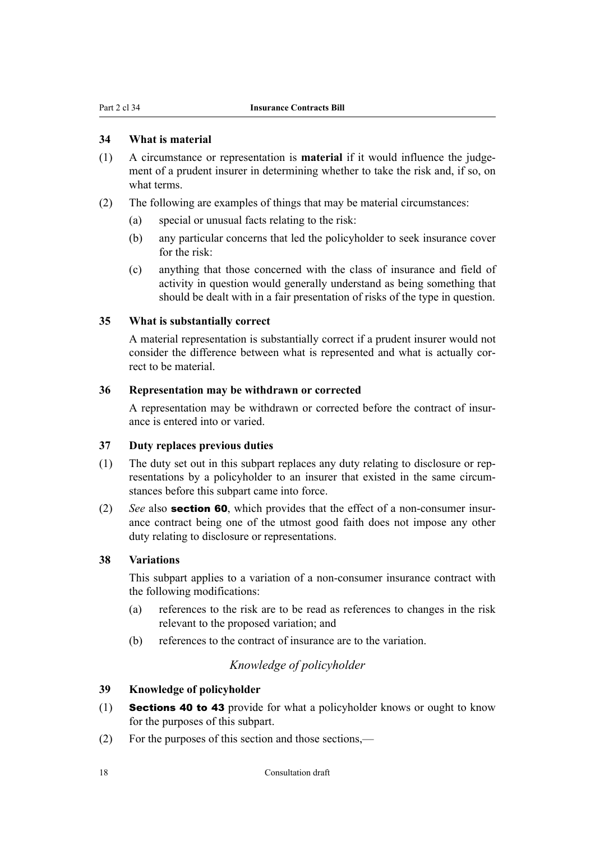#### <span id="page-19-0"></span>**34 What is material**

- (1) A circumstance or representation is **material** if it would influence the judge‐ ment of a prudent insurer in determining whether to take the risk and, if so, on what terms.
- (2) The following are examples of things that may be material circumstances:
	- (a) special or unusual facts relating to the risk:
	- (b) any particular concerns that led the policyholder to seek insurance cover for the risk:
	- (c) anything that those concerned with the class of insurance and field of activity in question would generally understand as being something that should be dealt with in a fair presentation of risks of the type in question.

#### **35 What is substantially correct**

A material representation is substantially correct if a prudent insurer would not consider the difference between what is represented and what is actually correct to be material.

### **36 Representation may be withdrawn or corrected**

A representation may be withdrawn or corrected before the contract of insur‐ ance is entered into or varied.

#### **37 Duty replaces previous duties**

- (1) The duty set out in this subpart replaces any duty relating to disclosure or rep‐ resentations by a policyholder to an insurer that existed in the same circumstances before this subpart came into force.
- (2) *See* also **[section 60](#page-24-0)**, which provides that the effect of a non-consumer insurance contract being one of the utmost good faith does not impose any other duty relating to disclosure or representations.

#### **38 Variations**

This subpart applies to a variation of a non-consumer insurance contract with the following modifications:

- (a) references to the risk are to be read as references to changes in the risk relevant to the proposed variation; and
- (b) references to the contract of insurance are to the variation.

## *Knowledge of policyholder*

#### **39 Knowledge of policyholder**

- (1) [Sections 40](#page-20-0) to [43](#page-20-0) provide for what a policyholder knows or ought to know for the purposes of this subpart.
- (2) For the purposes of this section and those sections,—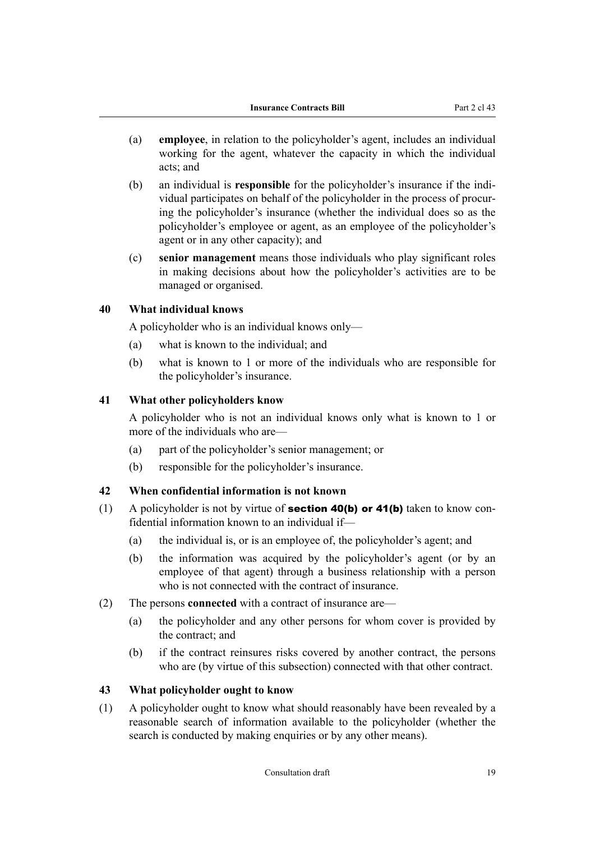- <span id="page-20-0"></span>(a) **employee**, in relation to the policyholder's agent, includes an individual working for the agent, whatever the capacity in which the individual acts; and
- (b) an individual is **responsible** for the policyholder's insurance if the individual participates on behalf of the policyholder in the process of procur‐ ing the policyholder's insurance (whether the individual does so as the policyholder's employee or agent, as an employee of the policyholder's agent or in any other capacity); and
- (c) **senior management** means those individuals who play significant roles in making decisions about how the policyholder's activities are to be managed or organised.

#### **40 What individual knows**

A policyholder who is an individual knows only—

- (a) what is known to the individual; and
- (b) what is known to 1 or more of the individuals who are responsible for the policyholder's insurance.

## **41 What other policyholders know**

A policyholder who is not an individual knows only what is known to 1 or more of the individuals who are—

- (a) part of the policyholder's senior management; or
- (b) responsible for the policyholder's insurance.

#### **42 When confidential information is not known**

- (1) A policyholder is not by virtue of **section 40(b) or 41(b)** taken to know confidential information known to an individual if—
	- (a) the individual is, or is an employee of, the policyholder's agent; and
	- (b) the information was acquired by the policyholder's agent (or by an employee of that agent) through a business relationship with a person who is not connected with the contract of insurance.
- (2) The persons **connected** with a contract of insurance are—
	- (a) the policyholder and any other persons for whom cover is provided by the contract; and
	- (b) if the contract reinsures risks covered by another contract, the persons who are (by virtue of this subsection) connected with that other contract.

#### **43 What policyholder ought to know**

(1) A policyholder ought to know what should reasonably have been revealed by a reasonable search of information available to the policyholder (whether the search is conducted by making enquiries or by any other means).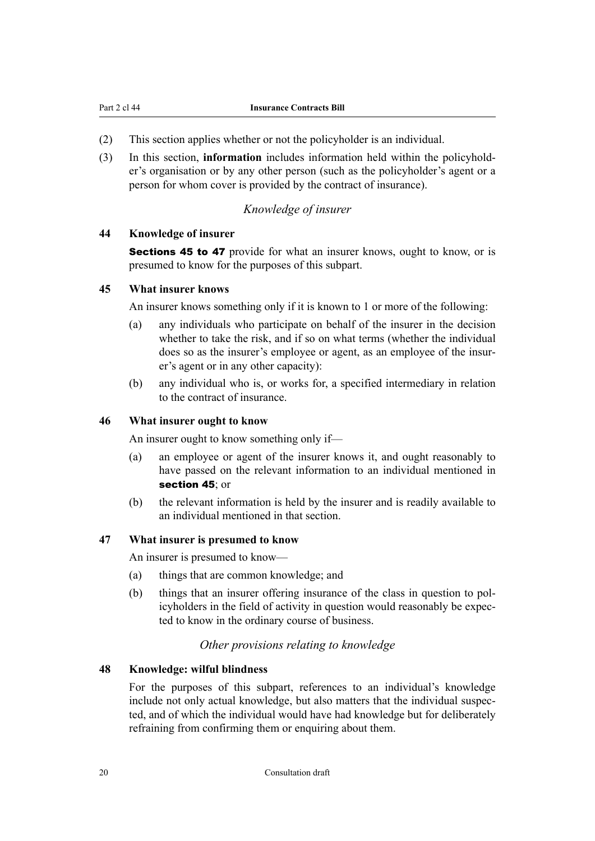- <span id="page-21-0"></span>(2) This section applies whether or not the policyholder is an individual.
- (3) In this section, **information** includes information held within the policyhold‐ er's organisation or by any other person (such as the policyholder's agent or a person for whom cover is provided by the contract of insurance).

## *Knowledge of insurer*

#### **44 Knowledge of insurer**

**Sections 45 to 47** provide for what an insurer knows, ought to know, or is presumed to know for the purposes of this subpart.

#### **45 What insurer knows**

An insurer knows something only if it is known to 1 or more of the following:

- (a) any individuals who participate on behalf of the insurer in the decision whether to take the risk, and if so on what terms (whether the individual does so as the insurer's employee or agent, as an employee of the insur‐ er's agent or in any other capacity):
- (b) any individual who is, or works for, a specified intermediary in relation to the contract of insurance.

#### **46 What insurer ought to know**

An insurer ought to know something only if—

- (a) an employee or agent of the insurer knows it, and ought reasonably to have passed on the relevant information to an individual mentioned in section 45; or
- (b) the relevant information is held by the insurer and is readily available to an individual mentioned in that section.

#### **47 What insurer is presumed to know**

An insurer is presumed to know—

- (a) things that are common knowledge; and
- (b) things that an insurer offering insurance of the class in question to pol‐ icyholders in the field of activity in question would reasonably be expec‐ ted to know in the ordinary course of business.

#### *Other provisions relating to knowledge*

#### **48 Knowledge: wilful blindness**

For the purposes of this subpart, references to an individual's knowledge include not only actual knowledge, but also matters that the individual suspected, and of which the individual would have had knowledge but for deliberately refraining from confirming them or enquiring about them.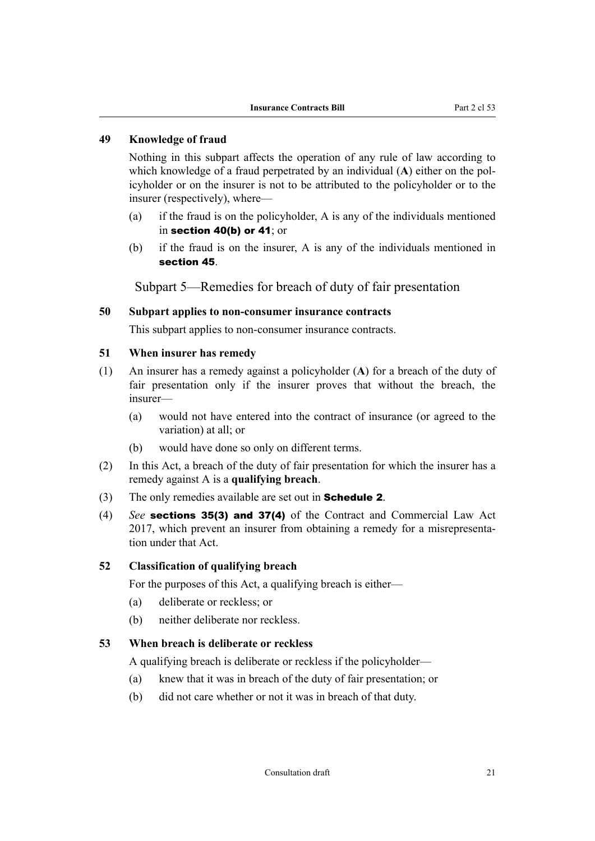## <span id="page-22-0"></span>**49 Knowledge of fraud**

Nothing in this subpart affects the operation of any rule of law according to which knowledge of a fraud perpetrated by an individual (A) either on the policyholder or on the insurer is not to be attributed to the policyholder or to the insurer (respectively), where—

- (a) if the fraud is on the policyholder, A is any of the individuals mentioned in [section 40\(b\)](#page-20-0) or [41](#page-20-0); or
- (b) if the fraud is on the insurer, A is any of the individuals mentioned in [section 45](#page-21-0).

Subpart 5—Remedies for breach of duty of fair presentation

#### **50 Subpart applies to non-consumer insurance contracts**

This subpart applies to non-consumer insurance contracts.

#### **51 When insurer has remedy**

- (1) An insurer has a remedy against a policyholder (**A**) for a breach of the duty of fair presentation only if the insurer proves that without the breach, the insurer—
	- (a) would not have entered into the contract of insurance (or agreed to the variation) at all; or
	- (b) would have done so only on different terms.
- (2) In this Act, a breach of the duty of fair presentation for which the insurer has a remedy against A is a **qualifying breach**.
- (3) The only remedies available are set out in [Schedule 2](#page-69-0).
- (4) *See* sections 35(3) and 37(4) of the Contract and Commercial Law Act 2017, which prevent an insurer from obtaining a remedy for a misrepresenta‐ tion under that Act.

#### **52 Classification of qualifying breach**

For the purposes of this Act, a qualifying breach is either—

- (a) deliberate or reckless; or
- (b) neither deliberate nor reckless.

#### **53 When breach is deliberate or reckless**

A qualifying breach is deliberate or reckless if the policyholder—

- (a) knew that it was in breach of the duty of fair presentation; or
- (b) did not care whether or not it was in breach of that duty.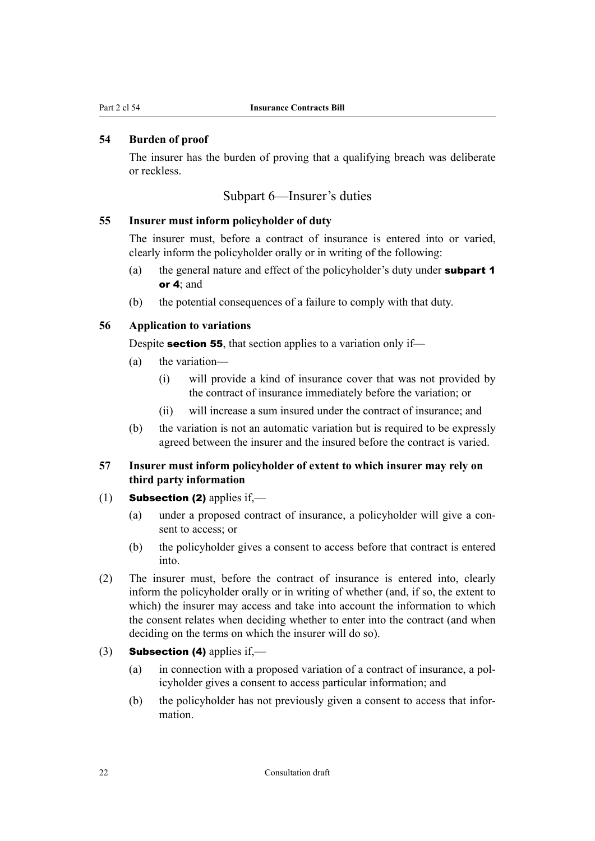## <span id="page-23-0"></span>**54 Burden of proof**

The insurer has the burden of proving that a qualifying breach was deliberate or reckless.

#### Subpart 6—Insurer's duties

#### **55 Insurer must inform policyholder of duty**

The insurer must, before a contract of insurance is entered into or varied, clearly inform the policyholder orally or in writing of the following:

- (a) the general nature and effect of the policyholder's duty under [subpart 1](#page-14-0) or [4](#page-18-0); and
- (b) the potential consequences of a failure to comply with that duty.

#### **56 Application to variations**

Despite **section 55**, that section applies to a variation only if—

- (a) the variation—
	- (i) will provide a kind of insurance cover that was not provided by the contract of insurance immediately before the variation; or
	- (ii) will increase a sum insured under the contract of insurance; and
- (b) the variation is not an automatic variation but is required to be expressly agreed between the insurer and the insured before the contract is varied.

## **57 Insurer must inform policyholder of extent to which insurer may rely on third party information**

- (1) **Subsection (2)** applies if.—
	- (a) under a proposed contract of insurance, a policyholder will give a consent to access; or
	- (b) the policyholder gives a consent to access before that contract is entered into.
- (2) The insurer must, before the contract of insurance is entered into, clearly inform the policyholder orally or in writing of whether (and, if so, the extent to which) the insurer may access and take into account the information to which the consent relates when deciding whether to enter into the contract (and when deciding on the terms on which the insurer will do so).
- (3) **Subsection (4)** applies if,—
	- (a) in connection with a proposed variation of a contract of insurance, a pol‐ icyholder gives a consent to access particular information; and
	- (b) the policyholder has not previously given a consent to access that infor‐ mation.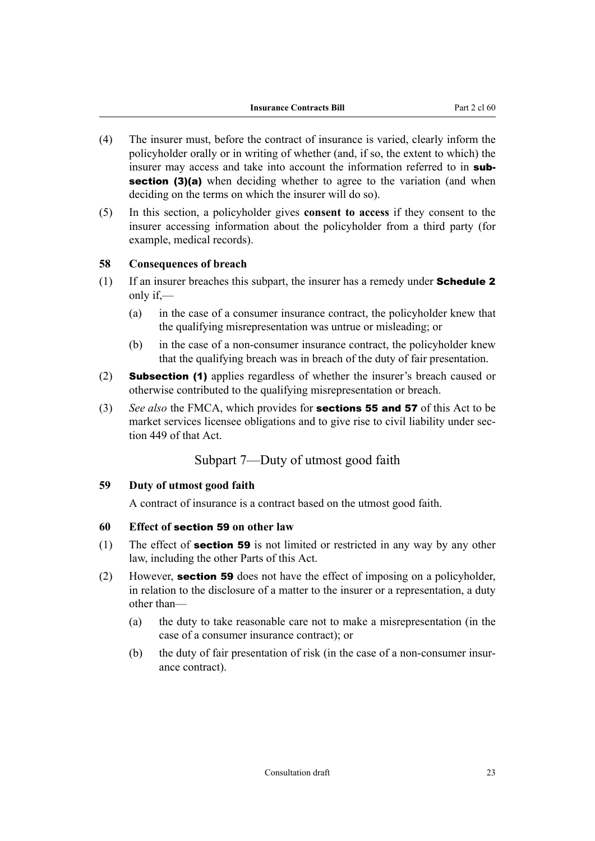- <span id="page-24-0"></span>(4) The insurer must, before the contract of insurance is varied, clearly inform the policyholder orally or in writing of whether (and, if so, the extent to which) the insurer may access and take into account the information referred to in sub**section (3)(a)** when deciding whether to agree to the variation (and when deciding on the terms on which the insurer will do so).
- (5) In this section, a policyholder gives **consent to access** if they consent to the insurer accessing information about the policyholder from a third party (for example, medical records).

#### **58 Consequences of breach**

- (1) If an insurer breaches this subpart, the insurer has a remedy under **Schedule 2** only if,—
	- (a) in the case of a consumer insurance contract, the policyholder knew that the qualifying misrepresentation was untrue or misleading; or
	- (b) in the case of a non-consumer insurance contract, the policyholder knew that the qualifying breach was in breach of the duty of fair presentation.
- (2) Subsection (1) applies regardless of whether the insurer's breach caused or otherwise contributed to the qualifying misrepresentation or breach.
- (3) *See also* the FMCA, which provides for [sections 55](#page-23-0) and [57](#page-23-0) of this Act to be market services licensee obligations and to give rise to civil liability under section 449 of that Act.

## Subpart 7—Duty of utmost good faith

#### **59 Duty of utmost good faith**

A contract of insurance is a contract based on the utmost good faith.

#### **60 Effect of** section 59 **on other law**

- (1) The effect of **section 59** is not limited or restricted in any way by any other law, including the other Parts of this Act.
- (2) However, section 59 does not have the effect of imposing on a policyholder, in relation to the disclosure of a matter to the insurer or a representation, a duty other than—
	- (a) the duty to take reasonable care not to make a misrepresentation (in the case of a consumer insurance contract); or
	- (b) the duty of fair presentation of risk (in the case of a non-consumer insurance contract).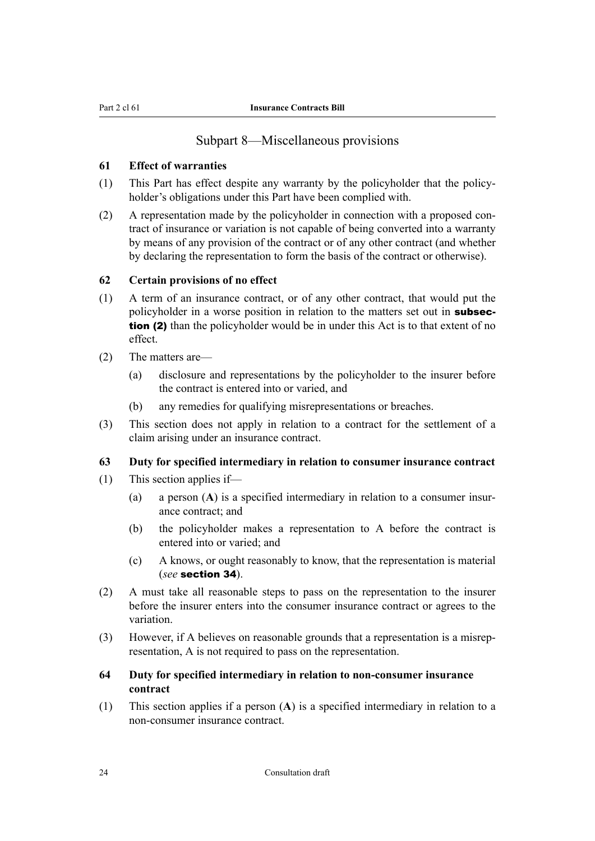## Subpart 8—Miscellaneous provisions

#### <span id="page-25-0"></span>**61 Effect of warranties**

- (1) This Part has effect despite any warranty by the policyholder that the policy‐ holder's obligations under this Part have been complied with.
- $(2)$  A representation made by the policyholder in connection with a proposed contract of insurance or variation is not capable of being converted into a warranty by means of any provision of the contract or of any other contract (and whether by declaring the representation to form the basis of the contract or otherwise).

#### **62 Certain provisions of no effect**

- (1) A term of an insurance contract, or of any other contract, that would put the policyholder in a worse position in relation to the matters set out in subsection (2) than the policyholder would be in under this Act is to that extent of no effect.
- (2) The matters are—
	- (a) disclosure and representations by the policyholder to the insurer before the contract is entered into or varied, and
	- (b) any remedies for qualifying misrepresentations or breaches.
- (3) This section does not apply in relation to a contract for the settlement of a claim arising under an insurance contract.

#### **63 Duty for specified intermediary in relation to consumer insurance contract**

- (1) This section applies if—
	- (a) a person  $(A)$  is a specified intermediary in relation to a consumer insurance contract; and
	- (b) the policyholder makes a representation to A before the contract is entered into or varied; and
	- (c) A knows, or ought reasonably to know, that the representation is material (*see* [section 34](#page-19-0)).
- (2) A must take all reasonable steps to pass on the representation to the insurer before the insurer enters into the consumer insurance contract or agrees to the variation.
- (3) However, if A believes on reasonable grounds that a representation is a misrep‐ resentation, A is not required to pass on the representation.

## **64 Duty for specified intermediary in relation to non-consumer insurance contract**

(1) This section applies if a person (**A**) is a specified intermediary in relation to a non-consumer insurance contract.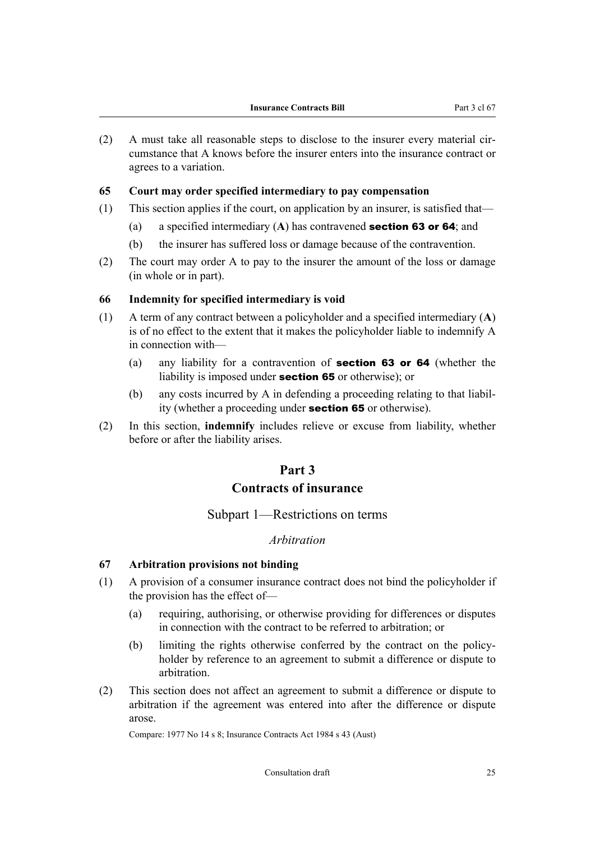<span id="page-26-0"></span> $(2)$  A must take all reasonable steps to disclose to the insurer every material circumstance that A knows before the insurer enters into the insurance contract or agrees to a variation.

#### **65 Court may order specified intermediary to pay compensation**

- (1) This section applies if the court, on application by an insurer, is satisfied that—
	- (a) a specified intermediary (**A**) has contravened [section 63](#page-25-0) or [64](#page-25-0); and
	- (b) the insurer has suffered loss or damage because of the contravention.
- (2) The court may order A to pay to the insurer the amount of the loss or damage (in whole or in part).

#### **66 Indemnity for specified intermediary is void**

- (1) A term of any contract between a policyholder and a specified intermediary (**A**) is of no effect to the extent that it makes the policyholder liable to indemnify A in connection with—
	- (a) any liability for a contravention of [section 63](#page-25-0) or [64](#page-25-0) (whether the liability is imposed under section 65 or otherwise); or
	- (b) any costs incurred by A in defending a proceeding relating to that liabil‐ ity (whether a proceeding under section 65 or otherwise).
- (2) In this section, **indemnify** includes relieve or excuse from liability, whether before or after the liability arises.

## **Part 3**

## **Contracts of insurance**

## Subpart 1—Restrictions on terms

#### *Arbitration*

#### **67 Arbitration provisions not binding**

- (1) A provision of a consumer insurance contract does not bind the policyholder if the provision has the effect of—
	- (a) requiring, authorising, or otherwise providing for differences or disputes in connection with the contract to be referred to arbitration; or
	- (b) limiting the rights otherwise conferred by the contract on the policyholder by reference to an agreement to submit a difference or dispute to arbitration.
- (2) This section does not affect an agreement to submit a difference or dispute to arbitration if the agreement was entered into after the difference or dispute arose.

Compare: 1977 No 14 s 8; Insurance Contracts Act 1984 s 43 (Aust)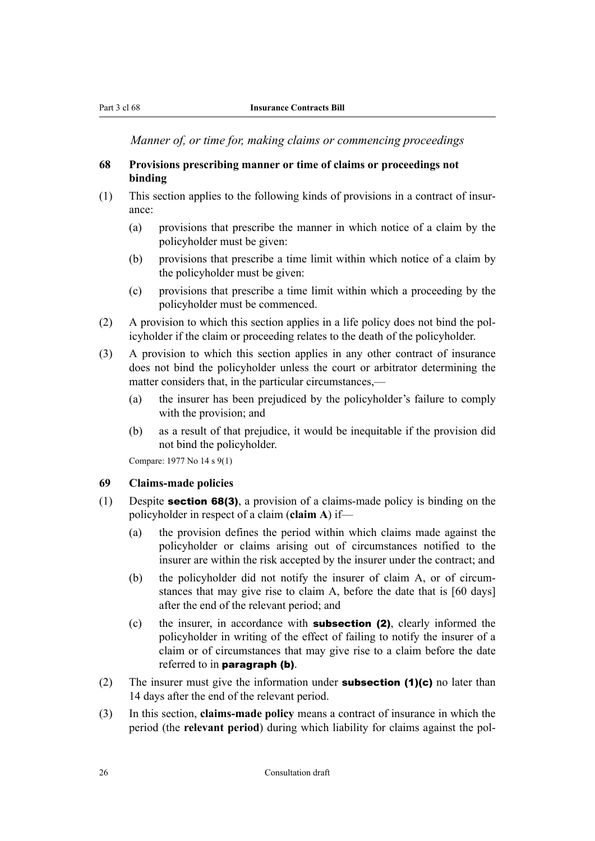<span id="page-27-0"></span>*Manner of, or time for, making claims or commencing proceedings*

### **68 Provisions prescribing manner or time of claims or proceedings not binding**

- (1) This section applies to the following kinds of provisions in a contract of insur‐ ance:
	- (a) provisions that prescribe the manner in which notice of a claim by the policyholder must be given:
	- (b) provisions that prescribe a time limit within which notice of a claim by the policyholder must be given:
	- (c) provisions that prescribe a time limit within which a proceeding by the policyholder must be commenced.
- (2) A provision to which this section applies in a life policy does not bind the pol‐ icyholder if the claim or proceeding relates to the death of the policyholder.
- (3) A provision to which this section applies in any other contract of insurance does not bind the policyholder unless the court or arbitrator determining the matter considers that, in the particular circumstances,—
	- (a) the insurer has been prejudiced by the policyholder's failure to comply with the provision; and
	- (b) as a result of that prejudice, it would be inequitable if the provision did not bind the policyholder.

Compare: 1977 No 14 s 9(1)

#### **69 Claims-made policies**

- (1) Despite **section 68(3)**, a provision of a claims-made policy is binding on the policyholder in respect of a claim (**claim A**) if—
	- (a) the provision defines the period within which claims made against the policyholder or claims arising out of circumstances notified to the insurer are within the risk accepted by the insurer under the contract; and
	- (b) the policyholder did not notify the insurer of claim A, or of circumstances that may give rise to claim A, before the date that is [60 days] after the end of the relevant period; and
	- (c) the insurer, in accordance with subsection (2), clearly informed the policyholder in writing of the effect of failing to notify the insurer of a claim or of circumstances that may give rise to a claim before the date referred to in **paragraph (b)**.
- (2) The insurer must give the information under **subsection (1)(c)** no later than 14 days after the end of the relevant period.
- (3) In this section, **claims-made policy** means a contract of insurance in which the period (the **relevant period**) during which liability for claims against the pol-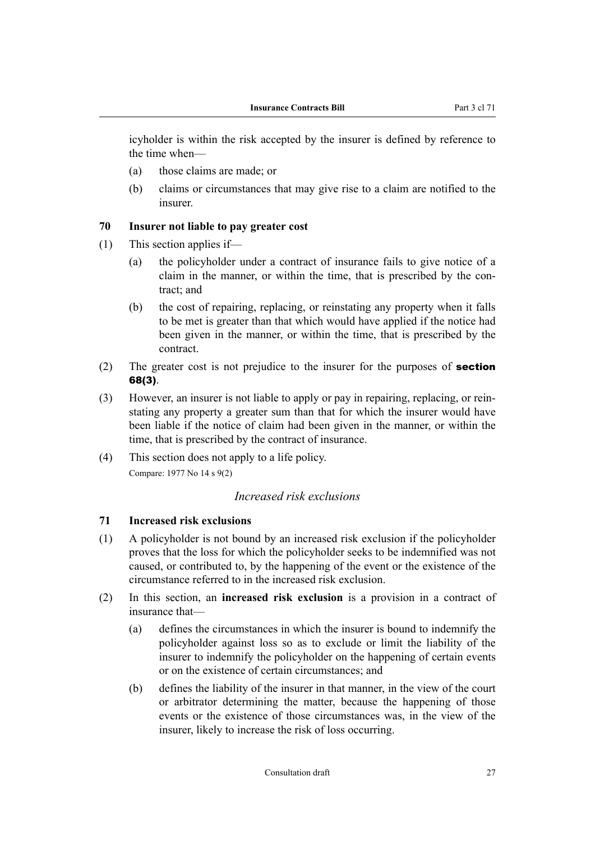<span id="page-28-0"></span>icyholder is within the risk accepted by the insurer is defined by reference to the time when—

- (a) those claims are made; or
- (b) claims or circumstances that may give rise to a claim are notified to the insurer.

#### **70 Insurer not liable to pay greater cost**

- (1) This section applies if—
	- (a) the policyholder under a contract of insurance fails to give notice of a claim in the manner, or within the time, that is prescribed by the contract; and
	- (b) the cost of repairing, replacing, or reinstating any property when it falls to be met is greater than that which would have applied if the notice had been given in the manner, or within the time, that is prescribed by the contract.
- (2) The greater cost is not prejudice to the insurer for the purposes of **[section](#page-27-0)** [68\(3\)](#page-27-0).
- (3) However, an insurer is not liable to apply or pay in repairing, replacing, or rein‐ stating any property a greater sum than that for which the insurer would have been liable if the notice of claim had been given in the manner, or within the time, that is prescribed by the contract of insurance.
- (4) This section does not apply to a life policy. Compare: 1977 No 14 s 9(2)

#### *Increased risk exclusions*

## **71 Increased risk exclusions**

- (1) A policyholder is not bound by an increased risk exclusion if the policyholder proves that the loss for which the policyholder seeks to be indemnified was not caused, or contributed to, by the happening of the event or the existence of the circumstance referred to in the increased risk exclusion.
- (2) In this section, an **increased risk exclusion** is a provision in a contract of insurance that—
	- (a) defines the circumstances in which the insurer is bound to indemnify the policyholder against loss so as to exclude or limit the liability of the insurer to indemnify the policyholder on the happening of certain events or on the existence of certain circumstances; and
	- (b) defines the liability of the insurer in that manner, in the view of the court or arbitrator determining the matter, because the happening of those events or the existence of those circumstances was, in the view of the insurer, likely to increase the risk of loss occurring.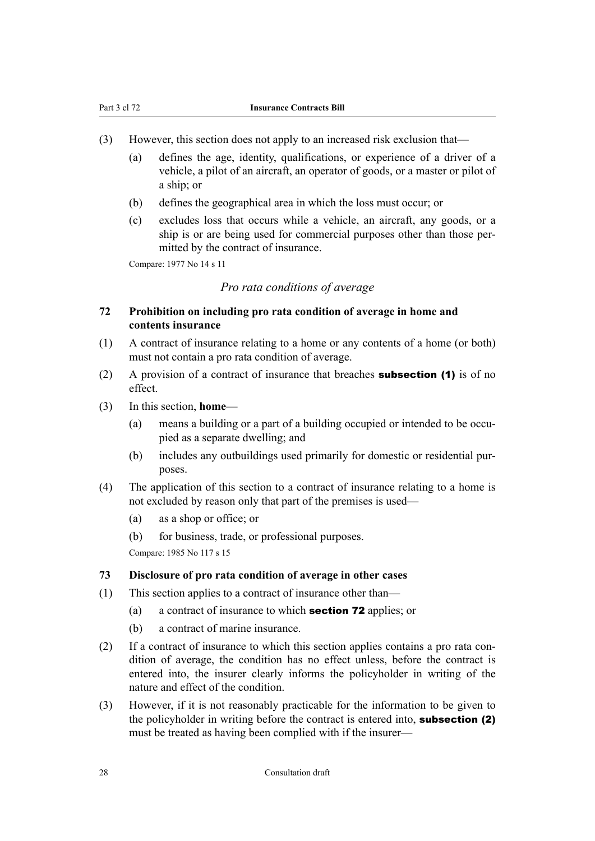- <span id="page-29-0"></span>(3) However, this section does not apply to an increased risk exclusion that—
	- (a) defines the age, identity, qualifications, or experience of a driver of a vehicle, a pilot of an aircraft, an operator of goods, or a master or pilot of a ship; or
	- (b) defines the geographical area in which the loss must occur; or
	- (c) excludes loss that occurs while a vehicle, an aircraft, any goods, or a ship is or are being used for commercial purposes other than those permitted by the contract of insurance.

Compare: 1977 No 14 s 11

#### *Pro rata conditions of average*

### **72 Prohibition on including pro rata condition of average in home and contents insurance**

- (1) A contract of insurance relating to a home or any contents of a home (or both) must not contain a pro rata condition of average.
- (2) A provision of a contract of insurance that breaches **subsection (1)** is of no effect.
- (3) In this section, **home**
	- (a) means a building or a part of a building occupied or intended to be occupied as a separate dwelling; and
	- (b) includes any outbuildings used primarily for domestic or residential pur‐ poses.
- (4) The application of this section to a contract of insurance relating to a home is not excluded by reason only that part of the premises is used—
	- (a) as a shop or office; or
	- (b) for business, trade, or professional purposes.

Compare: 1985 No 117 s 15

#### **73 Disclosure of pro rata condition of average in other cases**

- (1) This section applies to a contract of insurance other than—
	- (a) a contract of insurance to which section 72 applies; or
	- (b) a contract of marine insurance.
- (2) If a contract of insurance to which this section applies contains a pro rata con‐ dition of average, the condition has no effect unless, before the contract is entered into, the insurer clearly informs the policyholder in writing of the nature and effect of the condition.
- (3) However, if it is not reasonably practicable for the information to be given to the policyholder in writing before the contract is entered into, **subsection (2)** must be treated as having been complied with if the insurer—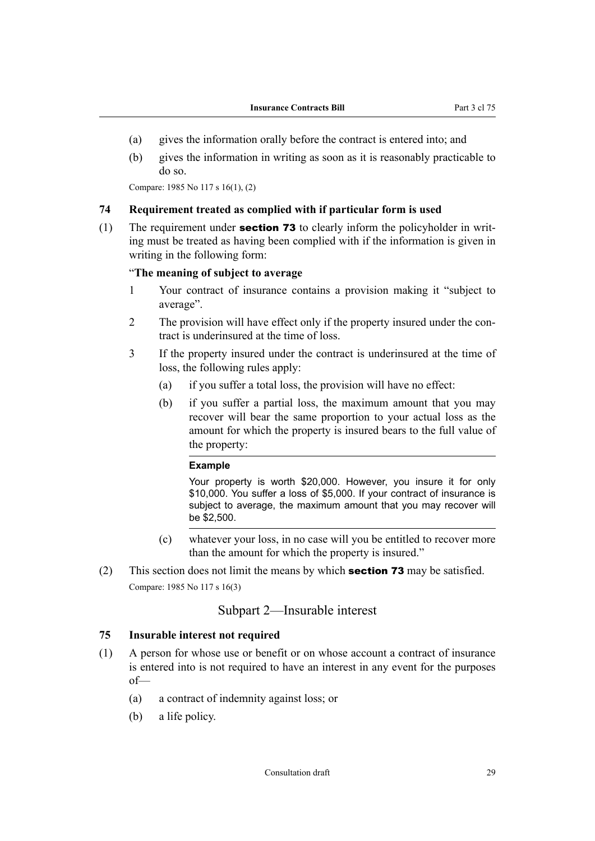- <span id="page-30-0"></span>(a) gives the information orally before the contract is entered into; and
- (b) gives the information in writing as soon as it is reasonably practicable to do so.

Compare: 1985 No 117 s 16(1), (2)

#### **74 Requirement treated as complied with if particular form is used**

(1) The requirement under **section 73** to clearly inform the policyholder in writing must be treated as having been complied with if the information is given in writing in the following form:

#### "**The meaning of subject to average**

- 1 Your contract of insurance contains a provision making it "subject to average".
- 2 The provision will have effect only if the property insured under the contract is underinsured at the time of loss.
- 3 If the property insured under the contract is underinsured at the time of loss, the following rules apply:
	- (a) if you suffer a total loss, the provision will have no effect:
	- (b) if you suffer a partial loss, the maximum amount that you may recover will bear the same proportion to your actual loss as the amount for which the property is insured bears to the full value of the property:

#### **Example**

Your property is worth \$20,000. However, you insure it for only \$10,000. You suffer a loss of \$5,000. If your contract of insurance is subject to average, the maximum amount that you may recover will be \$2,500.

- (c) whatever your loss, in no case will you be entitled to recover more than the amount for which the property is insured."
- (2) This section does not limit the means by which **[section 73](#page-29-0)** may be satisfied. Compare: 1985 No 117 s 16(3)

## Subpart 2—Insurable interest

#### **75 Insurable interest not required**

- (1) A person for whose use or benefit or on whose account a contract of insurance is entered into is not required to have an interest in any event for the purposes of—
	- (a) a contract of indemnity against loss; or
	- (b) a life policy.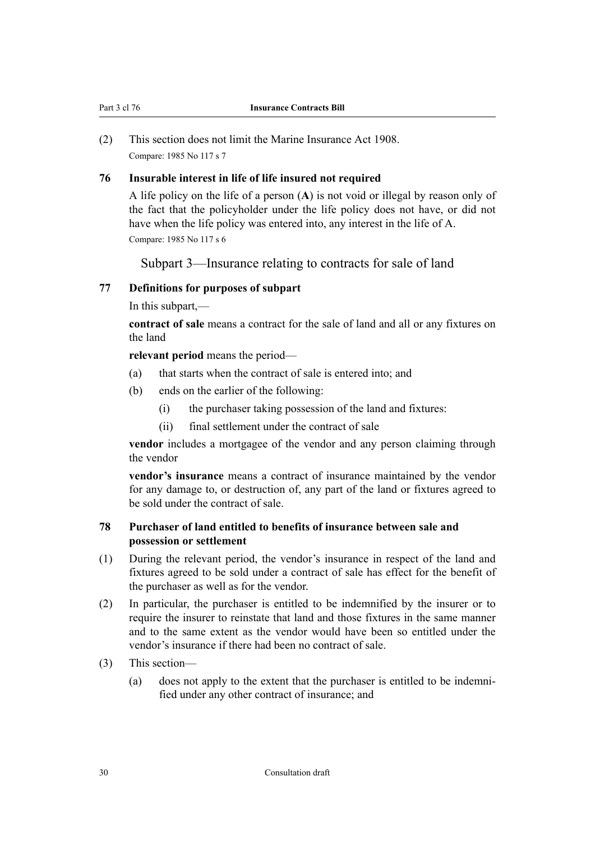<span id="page-31-0"></span>(2) This section does not limit the Marine Insurance Act 1908. Compare: 1985 No 117 s 7

### **76 Insurable interest in life of life insured not required**

A life policy on the life of a person (**A**) is not void or illegal by reason only of the fact that the policyholder under the life policy does not have, or did not have when the life policy was entered into, any interest in the life of A.

Compare: 1985 No 117 s 6

Subpart 3—Insurance relating to contracts for sale of land

## **77 Definitions for purposes of subpart**

In this subpart,—

**contract of sale** means a contract for the sale of land and all or any fixtures on the land

**relevant period** means the period—

- (a) that starts when the contract of sale is entered into; and
- (b) ends on the earlier of the following:
	- (i) the purchaser taking possession of the land and fixtures:
	- (ii) final settlement under the contract of sale

**vendor** includes a mortgagee of the vendor and any person claiming through the vendor

**vendor's insurance** means a contract of insurance maintained by the vendor for any damage to, or destruction of, any part of the land or fixtures agreed to be sold under the contract of sale.

## **78 Purchaser of land entitled to benefits of insurance between sale and possession or settlement**

- (1) During the relevant period, the vendor's insurance in respect of the land and fixtures agreed to be sold under a contract of sale has effect for the benefit of the purchaser as well as for the vendor.
- (2) In particular, the purchaser is entitled to be indemnified by the insurer or to require the insurer to reinstate that land and those fixtures in the same manner and to the same extent as the vendor would have been so entitled under the vendor's insurance if there had been no contract of sale.
- (3) This section—
	- (a) does not apply to the extent that the purchaser is entitled to be indemni‐ fied under any other contract of insurance; and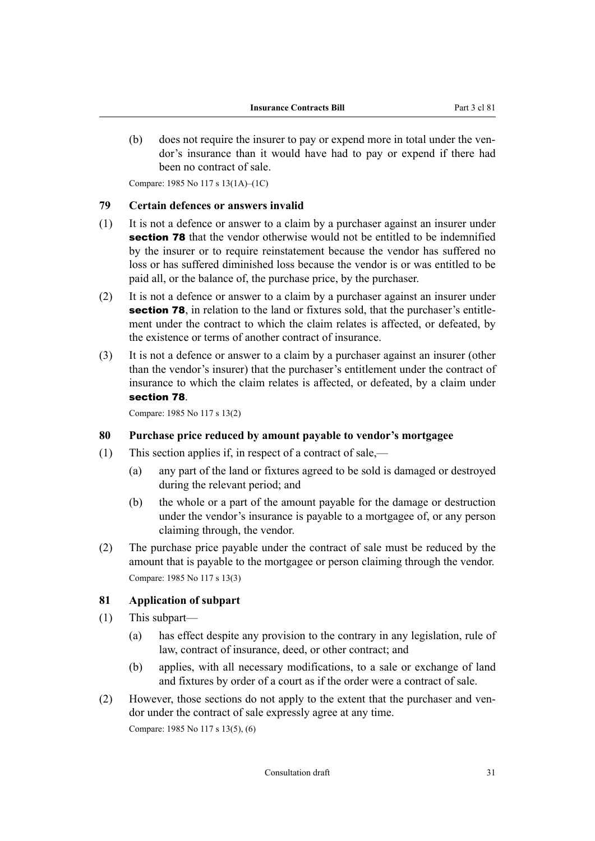<span id="page-32-0"></span>(b) does not require the insurer to pay or expend more in total under the vendor's insurance than it would have had to pay or expend if there had been no contract of sale.

Compare: 1985 No 117 s 13(1A)–(1C)

#### **79 Certain defences or answers invalid**

- (1) It is not a defence or answer to a claim by a purchaser against an insurer under [section 78](#page-31-0) that the vendor otherwise would not be entitled to be indemnified by the insurer or to require reinstatement because the vendor has suffered no loss or has suffered diminished loss because the vendor is or was entitled to be paid all, or the balance of, the purchase price, by the purchaser.
- (2) It is not a defence or answer to a claim by a purchaser against an insurer under [section 78](#page-31-0), in relation to the land or fixtures sold, that the purchaser's entitlement under the contract to which the claim relates is affected, or defeated, by the existence or terms of another contract of insurance.
- (3) It is not a defence or answer to a claim by a purchaser against an insurer (other than the vendor's insurer) that the purchaser's entitlement under the contract of insurance to which the claim relates is affected, or defeated, by a claim under [section 78](#page-31-0).

Compare: 1985 No 117 s 13(2)

#### **80 Purchase price reduced by amount payable to vendor's mortgagee**

- (1) This section applies if, in respect of a contract of sale,—
	- (a) any part of the land or fixtures agreed to be sold is damaged or destroyed during the relevant period; and
	- (b) the whole or a part of the amount payable for the damage or destruction under the vendor's insurance is payable to a mortgagee of, or any person claiming through, the vendor.
- (2) The purchase price payable under the contract of sale must be reduced by the amount that is payable to the mortgagee or person claiming through the vendor. Compare: 1985 No 117 s 13(3)

#### **81 Application of subpart**

- (1) This subpart—
	- (a) has effect despite any provision to the contrary in any legislation, rule of law, contract of insurance, deed, or other contract; and
	- (b) applies, with all necessary modifications, to a sale or exchange of land and fixtures by order of a court as if the order were a contract of sale.
- (2) However, those sections do not apply to the extent that the purchaser and ven‐ dor under the contract of sale expressly agree at any time. Compare: 1985 No 117 s 13(5), (6)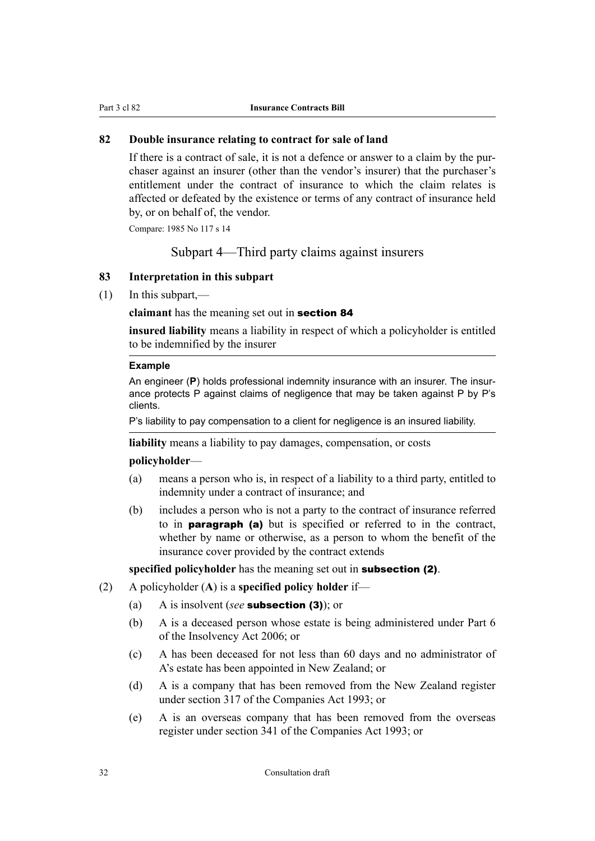## <span id="page-33-0"></span>**82 Double insurance relating to contract for sale of land**

If there is a contract of sale, it is not a defence or answer to a claim by the purchaser against an insurer (other than the vendor's insurer) that the purchaser's entitlement under the contract of insurance to which the claim relates is affected or defeated by the existence or terms of any contract of insurance held by, or on behalf of, the vendor.

Compare: 1985 No 117 s 14

Subpart 4—Third party claims against insurers

#### **83 Interpretation in this subpart**

(1) In this subpart,—

#### **claimant** has the meaning set out in [section 84](#page-34-0)

**insured liability** means a liability in respect of which a policyholder is entitled to be indemnified by the insurer

#### **Example**

An engineer (**P**) holds professional indemnity insurance with an insurer. The insurance protects P against claims of negligence that may be taken against P by P's clients.

P's liability to pay compensation to a client for negligence is an insured liability.

**liability** means a liability to pay damages, compensation, or costs

#### **policyholder**—

- (a) means a person who is, in respect of a liability to a third party, entitled to indemnity under a contract of insurance; and
- (b) includes a person who is not a party to the contract of insurance referred to in paragraph (a) but is specified or referred to in the contract, whether by name or otherwise, as a person to whom the benefit of the insurance cover provided by the contract extends

**specified policyholder** has the meaning set out in subsection (2).

- (2) A policyholder (**A**) is a **specified policy holder** if—
	- (a) A is insolvent (*see* subsection (3)); or
	- (b) A is a deceased person whose estate is being administered under Part 6 of the Insolvency Act 2006; or
	- (c) A has been deceased for not less than 60 days and no administrator of A's estate has been appointed in New Zealand; or
	- (d) A is a company that has been removed from the New Zealand register under section 317 of the Companies Act 1993; or
	- (e) A is an overseas company that has been removed from the overseas register under section 341 of the Companies Act 1993; or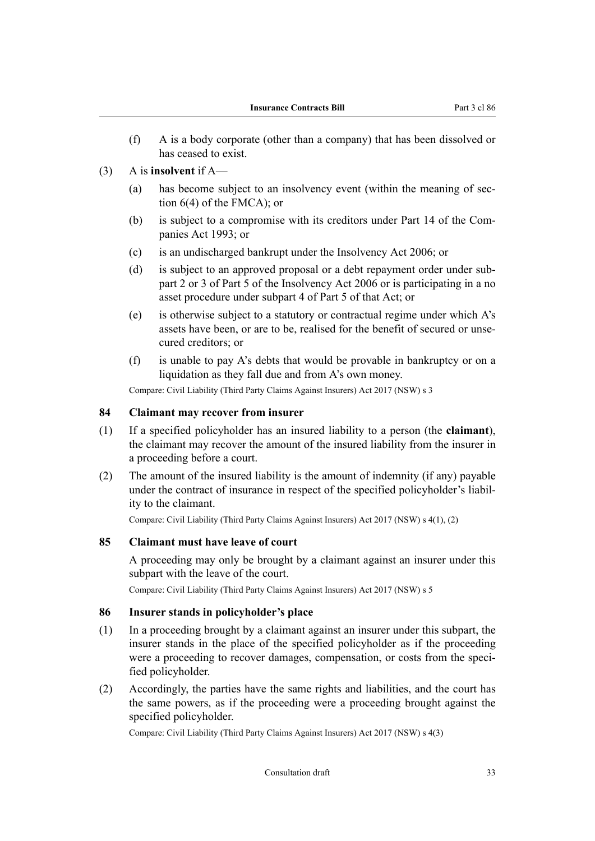- <span id="page-34-0"></span>(f) A is a body corporate (other than a company) that has been dissolved or has ceased to exist.
- (3) A is **insolvent** if A—
	- (a) has become subject to an insolvency event (within the meaning of section 6(4) of the FMCA); or
	- (b) is subject to a compromise with its creditors under Part 14 of the Companies Act 1993; or
	- (c) is an undischarged bankrupt under the Insolvency Act 2006; or
	- (d) is subject to an approved proposal or a debt repayment order under subpart 2 or 3 of Part 5 of the Insolvency Act 2006 or is participating in a no asset procedure under subpart 4 of Part 5 of that Act; or
	- (e) is otherwise subject to a statutory or contractual regime under which A's assets have been, or are to be, realised for the benefit of secured or unse‐ cured creditors; or
	- (f) is unable to pay A's debts that would be provable in bankruptcy or on a liquidation as they fall due and from A's own money.

Compare: Civil Liability (Third Party Claims Against Insurers) Act 2017 (NSW) s 3

#### **84 Claimant may recover from insurer**

- (1) If a specified policyholder has an insured liability to a person (the **claimant**), the claimant may recover the amount of the insured liability from the insurer in a proceeding before a court.
- (2) The amount of the insured liability is the amount of indemnity (if any) payable under the contract of insurance in respect of the specified policyholder's liability to the claimant.

Compare: Civil Liability (Third Party Claims Against Insurers) Act 2017 (NSW) s 4(1), (2)

#### **85 Claimant must have leave of court**

A proceeding may only be brought by a claimant against an insurer under this subpart with the leave of the court.

Compare: Civil Liability (Third Party Claims Against Insurers) Act 2017 (NSW) s 5

#### **86 Insurer stands in policyholder's place**

- (1) In a proceeding brought by a claimant against an insurer under this subpart, the insurer stands in the place of the specified policyholder as if the proceeding were a proceeding to recover damages, compensation, or costs from the specified policyholder.
- (2) Accordingly, the parties have the same rights and liabilities, and the court has the same powers, as if the proceeding were a proceeding brought against the specified policyholder.

Compare: Civil Liability (Third Party Claims Against Insurers) Act 2017 (NSW) s 4(3)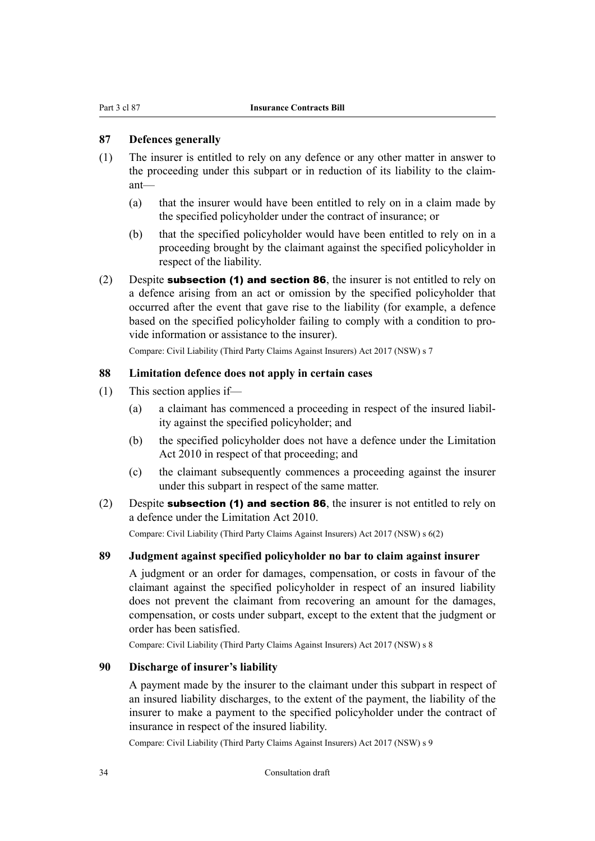#### <span id="page-35-0"></span>**87 Defences generally**

- (1) The insurer is entitled to rely on any defence or any other matter in answer to the proceeding under this subpart or in reduction of its liability to the claim‐ ant—
	- (a) that the insurer would have been entitled to rely on in a claim made by the specified policyholder under the contract of insurance; or
	- (b) that the specified policyholder would have been entitled to rely on in a proceeding brought by the claimant against the specified policyholder in respect of the liability.
- (2) Despite subsection (1) and [section 86](#page-34-0), the insurer is not entitled to rely on a defence arising from an act or omission by the specified policyholder that occurred after the event that gave rise to the liability (for example, a defence based on the specified policyholder failing to comply with a condition to pro‐ vide information or assistance to the insurer).

Compare: Civil Liability (Third Party Claims Against Insurers) Act 2017 (NSW) s 7

#### **88 Limitation defence does not apply in certain cases**

- (1) This section applies if—
	- (a) a claimant has commenced a proceeding in respect of the insured liabil‐ ity against the specified policyholder; and
	- (b) the specified policyholder does not have a defence under the Limitation Act 2010 in respect of that proceeding; and
	- (c) the claimant subsequently commences a proceeding against the insurer under this subpart in respect of the same matter.
- (2) Despite subsection (1) and [section 86](#page-34-0), the insurer is not entitled to rely on a defence under the Limitation Act 2010.

Compare: Civil Liability (Third Party Claims Against Insurers) Act 2017 (NSW) s 6(2)

#### **89 Judgment against specified policyholder no bar to claim against insurer**

A judgment or an order for damages, compensation, or costs in favour of the claimant against the specified policyholder in respect of an insured liability does not prevent the claimant from recovering an amount for the damages, compensation, or costs under subpart, except to the extent that the judgment or order has been satisfied.

Compare: Civil Liability (Third Party Claims Against Insurers) Act 2017 (NSW) s 8

#### **90 Discharge of insurer's liability**

A payment made by the insurer to the claimant under this subpart in respect of an insured liability discharges, to the extent of the payment, the liability of the insurer to make a payment to the specified policyholder under the contract of insurance in respect of the insured liability.

Compare: Civil Liability (Third Party Claims Against Insurers) Act 2017 (NSW) s 9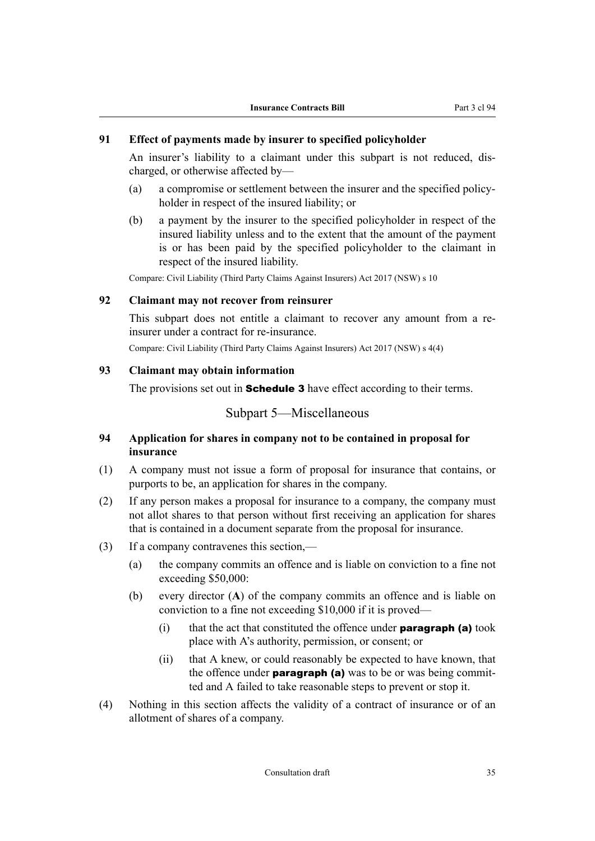## **91 Effect of payments made by insurer to specified policyholder**

An insurer's liability to a claimant under this subpart is not reduced, dis‐ charged, or otherwise affected by—

- (a) a compromise or settlement between the insurer and the specified policy‐ holder in respect of the insured liability; or
- (b) a payment by the insurer to the specified policyholder in respect of the insured liability unless and to the extent that the amount of the payment is or has been paid by the specified policyholder to the claimant in respect of the insured liability.

Compare: Civil Liability (Third Party Claims Against Insurers) Act 2017 (NSW) s 10

#### **92 Claimant may not recover from reinsurer**

This subpart does not entitle a claimant to recover any amount from a reinsurer under a contract for re-insurance.

Compare: Civil Liability (Third Party Claims Against Insurers) Act 2017 (NSW) s 4(4)

#### **93 Claimant may obtain information**

The provisions set out in **[Schedule 3](#page-75-0)** have effect according to their terms.

## Subpart 5—Miscellaneous

## **94 Application for shares in company not to be contained in proposal for insurance**

- (1) A company must not issue a form of proposal for insurance that contains, or purports to be, an application for shares in the company.
- (2) If any person makes a proposal for insurance to a company, the company must not allot shares to that person without first receiving an application for shares that is contained in a document separate from the proposal for insurance.
- (3) If a company contravenes this section,—
	- (a) the company commits an offence and is liable on conviction to a fine not exceeding \$50,000:
	- (b) every director (**A**) of the company commits an offence and is liable on conviction to a fine not exceeding \$10,000 if it is proved—
		- $(i)$  that the act that constituted the offence under **paragraph (a)** took place with A's authority, permission, or consent; or
		- (ii) that A knew, or could reasonably be expected to have known, that the offence under **paragraph** (a) was to be or was being committed and A failed to take reasonable steps to prevent or stop it.
- (4) Nothing in this section affects the validity of a contract of insurance or of an allotment of shares of a company.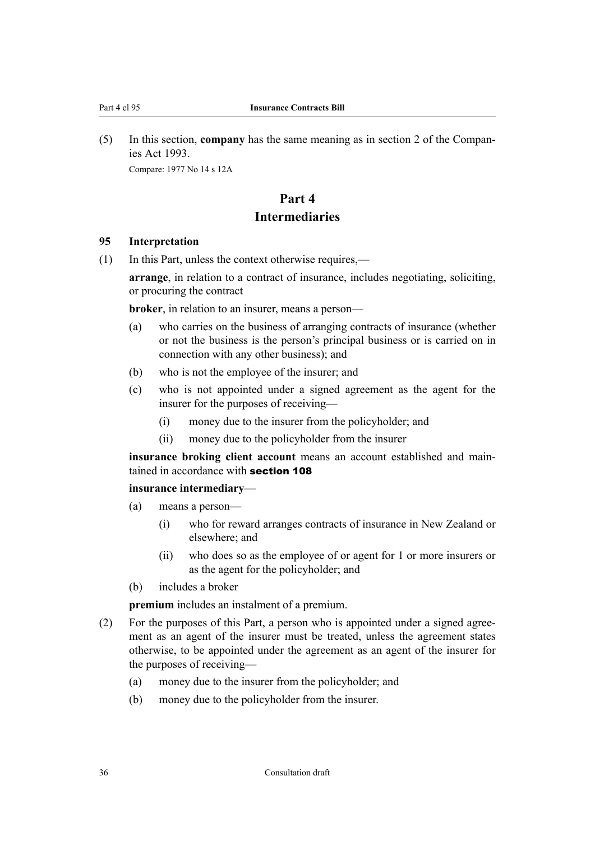<span id="page-37-0"></span>(5) In this section, **company** has the same meaning as in section 2 of the Compan‐ ies Act 1993. Compare: 1977 No 14 s 12A

# **Part 4 Intermediaries**

#### **95 Interpretation**

(1) In this Part, unless the context otherwise requires,—

**arrange**, in relation to a contract of insurance, includes negotiating, soliciting, or procuring the contract

**broker**, in relation to an insurer, means a person—

- (a) who carries on the business of arranging contracts of insurance (whether or not the business is the person's principal business or is carried on in connection with any other business); and
- (b) who is not the employee of the insurer; and
- (c) who is not appointed under a signed agreement as the agent for the insurer for the purposes of receiving—
	- (i) money due to the insurer from the policyholder; and
	- (ii) money due to the policyholder from the insurer

**insurance broking client account** means an account established and maintained in accordance with **[section 108](#page-41-0)** 

## **insurance intermediary**—

- (a) means a person—
	- (i) who for reward arranges contracts of insurance in New Zealand or elsewhere; and
	- (ii) who does so as the employee of or agent for 1 or more insurers or as the agent for the policyholder; and
- (b) includes a broker

**premium** includes an instalment of a premium.

- (2) For the purposes of this Part, a person who is appointed under a signed agree‐ ment as an agent of the insurer must be treated, unless the agreement states otherwise, to be appointed under the agreement as an agent of the insurer for the purposes of receiving—
	- (a) money due to the insurer from the policyholder; and
	- (b) money due to the policyholder from the insurer.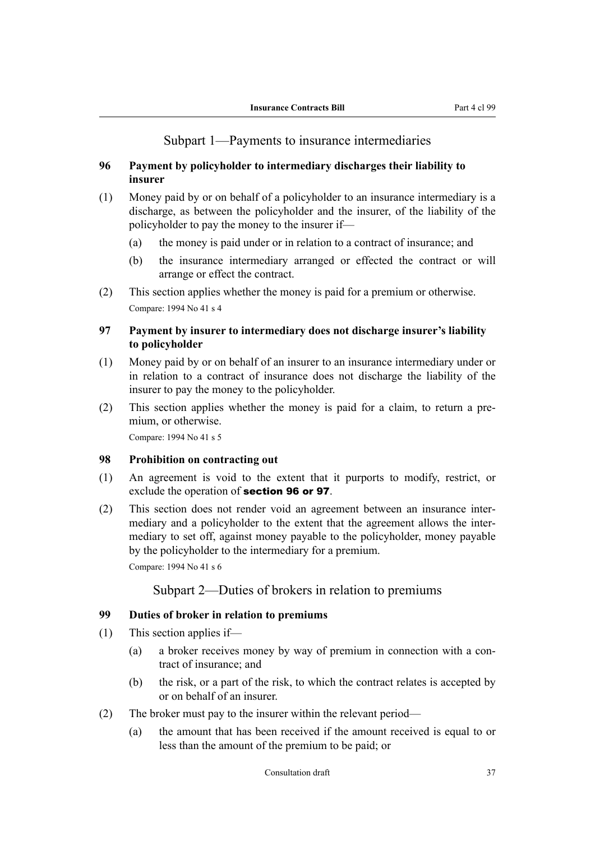## Subpart 1—Payments to insurance intermediaries

## <span id="page-38-0"></span>**96 Payment by policyholder to intermediary discharges their liability to insurer**

- (1) Money paid by or on behalf of a policyholder to an insurance intermediary is a discharge, as between the policyholder and the insurer, of the liability of the policyholder to pay the money to the insurer if—
	- (a) the money is paid under or in relation to a contract of insurance; and
	- (b) the insurance intermediary arranged or effected the contract or will arrange or effect the contract.
- (2) This section applies whether the money is paid for a premium or otherwise. Compare: 1994 No 41 s 4

## **97 Payment by insurer to intermediary does not discharge insurer's liability to policyholder**

- (1) Money paid by or on behalf of an insurer to an insurance intermediary under or in relation to a contract of insurance does not discharge the liability of the insurer to pay the money to the policyholder.
- (2) This section applies whether the money is paid for a claim, to return a pre‐ mium, or otherwise.

Compare: 1994 No 41 s 5

#### **98 Prohibition on contracting out**

- (1) An agreement is void to the extent that it purports to modify, restrict, or exclude the operation of section 96 or 97.
- (2) This section does not render void an agreement between an insurance inter‐ mediary and a policyholder to the extent that the agreement allows the inter‐ mediary to set off, against money payable to the policyholder, money payable by the policyholder to the intermediary for a premium.

Compare: 1994 No 41 s 6

## Subpart 2—Duties of brokers in relation to premiums

### **99 Duties of broker in relation to premiums**

- (1) This section applies if—
	- (a) a broker receives money by way of premium in connection with a contract of insurance; and
	- (b) the risk, or a part of the risk, to which the contract relates is accepted by or on behalf of an insurer.
- (2) The broker must pay to the insurer within the relevant period—
	- (a) the amount that has been received if the amount received is equal to or less than the amount of the premium to be paid; or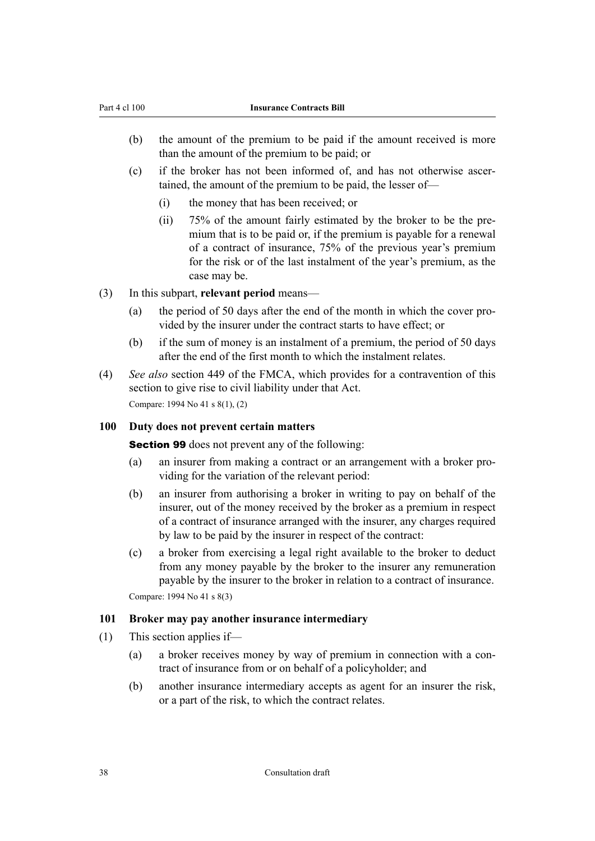- (b) the amount of the premium to be paid if the amount received is more than the amount of the premium to be paid; or
- (c) if the broker has not been informed of, and has not otherwise ascer‐ tained, the amount of the premium to be paid, the lesser of—
	- (i) the money that has been received; or
	- (ii) 75% of the amount fairly estimated by the broker to be the pre‐ mium that is to be paid or, if the premium is payable for a renewal of a contract of insurance, 75% of the previous year's premium for the risk or of the last instalment of the year's premium, as the case may be.
- (3) In this subpart, **relevant period** means—
	- (a) the period of 50 days after the end of the month in which the cover provided by the insurer under the contract starts to have effect; or
	- (b) if the sum of money is an instalment of a premium, the period of 50 days after the end of the first month to which the instalment relates.
- (4) *See also* section 449 of the FMCA, which provides for a contravention of this section to give rise to civil liability under that Act. Compare: 1994 No 41 s 8(1), (2)

### **100 Duty does not prevent certain matters**

[Section 99](#page-38-0) does not prevent any of the following:

- (a) an insurer from making a contract or an arrangement with a broker pro‐ viding for the variation of the relevant period:
- (b) an insurer from authorising a broker in writing to pay on behalf of the insurer, out of the money received by the broker as a premium in respect of a contract of insurance arranged with the insurer, any charges required by law to be paid by the insurer in respect of the contract:
- (c) a broker from exercising a legal right available to the broker to deduct from any money payable by the broker to the insurer any remuneration payable by the insurer to the broker in relation to a contract of insurance.

Compare: 1994 No 41 s 8(3)

### **101 Broker may pay another insurance intermediary**

- (1) This section applies if—
	- (a) a broker receives money by way of premium in connection with a contract of insurance from or on behalf of a policyholder; and
	- (b) another insurance intermediary accepts as agent for an insurer the risk, or a part of the risk, to which the contract relates.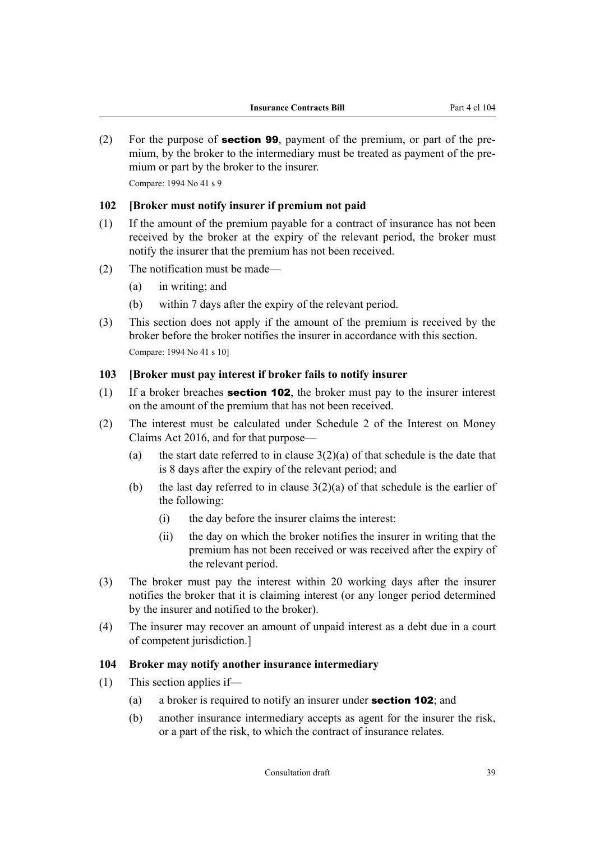<span id="page-40-0"></span>(2) For the purpose of **[section 99](#page-38-0)**, payment of the premium, or part of the premium, by the broker to the intermediary must be treated as payment of the premium or part by the broker to the insurer.

Compare: 1994 No 41 s 9

#### **102 [Broker must notify insurer if premium not paid**

- (1) If the amount of the premium payable for a contract of insurance has not been received by the broker at the expiry of the relevant period, the broker must notify the insurer that the premium has not been received.
- (2) The notification must be made—
	- (a) in writing; and
	- (b) within 7 days after the expiry of the relevant period.
- (3) This section does not apply if the amount of the premium is received by the broker before the broker notifies the insurer in accordance with this section. Compare: 1994 No 41 s 10]

#### **103 [Broker must pay interest if broker fails to notify insurer**

- (1) If a broker breaches **section 102**, the broker must pay to the insurer interest on the amount of the premium that has not been received.
- (2) The interest must be calculated under Schedule 2 of the Interest on Money Claims Act 2016, and for that purpose—
	- (a) the start date referred to in clause  $3(2)(a)$  of that schedule is the date that is 8 days after the expiry of the relevant period; and
	- (b) the last day referred to in clause  $3(2)(a)$  of that schedule is the earlier of the following:
		- (i) the day before the insurer claims the interest:
		- (ii) the day on which the broker notifies the insurer in writing that the premium has not been received or was received after the expiry of the relevant period.
- (3) The broker must pay the interest within 20 working days after the insurer notifies the broker that it is claiming interest (or any longer period determined by the insurer and notified to the broker).
- (4) The insurer may recover an amount of unpaid interest as a debt due in a court of competent jurisdiction.]

## **104 Broker may notify another insurance intermediary**

- (1) This section applies if—
	- (a) a broker is required to notify an insurer under **section 102**; and
	- (b) another insurance intermediary accepts as agent for the insurer the risk, or a part of the risk, to which the contract of insurance relates.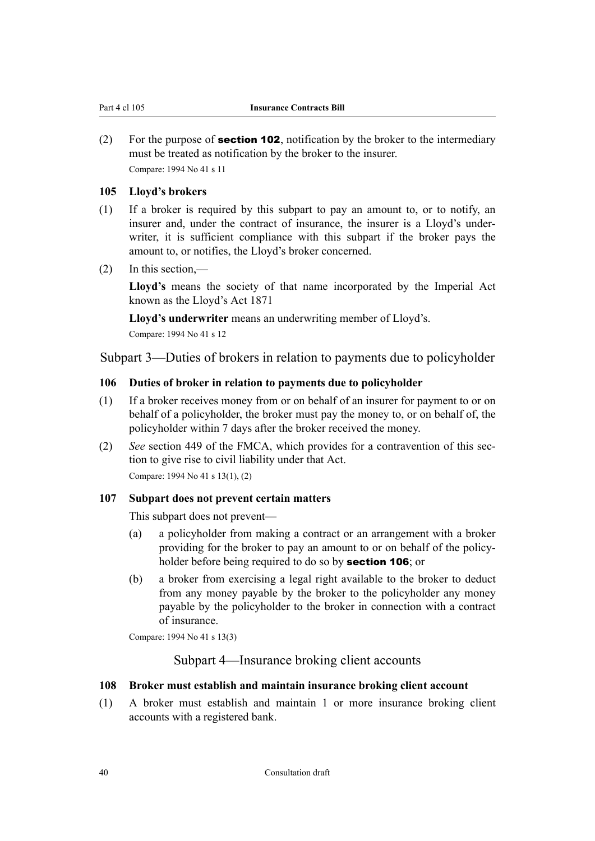<span id="page-41-0"></span>(2) For the purpose of **[section 102](#page-40-0)**, notification by the broker to the intermediary must be treated as notification by the broker to the insurer. Compare: 1994 No 41 s 11

#### **105 Lloyd's brokers**

- (1) If a broker is required by this subpart to pay an amount to, or to notify, an insurer and, under the contract of insurance, the insurer is a Lloyd's under‐ writer, it is sufficient compliance with this subpart if the broker pays the amount to, or notifies, the Lloyd's broker concerned.
- (2) In this section,—

**Lloyd's** means the society of that name incorporated by the Imperial Act known as the Lloyd's Act 1871

**Lloyd's underwriter** means an underwriting member of Lloyd's.

Compare: 1994 No 41 s 12

Subpart 3—Duties of brokers in relation to payments due to policyholder

#### **106 Duties of broker in relation to payments due to policyholder**

- (1) If a broker receives money from or on behalf of an insurer for payment to or on behalf of a policyholder, the broker must pay the money to, or on behalf of, the policyholder within 7 days after the broker received the money.
- (2) *See* section 449 of the FMCA, which provides for a contravention of this sec‐ tion to give rise to civil liability under that Act. Compare: 1994 No 41 s 13(1), (2)

#### **107 Subpart does not prevent certain matters**

This subpart does not prevent—

- (a) a policyholder from making a contract or an arrangement with a broker providing for the broker to pay an amount to or on behalf of the policyholder before being required to do so by **section 106**; or
- (b) a broker from exercising a legal right available to the broker to deduct from any money payable by the broker to the policyholder any money payable by the policyholder to the broker in connection with a contract of insurance.

Compare: 1994 No 41 s 13(3)

## Subpart 4—Insurance broking client accounts

#### **108 Broker must establish and maintain insurance broking client account**

(1) A broker must establish and maintain 1 or more insurance broking client accounts with a registered bank.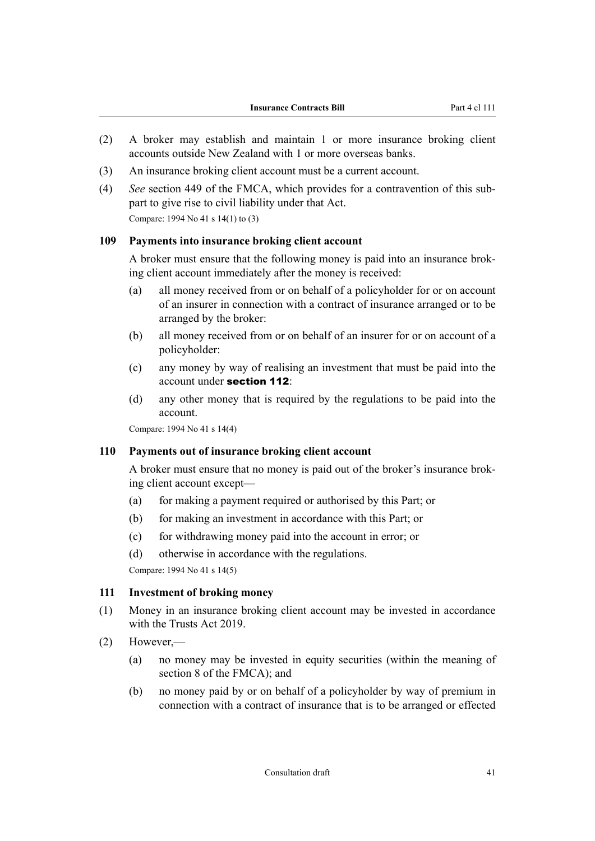- <span id="page-42-0"></span>(2) A broker may establish and maintain 1 or more insurance broking client accounts outside New Zealand with 1 or more overseas banks.
- (3) An insurance broking client account must be a current account.
- (4) *See* section 449 of the FMCA, which provides for a contravention of this sub‐ part to give rise to civil liability under that Act. Compare: 1994 No 41 s 14(1) to (3)

#### **109 Payments into insurance broking client account**

A broker must ensure that the following money is paid into an insurance brok‐ ing client account immediately after the money is received:

- (a) all money received from or on behalf of a policyholder for or on account of an insurer in connection with a contract of insurance arranged or to be arranged by the broker:
- (b) all money received from or on behalf of an insurer for or on account of a policyholder:
- (c) any money by way of realising an investment that must be paid into the account under [section 112](#page-43-0):
- (d) any other money that is required by the regulations to be paid into the account.

Compare: 1994 No 41 s 14(4)

#### **110 Payments out of insurance broking client account**

A broker must ensure that no money is paid out of the broker's insurance brok‐ ing client account except—

- (a) for making a payment required or authorised by this Part; or
- (b) for making an investment in accordance with this Part; or
- (c) for withdrawing money paid into the account in error; or
- (d) otherwise in accordance with the regulations.

Compare: 1994 No 41 s 14(5)

#### **111 Investment of broking money**

- (1) Money in an insurance broking client account may be invested in accordance with the Trusts Act 2019.
- (2) However,—
	- (a) no money may be invested in equity securities (within the meaning of section 8 of the FMCA); and
	- (b) no money paid by or on behalf of a policyholder by way of premium in connection with a contract of insurance that is to be arranged or effected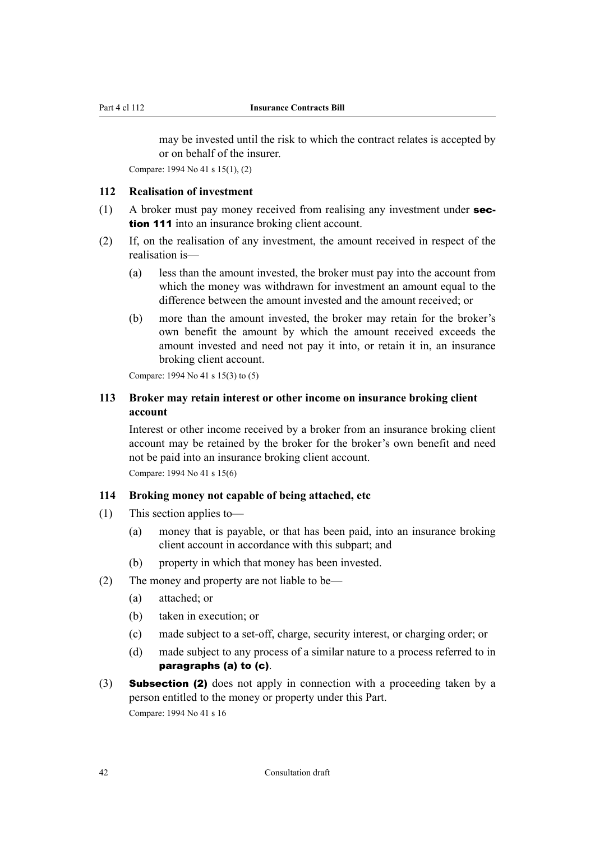<span id="page-43-0"></span>may be invested until the risk to which the contract relates is accepted by or on behalf of the insurer.

Compare: 1994 No 41 s 15(1), (2)

### **112 Realisation of investment**

- (1) A broker must pay money received from realising any investment under [sec](#page-42-0)[tion 111](#page-42-0) into an insurance broking client account.
- (2) If, on the realisation of any investment, the amount received in respect of the realisation is—
	- (a) less than the amount invested, the broker must pay into the account from which the money was withdrawn for investment an amount equal to the difference between the amount invested and the amount received; or
	- (b) more than the amount invested, the broker may retain for the broker's own benefit the amount by which the amount received exceeds the amount invested and need not pay it into, or retain it in, an insurance broking client account.

Compare: 1994 No 41 s 15(3) to (5)

## **113 Broker may retain interest or other income on insurance broking client account**

Interest or other income received by a broker from an insurance broking client account may be retained by the broker for the broker's own benefit and need not be paid into an insurance broking client account.

Compare: 1994 No 41 s 15(6)

#### **114 Broking money not capable of being attached, etc**

- (1) This section applies to—
	- (a) money that is payable, or that has been paid, into an insurance broking client account in accordance with this subpart; and
	- (b) property in which that money has been invested.
- (2) The money and property are not liable to be—
	- (a) attached; or
	- (b) taken in execution; or
	- (c) made subject to a set-off, charge, security interest, or charging order; or
	- (d) made subject to any process of a similar nature to a process referred to in paragraphs (a) to (c).
- (3) **Subsection (2)** does not apply in connection with a proceeding taken by a person entitled to the money or property under this Part. Compare: 1994 No 41 s 16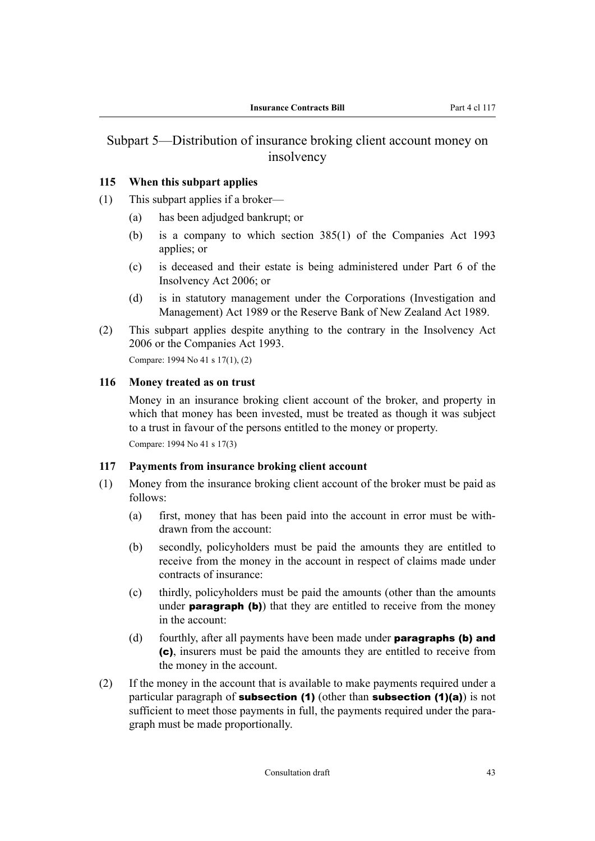## Subpart 5—Distribution of insurance broking client account money on insolvency

## **115 When this subpart applies**

- (1) This subpart applies if a broker—
	- (a) has been adjudged bankrupt; or
	- (b) is a company to which section 385(1) of the Companies Act 1993 applies; or
	- (c) is deceased and their estate is being administered under Part 6 of the Insolvency Act 2006; or
	- (d) is in statutory management under the Corporations (Investigation and Management) Act 1989 or the Reserve Bank of New Zealand Act 1989.
- (2) This subpart applies despite anything to the contrary in the Insolvency Act 2006 or the Companies Act 1993.

Compare: 1994 No 41 s 17(1), (2)

#### **116 Money treated as on trust**

Money in an insurance broking client account of the broker, and property in which that money has been invested, must be treated as though it was subject to a trust in favour of the persons entitled to the money or property.

Compare: 1994 No 41 s 17(3)

## **117 Payments from insurance broking client account**

- (1) Money from the insurance broking client account of the broker must be paid as follows:
	- (a) first, money that has been paid into the account in error must be with‐ drawn from the account:
	- (b) secondly, policyholders must be paid the amounts they are entitled to receive from the money in the account in respect of claims made under contracts of insurance:
	- (c) thirdly, policyholders must be paid the amounts (other than the amounts under **paragraph** (b)) that they are entitled to receive from the money in the account:
	- (d) fourthly, after all payments have been made under **paragraphs (b) and** (c), insurers must be paid the amounts they are entitled to receive from the money in the account.
- (2) If the money in the account that is available to make payments required under a particular paragraph of **subsection (1)** (other than **subsection (1)(a)**) is not sufficient to meet those payments in full, the payments required under the paragraph must be made proportionally.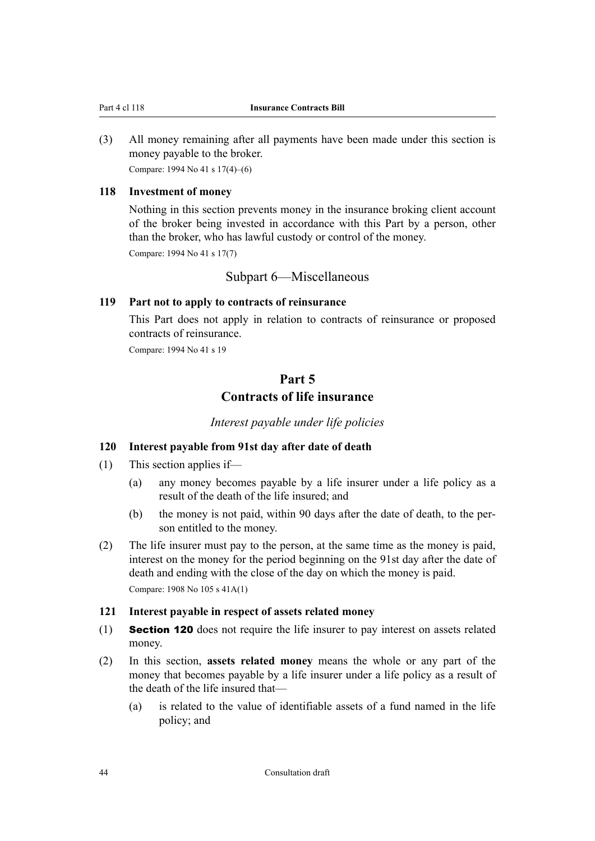<span id="page-45-0"></span>(3) All money remaining after all payments have been made under this section is money payable to the broker. Compare: 1994 No 41 s 17(4)–(6)

#### **118 Investment of money**

Nothing in this section prevents money in the insurance broking client account of the broker being invested in accordance with this Part by a person, other than the broker, who has lawful custody or control of the money.

Compare: 1994 No 41 s 17(7)

### Subpart 6—Miscellaneous

#### **119 Part not to apply to contracts of reinsurance**

This Part does not apply in relation to contracts of reinsurance or proposed contracts of reinsurance.

Compare: 1994 No 41 s 19

# **Part 5 Contracts of life insurance**

*Interest payable under life policies*

## **120 Interest payable from 91st day after date of death**

- (1) This section applies if—
	- (a) any money becomes payable by a life insurer under a life policy as a result of the death of the life insured; and
	- (b) the money is not paid, within 90 days after the date of death, to the person entitled to the money.
- (2) The life insurer must pay to the person, at the same time as the money is paid, interest on the money for the period beginning on the 91st day after the date of death and ending with the close of the day on which the money is paid. Compare: 1908 No 105 s 41A(1)

#### **121 Interest payable in respect of assets related money**

- (1) Section 120 does not require the life insurer to pay interest on assets related money.
- (2) In this section, **assets related money** means the whole or any part of the money that becomes payable by a life insurer under a life policy as a result of the death of the life insured that—
	- (a) is related to the value of identifiable assets of a fund named in the life policy; and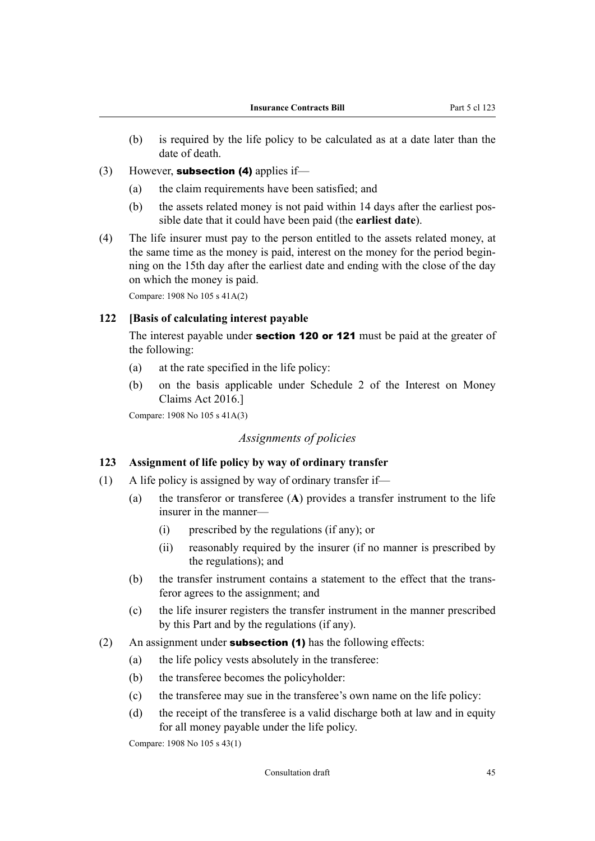- <span id="page-46-0"></span>(b) is required by the life policy to be calculated as at a date later than the date of death.
- (3) However, **subsection (4)** applies if—
	- (a) the claim requirements have been satisfied; and
	- (b) the assets related money is not paid within 14 days after the earliest pos‐ sible date that it could have been paid (the **earliest date**).
- (4) The life insurer must pay to the person entitled to the assets related money, at the same time as the money is paid, interest on the money for the period beginning on the 15th day after the earliest date and ending with the close of the day on which the money is paid.

Compare: 1908 No 105 s 41A(2)

## **122 [Basis of calculating interest payable**

The interest payable under **[section 120](#page-45-0) or [121](#page-45-0)** must be paid at the greater of the following:

- (a) at the rate specified in the life policy:
- (b) on the basis applicable under Schedule 2 of the Interest on Money Claims Act 2016.]

Compare: 1908 No 105 s 41A(3)

## *Assignments of policies*

## **123 Assignment of life policy by way of ordinary transfer**

- (1) A life policy is assigned by way of ordinary transfer if—
	- (a) the transferor or transferee (**A**) provides a transfer instrument to the life insurer in the manner—
		- (i) prescribed by the regulations (if any); or
		- (ii) reasonably required by the insurer (if no manner is prescribed by the regulations); and
	- (b) the transfer instrument contains a statement to the effect that the trans‐ feror agrees to the assignment; and
	- (c) the life insurer registers the transfer instrument in the manner prescribed by this Part and by the regulations (if any).
- (2) An assignment under **subsection (1)** has the following effects:
	- (a) the life policy vests absolutely in the transferee:
	- (b) the transferee becomes the policyholder:
	- (c) the transferee may sue in the transferee's own name on the life policy:
	- (d) the receipt of the transferee is a valid discharge both at law and in equity for all money payable under the life policy.

Compare: 1908 No 105 s 43(1)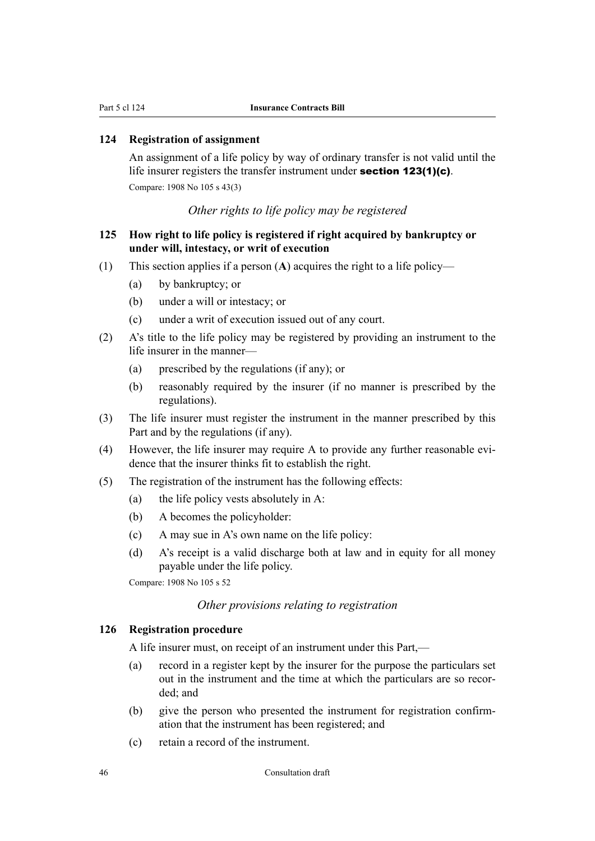## **124 Registration of assignment**

An assignment of a life policy by way of ordinary transfer is not valid until the life insurer registers the transfer instrument under [section 123\(1\)\(c\)](#page-46-0). Compare: 1908 No 105 s 43(3)

## *Other rights to life policy may be registered*

## **125 How right to life policy is registered if right acquired by bankruptcy or under will, intestacy, or writ of execution**

- (1) This section applies if a person (**A**) acquires the right to a life policy—
	- (a) by bankruptcy; or
	- (b) under a will or intestacy; or
	- (c) under a writ of execution issued out of any court.
- (2) A's title to the life policy may be registered by providing an instrument to the life insurer in the manner—
	- (a) prescribed by the regulations (if any); or
	- (b) reasonably required by the insurer (if no manner is prescribed by the regulations).
- (3) The life insurer must register the instrument in the manner prescribed by this Part and by the regulations (if any).
- (4) However, the life insurer may require A to provide any further reasonable evi‐ dence that the insurer thinks fit to establish the right.
- (5) The registration of the instrument has the following effects:
	- (a) the life policy vests absolutely in A:
	- (b) A becomes the policyholder:
	- (c) A may sue in A's own name on the life policy:
	- (d) A's receipt is a valid discharge both at law and in equity for all money payable under the life policy.

Compare: 1908 No 105 s 52

## *Other provisions relating to registration*

## **126 Registration procedure**

A life insurer must, on receipt of an instrument under this Part,—

- (a) record in a register kept by the insurer for the purpose the particulars set out in the instrument and the time at which the particulars are so recorded; and
- (b) give the person who presented the instrument for registration confirm‐ ation that the instrument has been registered; and
- (c) retain a record of the instrument.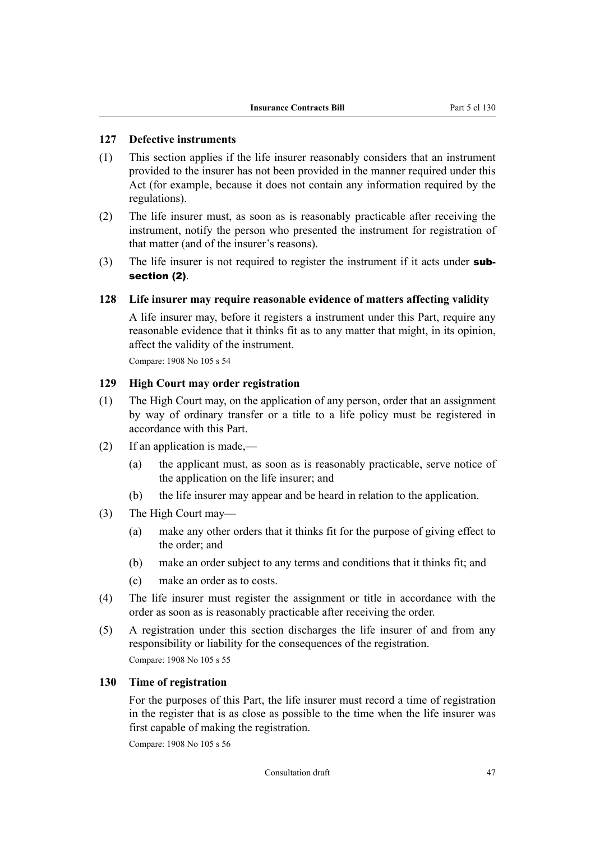### **127 Defective instruments**

- (1) This section applies if the life insurer reasonably considers that an instrument provided to the insurer has not been provided in the manner required under this Act (for example, because it does not contain any information required by the regulations).
- (2) The life insurer must, as soon as is reasonably practicable after receiving the instrument, notify the person who presented the instrument for registration of that matter (and of the insurer's reasons).
- (3) The life insurer is not required to register the instrument if it acts under  $sub$ section (2).

#### **128 Life insurer may require reasonable evidence of matters affecting validity**

A life insurer may, before it registers a instrument under this Part, require any reasonable evidence that it thinks fit as to any matter that might, in its opinion, affect the validity of the instrument.

Compare: 1908 No 105 s 54

## **129 High Court may order registration**

- (1) The High Court may, on the application of any person, order that an assignment by way of ordinary transfer or a title to a life policy must be registered in accordance with this Part.
- (2) If an application is made,—
	- (a) the applicant must, as soon as is reasonably practicable, serve notice of the application on the life insurer; and
	- (b) the life insurer may appear and be heard in relation to the application.
- (3) The High Court may—
	- (a) make any other orders that it thinks fit for the purpose of giving effect to the order; and
	- (b) make an order subject to any terms and conditions that it thinks fit; and
	- (c) make an order as to costs.
- (4) The life insurer must register the assignment or title in accordance with the order as soon as is reasonably practicable after receiving the order.
- (5) A registration under this section discharges the life insurer of and from any responsibility or liability for the consequences of the registration. Compare: 1908 No 105 s 55

### **130 Time of registration**

For the purposes of this Part, the life insurer must record a time of registration in the register that is as close as possible to the time when the life insurer was first capable of making the registration.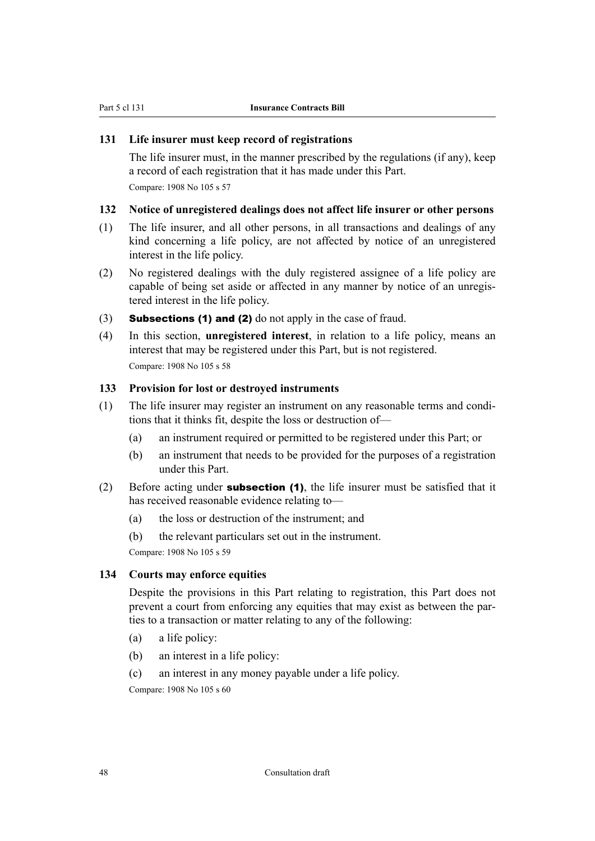## **131 Life insurer must keep record of registrations**

The life insurer must, in the manner prescribed by the regulations (if any), keep a record of each registration that it has made under this Part. Compare: 1908 No 105 s 57

#### **132 Notice of unregistered dealings does not affect life insurer or other persons**

- (1) The life insurer, and all other persons, in all transactions and dealings of any kind concerning a life policy, are not affected by notice of an unregistered interest in the life policy.
- (2) No registered dealings with the duly registered assignee of a life policy are capable of being set aside or affected in any manner by notice of an unregistered interest in the life policy.
- (3) **Subsections (1) and (2)** do not apply in the case of fraud.
- (4) In this section, **unregistered interest**, in relation to a life policy, means an interest that may be registered under this Part, but is not registered. Compare: 1908 No 105 s 58

#### **133 Provision for lost or destroyed instruments**

- (1) The life insurer may register an instrument on any reasonable terms and condi‐ tions that it thinks fit, despite the loss or destruction of—
	- (a) an instrument required or permitted to be registered under this Part; or
	- (b) an instrument that needs to be provided for the purposes of a registration under this Part.
- (2) Before acting under **subsection (1)**, the life insurer must be satisfied that it has received reasonable evidence relating to—
	- (a) the loss or destruction of the instrument; and
	- (b) the relevant particulars set out in the instrument.

Compare: 1908 No 105 s 59

## **134 Courts may enforce equities**

Despite the provisions in this Part relating to registration, this Part does not prevent a court from enforcing any equities that may exist as between the parties to a transaction or matter relating to any of the following:

- (a) a life policy:
- (b) an interest in a life policy:
- (c) an interest in any money payable under a life policy.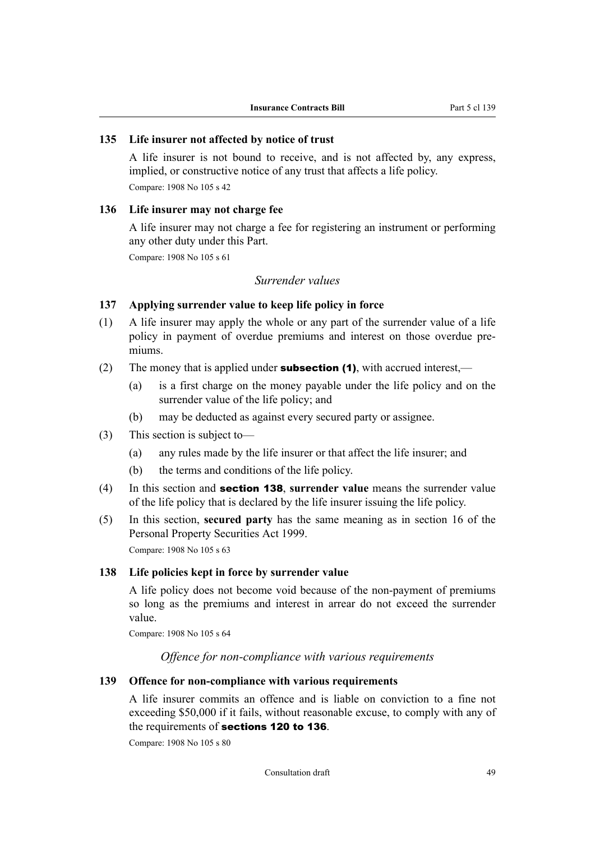#### **135 Life insurer not affected by notice of trust**

A life insurer is not bound to receive, and is not affected by, any express, implied, or constructive notice of any trust that affects a life policy. Compare: 1908 No 105 s 42

#### **136 Life insurer may not charge fee**

A life insurer may not charge a fee for registering an instrument or performing any other duty under this Part.

Compare: 1908 No 105 s 61

### *Surrender values*

### **137 Applying surrender value to keep life policy in force**

- (1) A life insurer may apply the whole or any part of the surrender value of a life policy in payment of overdue premiums and interest on those overdue pre‐ miums.
- (2) The money that is applied under **subsection (1)**, with accrued interest,—
	- (a) is a first charge on the money payable under the life policy and on the surrender value of the life policy; and
	- (b) may be deducted as against every secured party or assignee.
- (3) This section is subject to—
	- (a) any rules made by the life insurer or that affect the life insurer; and
	- (b) the terms and conditions of the life policy.
- (4) In this section and section 138, **surrender value** means the surrender value of the life policy that is declared by the life insurer issuing the life policy.
- (5) In this section, **secured party** has the same meaning as in section 16 of the Personal Property Securities Act 1999. Compare: 1908 No 105 s 63

#### **138 Life policies kept in force by surrender value**

A life policy does not become void because of the non-payment of premiums so long as the premiums and interest in arrear do not exceed the surrender value.

Compare: 1908 No 105 s 64

*Offence for non-compliance with various requirements*

#### **139 Offence for non-compliance with various requirements**

A life insurer commits an offence and is liable on conviction to a fine not exceeding \$50,000 if it fails, without reasonable excuse, to comply with any of the requirements of [sections 120](#page-45-0) to 136.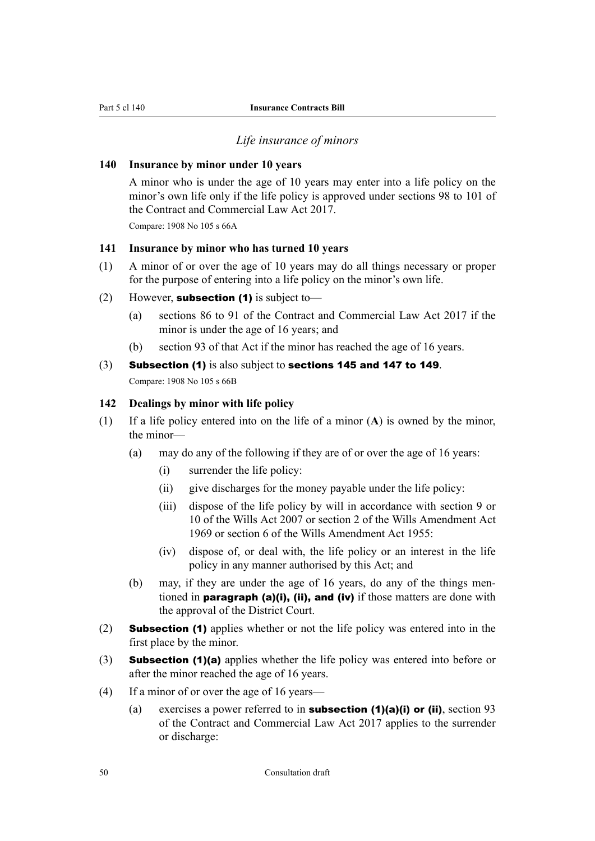#### *Life insurance of minors*

#### <span id="page-51-0"></span>**140 Insurance by minor under 10 years**

A minor who is under the age of 10 years may enter into a life policy on the minor's own life only if the life policy is approved under sections 98 to 101 of the Contract and Commercial Law Act 2017.

Compare: 1908 No 105 s 66A

### **141 Insurance by minor who has turned 10 years**

- (1) A minor of or over the age of 10 years may do all things necessary or proper for the purpose of entering into a life policy on the minor's own life.
- (2) However, **subsection (1)** is subject to-
	- (a) sections 86 to 91 of the Contract and Commercial Law Act 2017 if the minor is under the age of 16 years; and
	- (b) section 93 of that Act if the minor has reached the age of 16 years.
- (3) Subsection (1) is also subject to [sections 145](#page-53-0) and [147](#page-53-0) to [149](#page-54-0). Compare: 1908 No 105 s 66B

#### **142 Dealings by minor with life policy**

- (1) If a life policy entered into on the life of a minor (**A**) is owned by the minor, the minor—
	- (a) may do any of the following if they are of or over the age of 16 years:
		- (i) surrender the life policy:
		- (ii) give discharges for the money payable under the life policy:
		- (iii) dispose of the life policy by will in accordance with section 9 or 10 of the Wills Act 2007 or section 2 of the Wills Amendment Act 1969 or section 6 of the Wills Amendment Act 1955:
		- (iv) dispose of, or deal with, the life policy or an interest in the life policy in any manner authorised by this Act; and
	- (b) may, if they are under the age of 16 years, do any of the things men‐ tioned in **paragraph (a)(i), (ii), and (iv)** if those matters are done with the approval of the District Court.
- (2) Subsection (1) applies whether or not the life policy was entered into in the first place by the minor.
- (3) Subsection (1)(a) applies whether the life policy was entered into before or after the minor reached the age of 16 years.
- (4) If a minor of or over the age of 16 years—
	- (a) exercises a power referred to in **subsection (1)(a)(i) or (ii)**, section 93 of the Contract and Commercial Law Act 2017 applies to the surrender or discharge: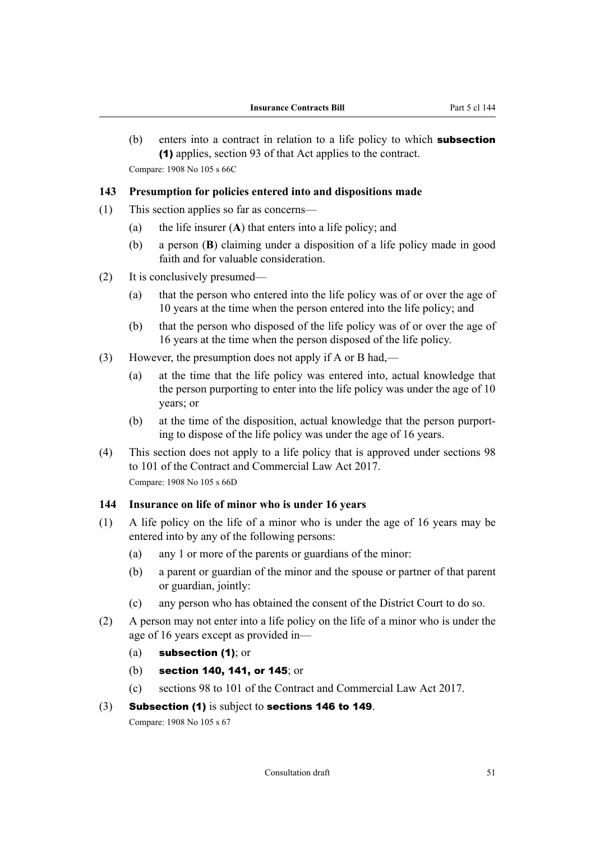<span id="page-52-0"></span>(b) enters into a contract in relation to a life policy to which **subsection** (1) applies, section 93 of that Act applies to the contract. Compare: 1908 No 105 s 66C

#### **143 Presumption for policies entered into and dispositions made**

- (1) This section applies so far as concerns—
	- (a) the life insurer (**A**) that enters into a life policy; and
	- (b) a person (**B**) claiming under a disposition of a life policy made in good faith and for valuable consideration.
- (2) It is conclusively presumed—
	- (a) that the person who entered into the life policy was of or over the age of 10 years at the time when the person entered into the life policy; and
	- (b) that the person who disposed of the life policy was of or over the age of 16 years at the time when the person disposed of the life policy.
- (3) However, the presumption does not apply if A or B had,—
	- (a) at the time that the life policy was entered into, actual knowledge that the person purporting to enter into the life policy was under the age of 10 years; or
	- (b) at the time of the disposition, actual knowledge that the person purport‐ ing to dispose of the life policy was under the age of 16 years.
- (4) This section does not apply to a life policy that is approved under sections 98 to 101 of the Contract and Commercial Law Act 2017. Compare: 1908 No 105 s 66D

#### **144 Insurance on life of minor who is under 16 years**

- (1) A life policy on the life of a minor who is under the age of 16 years may be entered into by any of the following persons:
	- (a) any 1 or more of the parents or guardians of the minor:
	- (b) a parent or guardian of the minor and the spouse or partner of that parent or guardian, jointly:
	- (c) any person who has obtained the consent of the District Court to do so.
- (2) A person may not enter into a life policy on the life of a minor who is under the age of 16 years except as provided in—
	- (a)  $subsection (1)$ ; or
	- (b) [section 140, 141,](#page-51-0) or [145](#page-53-0); or
	- (c) sections 98 to 101 of the Contract and Commercial Law Act 2017.

#### (3) Subsection (1) is subject to [sections 146](#page-53-0) to [149](#page-54-0).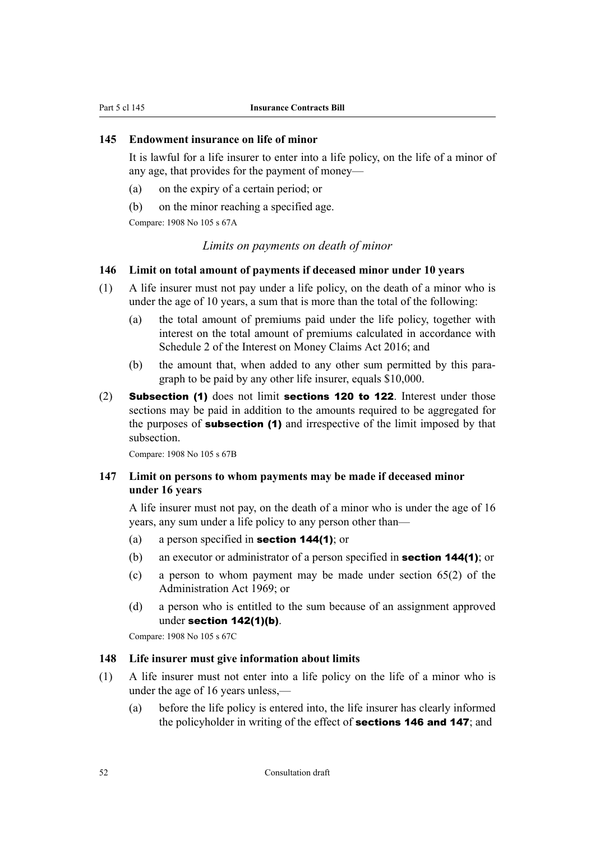### <span id="page-53-0"></span>**145 Endowment insurance on life of minor**

It is lawful for a life insurer to enter into a life policy, on the life of a minor of any age, that provides for the payment of money—

- (a) on the expiry of a certain period; or
- (b) on the minor reaching a specified age.

Compare: 1908 No 105 s 67A

## *Limits on payments on death of minor*

#### **146 Limit on total amount of payments if deceased minor under 10 years**

- (1) A life insurer must not pay under a life policy, on the death of a minor who is under the age of 10 years, a sum that is more than the total of the following:
	- (a) the total amount of premiums paid under the life policy, together with interest on the total amount of premiums calculated in accordance with Schedule 2 of the Interest on Money Claims Act 2016; and
	- (b) the amount that, when added to any other sum permitted by this paragraph to be paid by any other life insurer, equals \$10,000.
- (2) Subsection (1) does not limit [sections 120](#page-45-0) to [122](#page-46-0). Interest under those sections may be paid in addition to the amounts required to be aggregated for the purposes of **subsection (1)** and irrespective of the limit imposed by that subsection.

Compare: 1908 No 105 s 67B

## **147 Limit on persons to whom payments may be made if deceased minor under 16 years**

A life insurer must not pay, on the death of a minor who is under the age of 16 years, any sum under a life policy to any person other than—

- (a) a person specified in **[section 144\(1\)](#page-52-0)**; or
- (b) an executor or administrator of a person specified in [section 144\(1\)](#page-52-0); or
- (c) a person to whom payment may be made under section 65(2) of the Administration Act 1969; or
- (d) a person who is entitled to the sum because of an assignment approved under [section 142\(1\)\(b\)](#page-51-0).

Compare: 1908 No 105 s 67C

#### **148 Life insurer must give information about limits**

- (1) A life insurer must not enter into a life policy on the life of a minor who is under the age of 16 years unless,—
	- (a) before the life policy is entered into, the life insurer has clearly informed the policyholder in writing of the effect of **sections 146 and 147**; and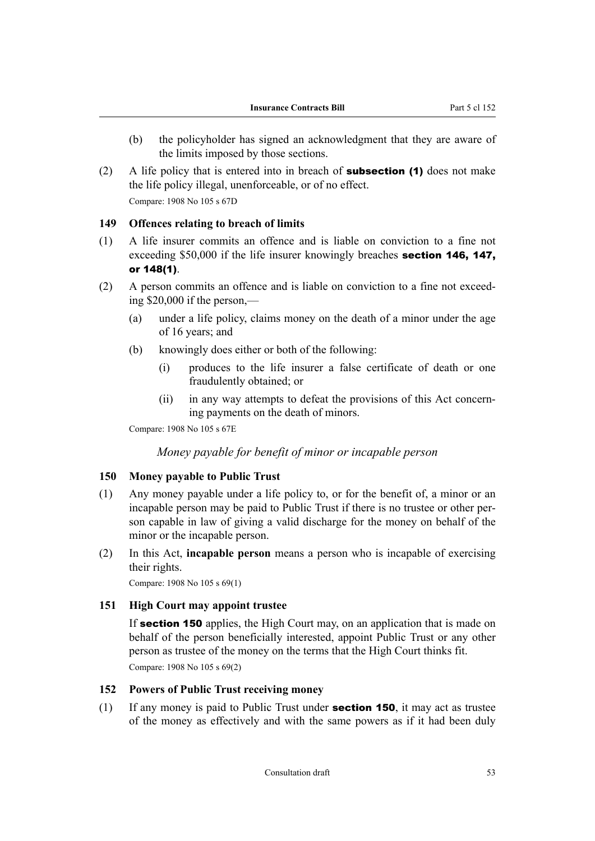- <span id="page-54-0"></span>(b) the policyholder has signed an acknowledgment that they are aware of the limits imposed by those sections.
- (2) A life policy that is entered into in breach of **subsection (1)** does not make the life policy illegal, unenforceable, or of no effect. Compare: 1908 No 105 s 67D

#### **149 Offences relating to breach of limits**

- (1) A life insurer commits an offence and is liable on conviction to a fine not exceeding \$50,000 if the life insurer knowingly breaches **[section 146,](#page-53-0) [147,](#page-53-0)** or [148\(1\)](#page-53-0).
- (2) A person commits an offence and is liable on conviction to a fine not exceed‐ ing \$20,000 if the person,—
	- (a) under a life policy, claims money on the death of a minor under the age of 16 years; and
	- (b) knowingly does either or both of the following:
		- (i) produces to the life insurer a false certificate of death or one fraudulently obtained; or
		- (ii) in any way attempts to defeat the provisions of this Act concern‐ ing payments on the death of minors.

Compare: 1908 No 105 s 67E

### *Money payable for benefit of minor or incapable person*

#### **150 Money payable to Public Trust**

- (1) Any money payable under a life policy to, or for the benefit of, a minor or an incapable person may be paid to Public Trust if there is no trustee or other person capable in law of giving a valid discharge for the money on behalf of the minor or the incapable person.
- (2) In this Act, **incapable person** means a person who is incapable of exercising their rights.

Compare: 1908 No 105 s 69(1)

## **151 High Court may appoint trustee**

If **section 150** applies, the High Court may, on an application that is made on behalf of the person beneficially interested, appoint Public Trust or any other person as trustee of the money on the terms that the High Court thinks fit. Compare: 1908 No 105 s 69(2)

#### **152 Powers of Public Trust receiving money**

(1) If any money is paid to Public Trust under **section 150**, it may act as trustee of the money as effectively and with the same powers as if it had been duly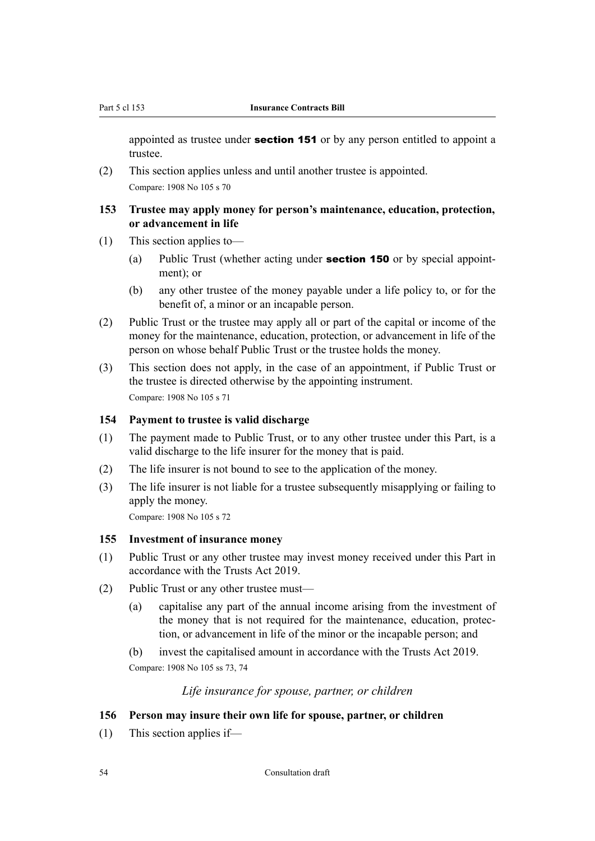<span id="page-55-0"></span>appointed as trustee under **[section 151](#page-54-0)** or by any person entitled to appoint a trustee.

(2) This section applies unless and until another trustee is appointed. Compare: 1908 No 105 s 70

#### **153 Trustee may apply money for person's maintenance, education, protection, or advancement in life**

- (1) This section applies to—
	- (a) Public Trust (whether acting under **[section 150](#page-54-0)** or by special appointment); or
	- (b) any other trustee of the money payable under a life policy to, or for the benefit of, a minor or an incapable person.
- (2) Public Trust or the trustee may apply all or part of the capital or income of the money for the maintenance, education, protection, or advancement in life of the person on whose behalf Public Trust or the trustee holds the money.
- (3) This section does not apply, in the case of an appointment, if Public Trust or the trustee is directed otherwise by the appointing instrument. Compare: 1908 No 105 s 71

### **154 Payment to trustee is valid discharge**

- (1) The payment made to Public Trust, or to any other trustee under this Part, is a valid discharge to the life insurer for the money that is paid.
- (2) The life insurer is not bound to see to the application of the money.
- (3) The life insurer is not liable for a trustee subsequently misapplying or failing to apply the money.

Compare: 1908 No 105 s 72

#### **155 Investment of insurance money**

- (1) Public Trust or any other trustee may invest money received under this Part in accordance with the Trusts Act 2019.
- (2) Public Trust or any other trustee must—
	- (a) capitalise any part of the annual income arising from the investment of the money that is not required for the maintenance, education, protec‐ tion, or advancement in life of the minor or the incapable person; and
	- (b) invest the capitalised amount in accordance with the Trusts Act 2019.

Compare: 1908 No 105 ss 73, 74

### *Life insurance for spouse, partner, or children*

## **156 Person may insure their own life for spouse, partner, or children**

(1) This section applies if—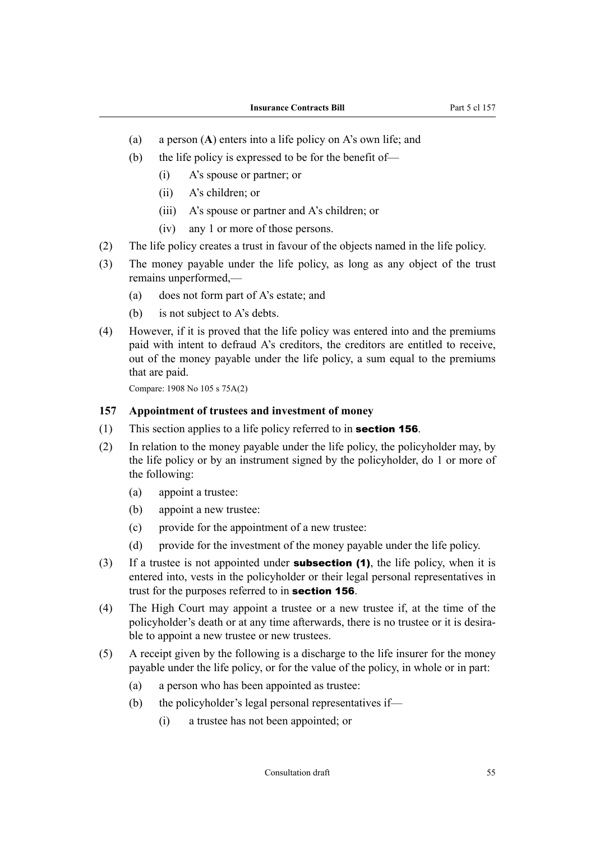- (a) a person (**A**) enters into a life policy on A's own life; and
- (b) the life policy is expressed to be for the benefit of—
	- (i) A's spouse or partner; or
	- (ii) A's children; or
	- (iii) A's spouse or partner and A's children; or
	- (iv) any 1 or more of those persons.
- (2) The life policy creates a trust in favour of the objects named in the life policy.
- (3) The money payable under the life policy, as long as any object of the trust remains unperformed,—
	- (a) does not form part of A's estate; and
	- (b) is not subject to A's debts.
- (4) However, if it is proved that the life policy was entered into and the premiums paid with intent to defraud A's creditors, the creditors are entitled to receive, out of the money payable under the life policy, a sum equal to the premiums that are paid.

Compare: 1908 No 105 s 75A(2)

#### **157 Appointment of trustees and investment of money**

- (1) This section applies to a life policy referred to in **[section 156](#page-55-0)**.
- (2) In relation to the money payable under the life policy, the policyholder may, by the life policy or by an instrument signed by the policyholder, do 1 or more of the following:
	- (a) appoint a trustee:
	- (b) appoint a new trustee:
	- (c) provide for the appointment of a new trustee:
	- (d) provide for the investment of the money payable under the life policy.
- (3) If a trustee is not appointed under **subsection (1)**, the life policy, when it is entered into, vests in the policyholder or their legal personal representatives in trust for the purposes referred to in **[section 156](#page-55-0)**.
- (4) The High Court may appoint a trustee or a new trustee if, at the time of the policyholder's death or at any time afterwards, there is no trustee or it is desirable to appoint a new trustee or new trustees.
- (5) A receipt given by the following is a discharge to the life insurer for the money payable under the life policy, or for the value of the policy, in whole or in part:
	- (a) a person who has been appointed as trustee:
	- (b) the policyholder's legal personal representatives if—
		- (i) a trustee has not been appointed; or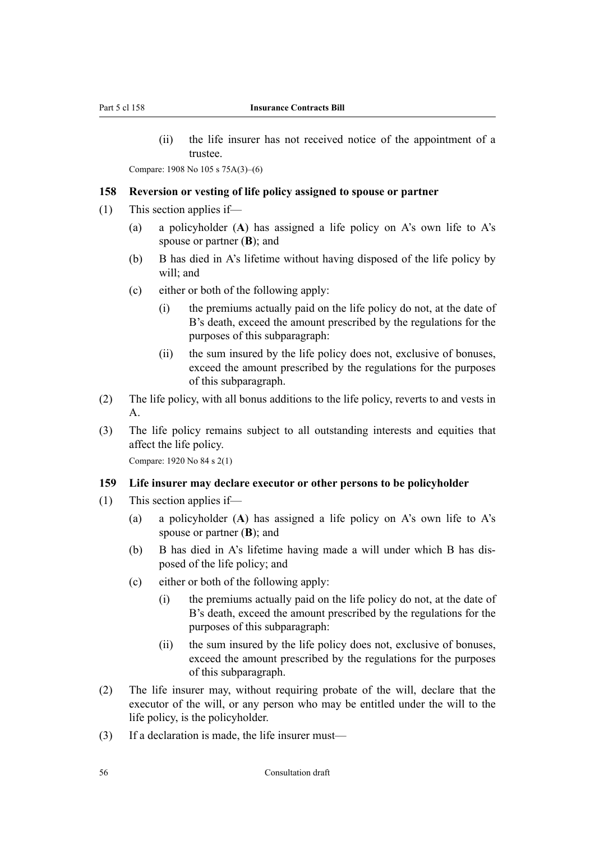<span id="page-57-0"></span>(ii) the life insurer has not received notice of the appointment of a trustee.

Compare: 1908 No 105 s 75A(3)–(6)

#### **158 Reversion or vesting of life policy assigned to spouse or partner**

- (1) This section applies if—
	- (a) a policyholder (**A**) has assigned a life policy on A's own life to A's spouse or partner (**B**); and
	- (b) B has died in A's lifetime without having disposed of the life policy by will; and
	- (c) either or both of the following apply:
		- (i) the premiums actually paid on the life policy do not, at the date of B's death, exceed the amount prescribed by the regulations for the purposes of this subparagraph:
		- (ii) the sum insured by the life policy does not, exclusive of bonuses, exceed the amount prescribed by the regulations for the purposes of this subparagraph.
- (2) The life policy, with all bonus additions to the life policy, reverts to and vests in A.
- (3) The life policy remains subject to all outstanding interests and equities that affect the life policy.

Compare: 1920 No 84 s 2(1)

#### **159 Life insurer may declare executor or other persons to be policyholder**

- (1) This section applies if—
	- (a) a policyholder (**A**) has assigned a life policy on A's own life to A's spouse or partner (**B**); and
	- (b) B has died in A's lifetime having made a will under which B has dis‐ posed of the life policy; and
	- (c) either or both of the following apply:
		- (i) the premiums actually paid on the life policy do not, at the date of B's death, exceed the amount prescribed by the regulations for the purposes of this subparagraph:
		- (ii) the sum insured by the life policy does not, exclusive of bonuses, exceed the amount prescribed by the regulations for the purposes of this subparagraph.
- (2) The life insurer may, without requiring probate of the will, declare that the executor of the will, or any person who may be entitled under the will to the life policy, is the policyholder.
- (3) If a declaration is made, the life insurer must—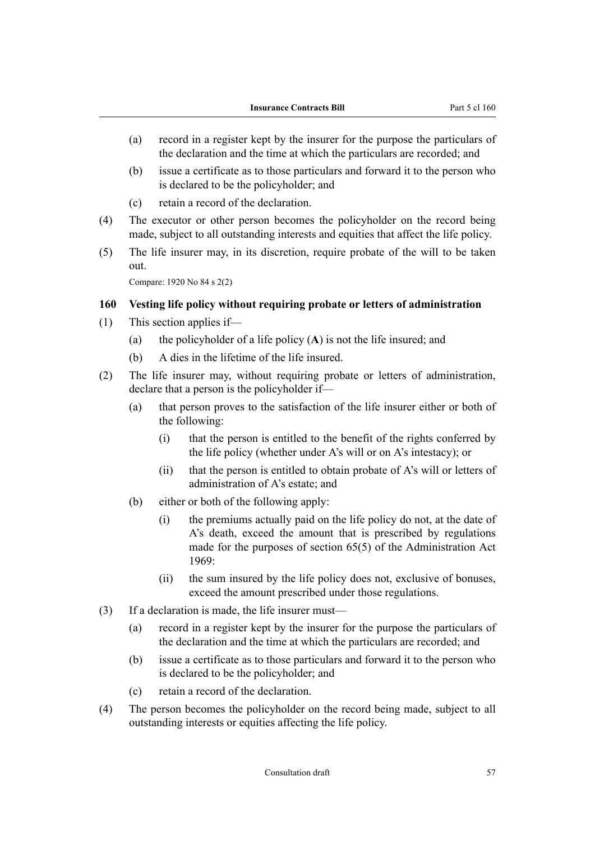- (a) record in a register kept by the insurer for the purpose the particulars of the declaration and the time at which the particulars are recorded; and
- (b) issue a certificate as to those particulars and forward it to the person who is declared to be the policyholder; and
- (c) retain a record of the declaration.
- (4) The executor or other person becomes the policyholder on the record being made, subject to all outstanding interests and equities that affect the life policy.
- (5) The life insurer may, in its discretion, require probate of the will to be taken out.

Compare: 1920 No 84 s 2(2)

### **160 Vesting life policy without requiring probate or letters of administration**

- (1) This section applies if—
	- (a) the policyholder of a life policy (**A**) is not the life insured; and
	- (b) A dies in the lifetime of the life insured.
- (2) The life insurer may, without requiring probate or letters of administration, declare that a person is the policyholder if—
	- (a) that person proves to the satisfaction of the life insurer either or both of the following:
		- (i) that the person is entitled to the benefit of the rights conferred by the life policy (whether under A's will or on A's intestacy); or
		- (ii) that the person is entitled to obtain probate of A's will or letters of administration of A's estate; and
	- (b) either or both of the following apply:
		- (i) the premiums actually paid on the life policy do not, at the date of A's death, exceed the amount that is prescribed by regulations made for the purposes of section 65(5) of the Administration Act 1969:
		- (ii) the sum insured by the life policy does not, exclusive of bonuses, exceed the amount prescribed under those regulations.
- (3) If a declaration is made, the life insurer must—
	- (a) record in a register kept by the insurer for the purpose the particulars of the declaration and the time at which the particulars are recorded; and
	- (b) issue a certificate as to those particulars and forward it to the person who is declared to be the policyholder; and
	- (c) retain a record of the declaration.
- (4) The person becomes the policyholder on the record being made, subject to all outstanding interests or equities affecting the life policy.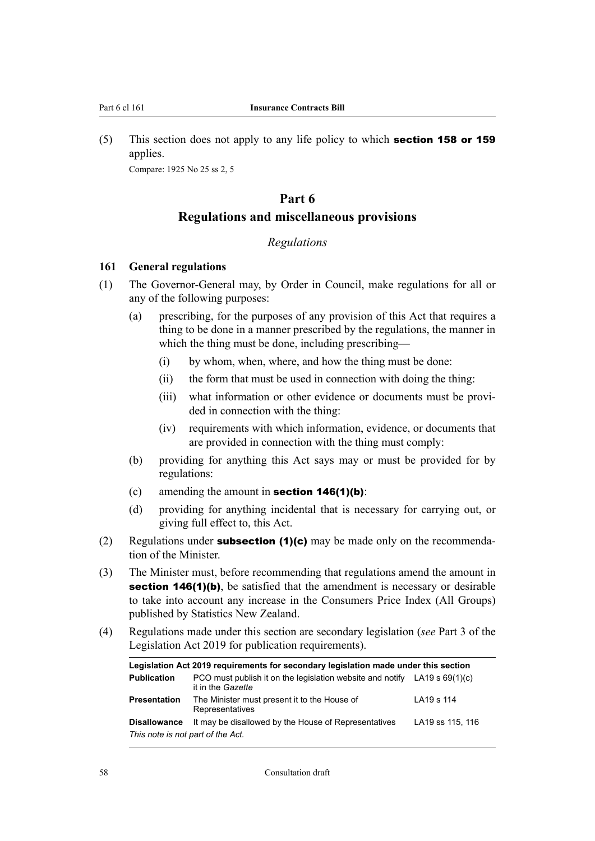(5) This section does not apply to any life policy to which **[section 158](#page-57-0) or [159](#page-57-0)** applies.

Compare: 1925 No 25 ss 2, 5

# **Part 6 Regulations and miscellaneous provisions**

## *Regulations*

#### **161 General regulations**

- (1) The Governor-General may, by Order in Council, make regulations for all or any of the following purposes:
	- (a) prescribing, for the purposes of any provision of this Act that requires a thing to be done in a manner prescribed by the regulations, the manner in which the thing must be done, including prescribing—
		- (i) by whom, when, where, and how the thing must be done:
		- (ii) the form that must be used in connection with doing the thing:
		- (iii) what information or other evidence or documents must be provided in connection with the thing:
		- (iv) requirements with which information, evidence, or documents that are provided in connection with the thing must comply:
	- (b) providing for anything this Act says may or must be provided for by regulations:
	- (c) amending the amount in **[section 146\(1\)\(b\)](#page-53-0)**:
	- (d) providing for anything incidental that is necessary for carrying out, or giving full effect to, this Act.
- (2) Regulations under **subsection (1)(c)** may be made only on the recommendation of the Minister.
- (3) The Minister must, before recommending that regulations amend the amount in [section 146\(1\)\(b\)](#page-53-0), be satisfied that the amendment is necessary or desirable to take into account any increase in the Consumers Price Index (All Groups) published by Statistics New Zealand.
- (4) Regulations made under this section are secondary legislation (*see* Part 3 of the Legislation Act 2019 for publication requirements).

| Legislation Act 2019 requirements for secondary legislation made under this section |                                                                                                  |                  |  |  |
|-------------------------------------------------------------------------------------|--------------------------------------------------------------------------------------------------|------------------|--|--|
| <b>Publication</b>                                                                  | PCO must publish it on the legislation website and notify LA19 s $69(1)(c)$<br>it in the Gazette |                  |  |  |
| <b>Presentation</b>                                                                 | The Minister must present it to the House of<br>Representatives                                  | LA19 s 114       |  |  |
| <b>Disallowance</b>                                                                 | It may be disallowed by the House of Representatives                                             | LA19 ss 115, 116 |  |  |
| This note is not part of the Act.                                                   |                                                                                                  |                  |  |  |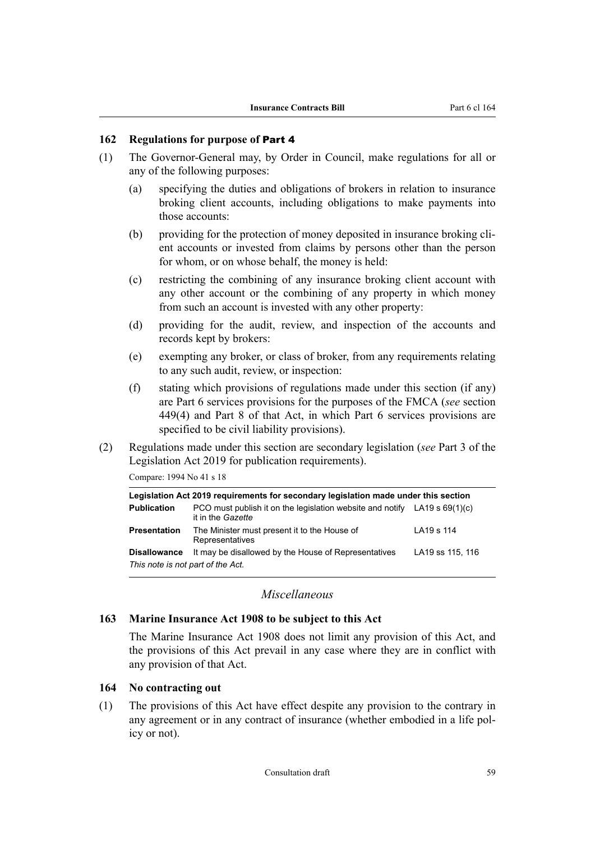### <span id="page-60-0"></span>**162 Regulations for purpose of** [Part 4](#page-37-0)

- (1) The Governor-General may, by Order in Council, make regulations for all or any of the following purposes:
	- (a) specifying the duties and obligations of brokers in relation to insurance broking client accounts, including obligations to make payments into those accounts:
	- (b) providing for the protection of money deposited in insurance broking client accounts or invested from claims by persons other than the person for whom, or on whose behalf, the money is held:
	- (c) restricting the combining of any insurance broking client account with any other account or the combining of any property in which money from such an account is invested with any other property:
	- (d) providing for the audit, review, and inspection of the accounts and records kept by brokers:
	- (e) exempting any broker, or class of broker, from any requirements relating to any such audit, review, or inspection:
	- (f) stating which provisions of regulations made under this section (if any) are Part 6 services provisions for the purposes of the FMCA (*see* section 449(4) and Part 8 of that Act, in which Part 6 services provisions are specified to be civil liability provisions).
- (2) Regulations made under this section are secondary legislation (*see* Part 3 of the Legislation Act 2019 for publication requirements).

Compare: 1994 No 41 s 18

| Legislation Act 2019 requirements for secondary legislation made under this section |                                                                                                  |                  |  |  |
|-------------------------------------------------------------------------------------|--------------------------------------------------------------------------------------------------|------------------|--|--|
| <b>Publication</b>                                                                  | PCO must publish it on the legislation website and notify LA19 s $69(1)(c)$<br>it in the Gazette |                  |  |  |
| <b>Presentation</b>                                                                 | The Minister must present it to the House of<br>Representatives                                  | LA19 s 114       |  |  |
| <b>Disallowance</b>                                                                 | It may be disallowed by the House of Representatives                                             | LA19 ss 115, 116 |  |  |
| This note is not part of the Act.                                                   |                                                                                                  |                  |  |  |

#### *Miscellaneous*

## **163 Marine Insurance Act 1908 to be subject to this Act**

The Marine Insurance Act 1908 does not limit any provision of this Act, and the provisions of this Act prevail in any case where they are in conflict with any provision of that Act.

#### **164 No contracting out**

(1) The provisions of this Act have effect despite any provision to the contrary in any agreement or in any contract of insurance (whether embodied in a life policy or not).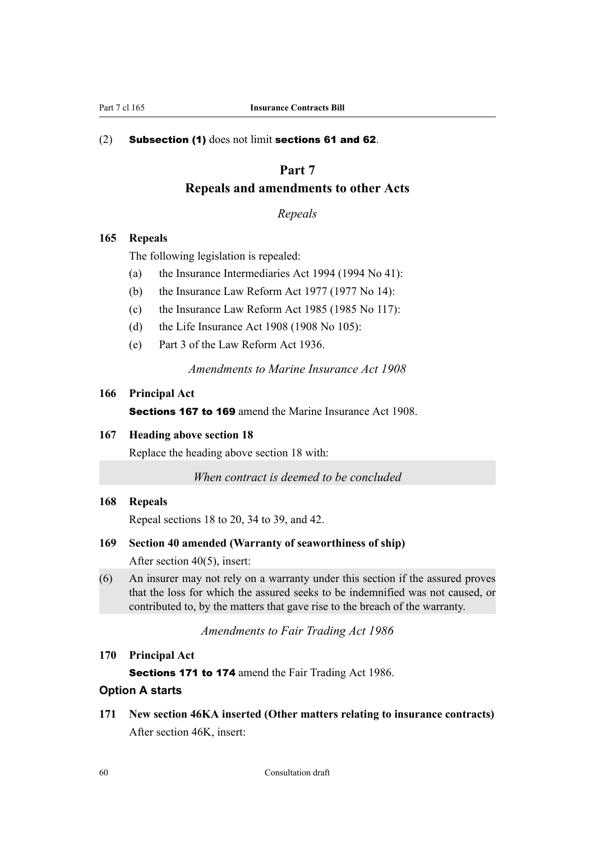## (2) Subsection (1) does not limit [sections 61](#page-25-0) and [62](#page-25-0).

## **Part 7**

## **Repeals and amendments to other Acts**

*Repeals*

## **165 Repeals**

The following legislation is repealed:

- (a) the Insurance Intermediaries Act 1994 (1994 No 41):
- (b) the Insurance Law Reform Act 1977 (1977 No 14):
- (c) the Insurance Law Reform Act 1985 (1985 No 117):
- (d) the Life Insurance Act 1908 (1908 No 105):
- (e) Part 3 of the Law Reform Act 1936.

*Amendments to Marine Insurance Act 1908*

## **166 Principal Act**

Sections 167 to 169 amend the Marine Insurance Act 1908.

## **167 Heading above section 18**

Replace the heading above section 18 with:

*When contract is deemed to be concluded*

#### **168 Repeals**

Repeal sections 18 to 20, 34 to 39, and 42.

### **169 Section 40 amended (Warranty of seaworthiness of ship)**

After section 40(5), insert:

(6) An insurer may not rely on a warranty under this section if the assured proves that the loss for which the assured seeks to be indemnified was not caused, or contributed to, by the matters that gave rise to the breach of the warranty.

*Amendments to Fair Trading Act 1986*

## **170 Principal Act**

Sections 171 to [174](#page-63-0) amend the Fair Trading Act 1986.

## **Option A starts**

**171 New section 46KA inserted (Other matters relating to insurance contracts)** After section 46K, insert: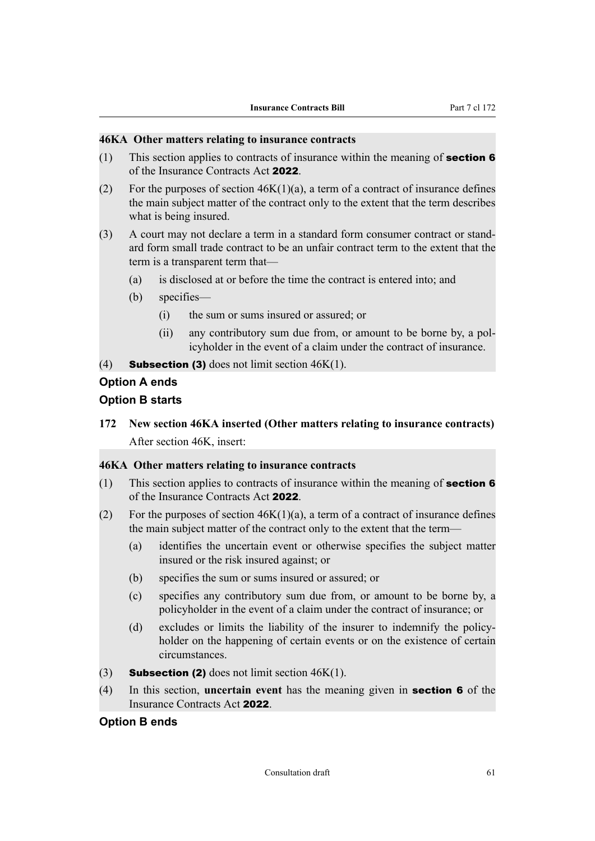## **46KA Other matters relating to insurance contracts**

- (1) This section applies to contracts of insurance within the meaning of **[section 6](#page-12-0)** of the Insurance Contracts Act 2022.
- (2) For the purposes of section  $46K(1)(a)$ , a term of a contract of insurance defines the main subject matter of the contract only to the extent that the term describes what is being insured.
- (3) A court may not declare a term in a standard form consumer contract or stand‐ ard form small trade contract to be an unfair contract term to the extent that the term is a transparent term that—
	- (a) is disclosed at or before the time the contract is entered into; and
	- (b) specifies—
		- (i) the sum or sums insured or assured; or
		- (ii) any contributory sum due from, or amount to be borne by, a pol‐ icyholder in the event of a claim under the contract of insurance.
- (4) **Subsection (3)** does not limit section  $46K(1)$ .

## **Option A ends**

## **Option B starts**

**172 New section 46KA inserted (Other matters relating to insurance contracts)** After section 46K, insert:

### **46KA Other matters relating to insurance contracts**

- (1) This section applies to contracts of insurance within the meaning of **[section 6](#page-12-0)** of the Insurance Contracts Act 2022.
- (2) For the purposes of section  $46K(1)(a)$ , a term of a contract of insurance defines the main subject matter of the contract only to the extent that the term—
	- (a) identifies the uncertain event or otherwise specifies the subject matter insured or the risk insured against; or
	- (b) specifies the sum or sums insured or assured; or
	- (c) specifies any contributory sum due from, or amount to be borne by, a policyholder in the event of a claim under the contract of insurance; or
	- (d) excludes or limits the liability of the insurer to indemnify the policyholder on the happening of certain events or on the existence of certain circumstances.
- (3) **Subsection (2)** does not limit section  $46K(1)$ .
- (4) In this section, **uncertain event** has the meaning given in [section 6](#page-12-0) of the Insurance Contracts Act 2022.

#### **Option B ends**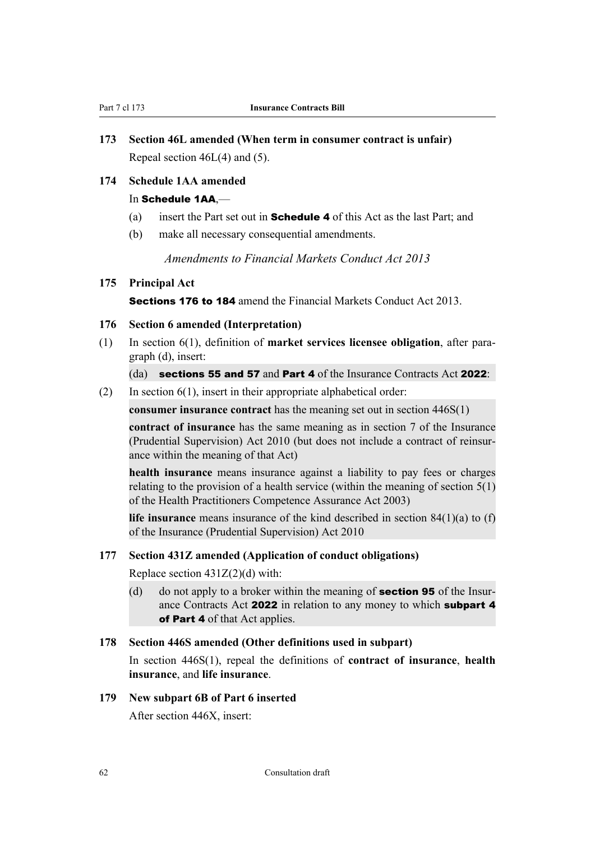# <span id="page-63-0"></span>**173 Section 46L amended (When term in consumer contract is unfair)** Repeal section 46L(4) and (5).

## **174 Schedule 1AA amended**

#### In Schedule 1AA.-

- (a) insert the Part set out in **[Schedule 4](#page-80-0)** of this Act as the last Part; and
- (b) make all necessary consequential amendments.

*Amendments to Financial Markets Conduct Act 2013*

## **175 Principal Act**

Sections 176 to [184](#page-66-0) amend the Financial Markets Conduct Act 2013.

## **176 Section 6 amended (Interpretation)**

(1) In section 6(1), definition of **market services licensee obligation**, after para‐ graph (d), insert:

#### $(da)$  [sections 55](#page-23-0) and [57](#page-23-0) and [Part 4](#page-37-0) of the Insurance Contracts Act 2022:

 $(2)$  In section 6(1), insert in their appropriate alphabetical order:

**consumer insurance contract** has the meaning set out in section 446S(1)

**contract of insurance** has the same meaning as in section 7 of the Insurance (Prudential Supervision) Act 2010 (but does not include a contract of reinsur‐ ance within the meaning of that Act)

**health insurance** means insurance against a liability to pay fees or charges relating to the provision of a health service (within the meaning of section 5(1) of the Health Practitioners Competence Assurance Act 2003)

**life insurance** means insurance of the kind described in section 84(1)(a) to (f) of the Insurance (Prudential Supervision) Act 2010

### **177 Section 431Z amended (Application of conduct obligations)**

Replace section  $431Z(2)(d)$  with:

(d) do not apply to a broker within the meaning of **[section 95](#page-37-0)** of the Insurance Contracts Act 2022 in relation to any money to which [subpart 4](#page-41-0) of [Part 4](#page-37-0) of that Act applies.

#### **178 Section 446S amended (Other definitions used in subpart)**

In section 446S(1), repeal the definitions of **contract of insurance**, **health insurance**, and **life insurance**.

## **179 New subpart 6B of Part 6 inserted**

After section 446X, insert: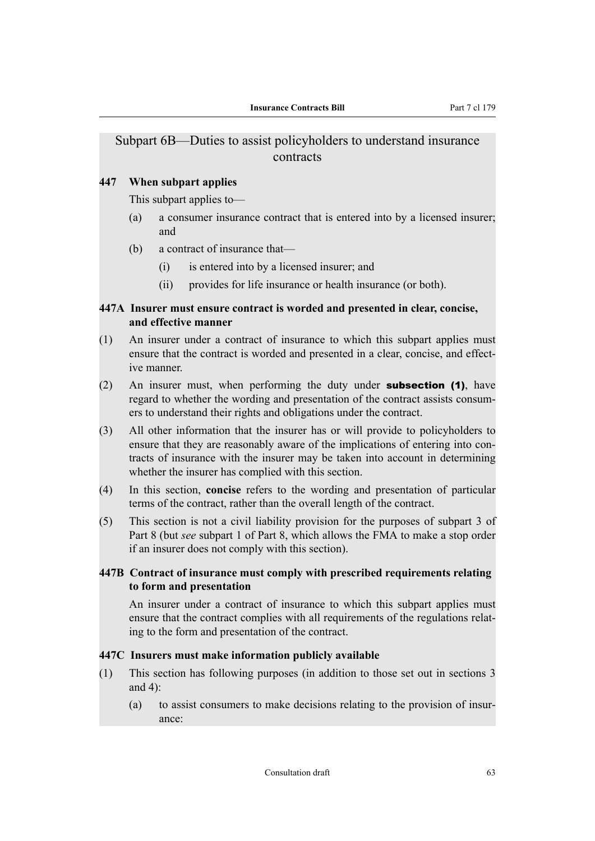## Subpart 6B—Duties to assist policyholders to understand insurance contracts

## **447 When subpart applies**

This subpart applies to—

- (a) a consumer insurance contract that is entered into by a licensed insurer; and
- (b) a contract of insurance that—
	- (i) is entered into by a licensed insurer; and
	- (ii) provides for life insurance or health insurance (or both).

## **447A Insurer must ensure contract is worded and presented in clear, concise, and effective manner**

- (1) An insurer under a contract of insurance to which this subpart applies must ensure that the contract is worded and presented in a clear, concise, and effective manner.
- (2) An insurer must, when performing the duty under **subsection (1)**, have regard to whether the wording and presentation of the contract assists consum‐ ers to understand their rights and obligations under the contract.
- (3) All other information that the insurer has or will provide to policyholders to ensure that they are reasonably aware of the implications of entering into contracts of insurance with the insurer may be taken into account in determining whether the insurer has complied with this section.
- (4) In this section, **concise** refers to the wording and presentation of particular terms of the contract, rather than the overall length of the contract.
- (5) This section is not a civil liability provision for the purposes of subpart 3 of Part 8 (but *see* subpart 1 of Part 8, which allows the FMA to make a stop order if an insurer does not comply with this section).

## **447B Contract of insurance must comply with prescribed requirements relating to form and presentation**

An insurer under a contract of insurance to which this subpart applies must ensure that the contract complies with all requirements of the regulations relating to the form and presentation of the contract.

## **447C Insurers must make information publicly available**

- (1) This section has following purposes (in addition to those set out in sections 3 and 4):
	- (a) to assist consumers to make decisions relating to the provision of insur‐ ance: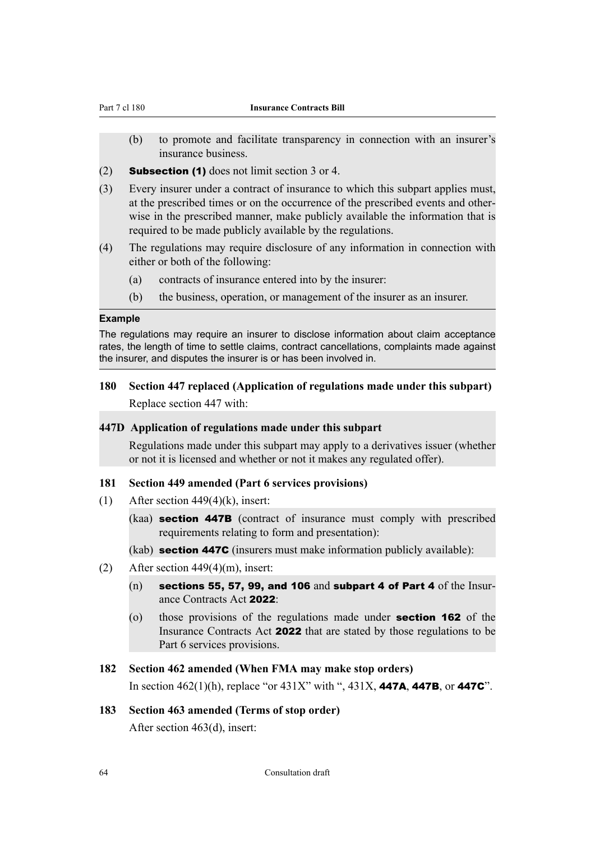- (b) to promote and facilitate transparency in connection with an insurer's insurance business.
- $(2)$  **Subsection (1)** does not limit section 3 or 4.
- (3) Every insurer under a contract of insurance to which this subpart applies must, at the prescribed times or on the occurrence of the prescribed events and other‐ wise in the prescribed manner, make publicly available the information that is required to be made publicly available by the regulations.
- (4) The regulations may require disclosure of any information in connection with either or both of the following:
	- (a) contracts of insurance entered into by the insurer:
	- (b) the business, operation, or management of the insurer as an insurer.

#### **Example**

The regulations may require an insurer to disclose information about claim acceptance rates, the length of time to settle claims, contract cancellations, complaints made against the insurer, and disputes the insurer is or has been involved in.

# **180 Section 447 replaced (Application of regulations made under this subpart)**

Replace section 447 with:

#### **447D Application of regulations made under this subpart**

Regulations made under this subpart may apply to a derivatives issuer (whether or not it is licensed and whether or not it makes any regulated offer).

#### **181 Section 449 amended (Part 6 services provisions)**

- (1) After section  $449(4)(k)$ , insert:
	- (kaa) section 447B (contract of insurance must comply with prescribed requirements relating to form and presentation):

(kab) section 447C (insurers must make information publicly available):

- (2) After section 449(4)(m), insert:
	- (n) [sections 55](#page-23-0), [57](#page-23-0), [99](#page-38-0), and [106](#page-41-0) and [subpart 4](#page-41-0) of [Part 4](#page-37-0) of the Insurance Contracts Act 2022:
	- (o) those provisions of the regulations made under [section 162](#page-60-0) of the Insurance Contracts Act 2022 that are stated by those regulations to be Part 6 services provisions.

#### **182 Section 462 amended (When FMA may make stop orders)**

In section 462(1)(h), replace "or  $431X$ " with ",  $431X$ ,  $447A$ ,  $447B$ , or  $447C$ ".

## **183 Section 463 amended (Terms of stop order)**

After section 463(d), insert: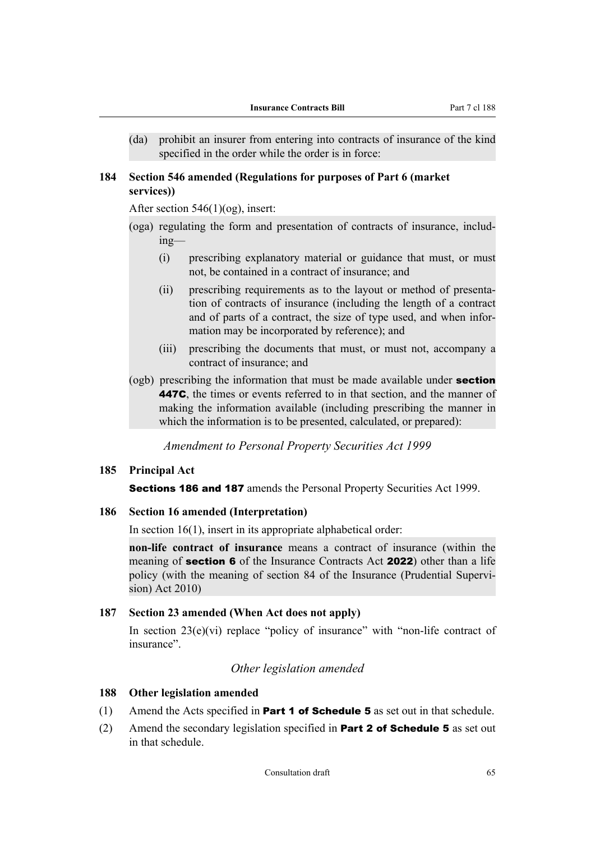<span id="page-66-0"></span>(da) prohibit an insurer from entering into contracts of insurance of the kind specified in the order while the order is in force:

## **184 Section 546 amended (Regulations for purposes of Part 6 (market services))**

After section 546(1)(og), insert:

- (oga) regulating the form and presentation of contracts of insurance, includ‐ ing—
	- (i) prescribing explanatory material or guidance that must, or must not, be contained in a contract of insurance; and
	- (ii) prescribing requirements as to the layout or method of presentation of contracts of insurance (including the length of a contract and of parts of a contract, the size of type used, and when information may be incorporated by reference); and
	- (iii) prescribing the documents that must, or must not, accompany a contract of insurance; and
- (ogb) prescribing the information that must be made available under **section** 447C, the times or events referred to in that section, and the manner of making the information available (including prescribing the manner in which the information is to be presented, calculated, or prepared):

*Amendment to Personal Property Securities Act 1999*

#### **185 Principal Act**

**Sections 186 and 187** amends the Personal Property Securities Act 1999.

#### **186 Section 16 amended (Interpretation)**

In section 16(1), insert in its appropriate alphabetical order:

**non-life contract of insurance** means a contract of insurance (within the meaning of **[section 6](#page-12-0)** of the Insurance Contracts Act **2022**) other than a life policy (with the meaning of section 84 of the Insurance (Prudential Supervision) Act 2010)

## **187 Section 23 amended (When Act does not apply)**

In section  $23(e)(vi)$  replace "policy of insurance" with "non-life contract of insurance".

#### *Other legislation amended*

#### **188 Other legislation amended**

- (1) Amend the Acts specified in **Part 1 of [Schedule 5](#page-81-0)** as set out in that schedule.
- (2) Amend the secondary legislation specified in **Part 2 of [Schedule 5](#page-81-0)** as set out in that schedule.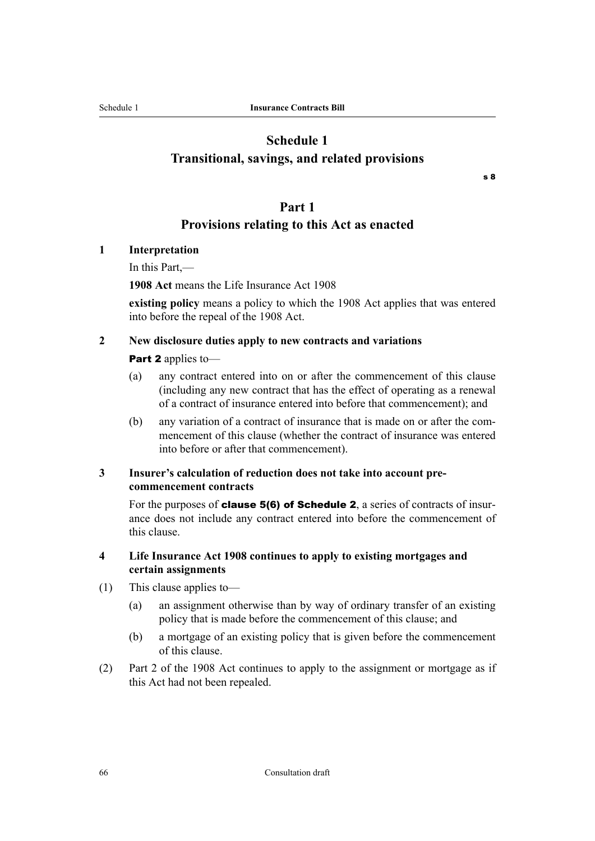# <span id="page-67-0"></span>**Schedule 1 Transitional, savings, and related provisions**

[s 8](#page-13-0)

## **Part 1**

## **Provisions relating to this Act as enacted**

## **1 Interpretation**

In this Part,—

**1908 Act** means the Life Insurance Act 1908

**existing policy** means a policy to which the 1908 Act applies that was entered into before the repeal of the 1908 Act.

## **2 New disclosure duties apply to new contracts and variations**

## [Part 2](#page-13-0) applies to-

- (a) any contract entered into on or after the commencement of this clause (including any new contract that has the effect of operating as a renewal of a contract of insurance entered into before that commencement); and
- (b) any variation of a contract of insurance that is made on or after the com‐ mencement of this clause (whether the contract of insurance was entered into before or after that commencement).

## **3 Insurer's calculation of reduction does not take into account precommencement contracts**

For the purposes of **[clause 5\(6\)](#page-70-0) of [Schedule 2](#page-69-0)**, a series of contracts of insurance does not include any contract entered into before the commencement of this clause.

## **4 Life Insurance Act 1908 continues to apply to existing mortgages and certain assignments**

- (1) This clause applies to—
	- (a) an assignment otherwise than by way of ordinary transfer of an existing policy that is made before the commencement of this clause; and
	- (b) a mortgage of an existing policy that is given before the commencement of this clause.
- (2) Part 2 of the 1908 Act continues to apply to the assignment or mortgage as if this Act had not been repealed.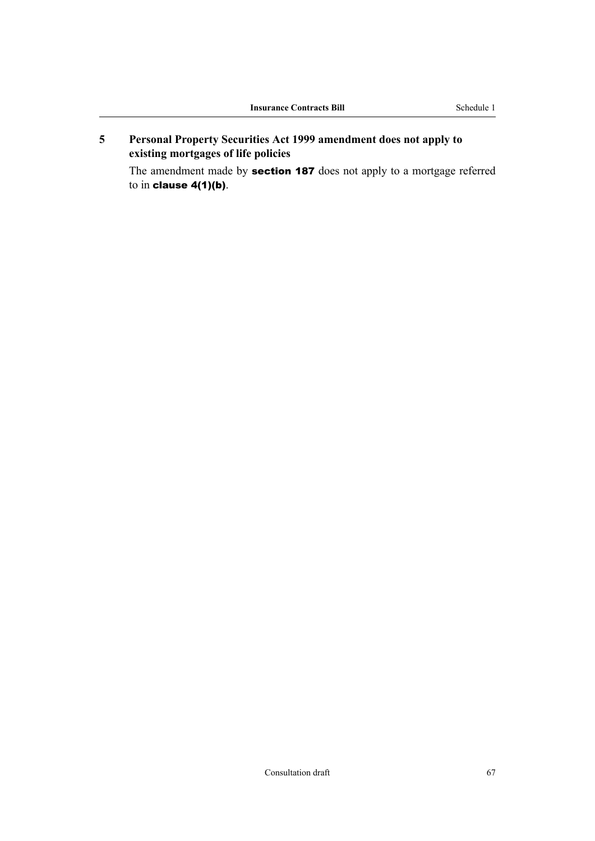**5 Personal Property Securities Act 1999 amendment does not apply to existing mortgages of life policies**

The amendment made by **[section 187](#page-66-0)** does not apply to a mortgage referred to in [clause 4\(1\)\(b\)](#page-67-0).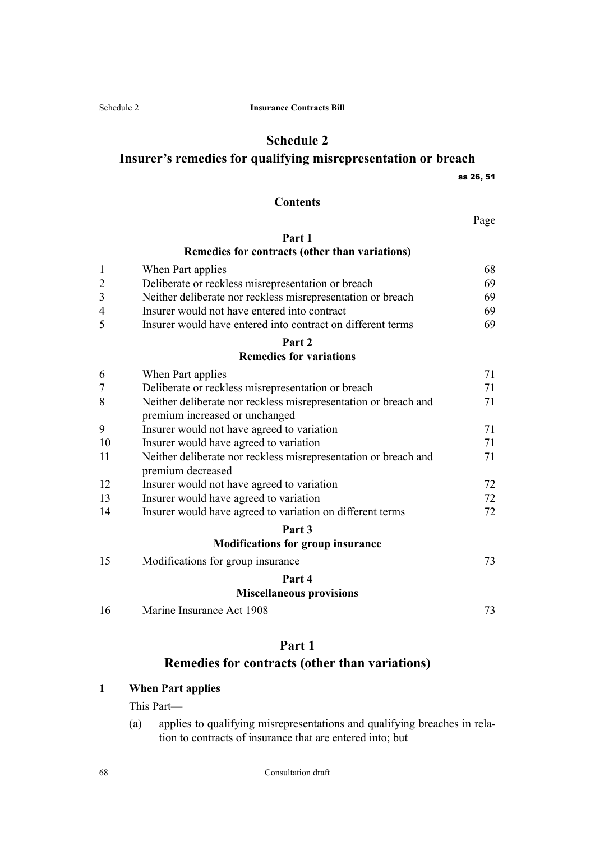# **Schedule 2**

## <span id="page-69-0"></span>**Insurer's remedies for qualifying misrepresentation or breach**

[ss 26,](#page-17-0) [51](#page-22-0)

#### **Contents**

Page

## **Part 1 Remedies for contracts (other than variations)**

| 1              | When Part applies                                               | 68 |
|----------------|-----------------------------------------------------------------|----|
| $\overline{c}$ | Deliberate or reckless misrepresentation or breach              | 69 |
| 3              | Neither deliberate nor reckless misrepresentation or breach     | 69 |
| 4              | Insurer would not have entered into contract                    | 69 |
| 5              | Insurer would have entered into contract on different terms     | 69 |
|                | Part 2                                                          |    |
|                | <b>Remedies for variations</b>                                  |    |
| 6              | When Part applies                                               | 71 |
|                | Deliberate or reckless misrepresentation or breach              | 71 |
| 8              | Neither deliberate nor reckless misrepresentation or breach and | 71 |
|                | premium increased or unchanged                                  |    |
| 9              | Insurer would not have agreed to variation                      | 71 |
| 10             | Insurer would have agreed to variation                          | 71 |
| 11             | Neither deliberate nor reckless misrepresentation or breach and | 71 |
|                | premium decreased                                               |    |
| 12             | Insurer would not have agreed to variation                      | 72 |
| 13             | Insurer would have agreed to variation                          | 72 |
| 14             | Insurer would have agreed to variation on different terms       | 72 |
|                | Part 3                                                          |    |
|                | <b>Modifications for group insurance</b>                        |    |
| 15             | Modifications for group insurance                               | 73 |
|                | Part 4                                                          |    |
|                | <b>Miscellaneous provisions</b>                                 |    |
| 16             | Marine Insurance Act 1908                                       | 73 |

## **Part 1**

# **Remedies for contracts (other than variations)**

## **1 When Part applies**

This Part—

(a) applies to qualifying misrepresentations and qualifying breaches in rela‐ tion to contracts of insurance that are entered into; but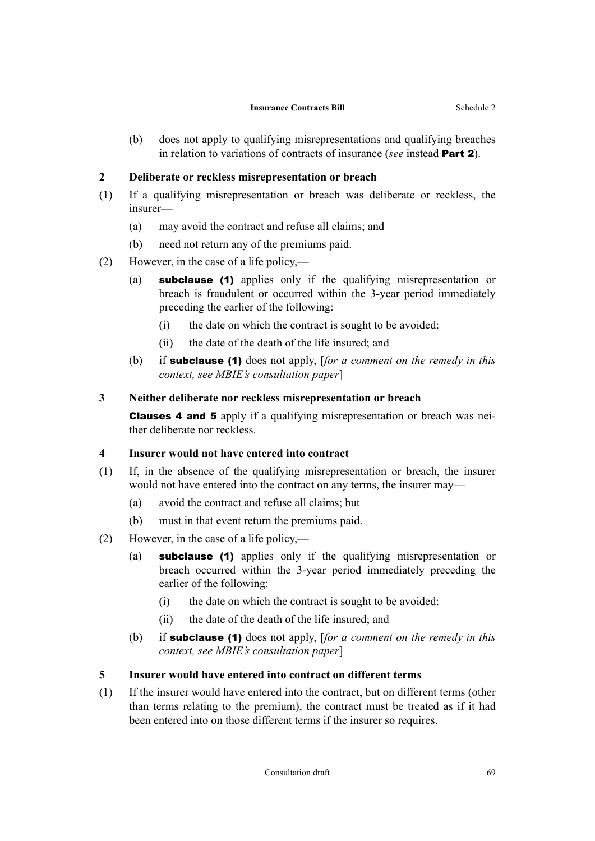<span id="page-70-0"></span>(b) does not apply to qualifying misrepresentations and qualifying breaches in relation to variations of contracts of insurance (*see* instead [Part 2](#page-72-0)).

### **2 Deliberate or reckless misrepresentation or breach**

- (1) If a qualifying misrepresentation or breach was deliberate or reckless, the insurer—
	- (a) may avoid the contract and refuse all claims; and
	- (b) need not return any of the premiums paid.
- (2) However, in the case of a life policy,—
	- (a) subclause (1) applies only if the qualifying misrepresentation or breach is fraudulent or occurred within the 3-year period immediately preceding the earlier of the following:
		- (i) the date on which the contract is sought to be avoided:
		- (ii) the date of the death of the life insured; and
	- (b) if subclause (1) does not apply, [*for a comment on the remedy in this context, see MBIE's consultation paper*]

## **3 Neither deliberate nor reckless misrepresentation or breach**

Clauses 4 and 5 apply if a qualifying misrepresentation or breach was nei‐ ther deliberate nor reckless.

#### **4 Insurer would not have entered into contract**

- (1) If, in the absence of the qualifying misrepresentation or breach, the insurer would not have entered into the contract on any terms, the insurer may—
	- (a) avoid the contract and refuse all claims; but
	- (b) must in that event return the premiums paid.
- (2) However, in the case of a life policy,—
	- (a) subclause (1) applies only if the qualifying misrepresentation or breach occurred within the 3-year period immediately preceding the earlier of the following:
		- (i) the date on which the contract is sought to be avoided:
		- (ii) the date of the death of the life insured; and
	- (b) if subclause (1) does not apply, [*for a comment on the remedy in this context, see MBIE's consultation paper*]

### **5 Insurer would have entered into contract on different terms**

(1) If the insurer would have entered into the contract, but on different terms (other than terms relating to the premium), the contract must be treated as if it had been entered into on those different terms if the insurer so requires.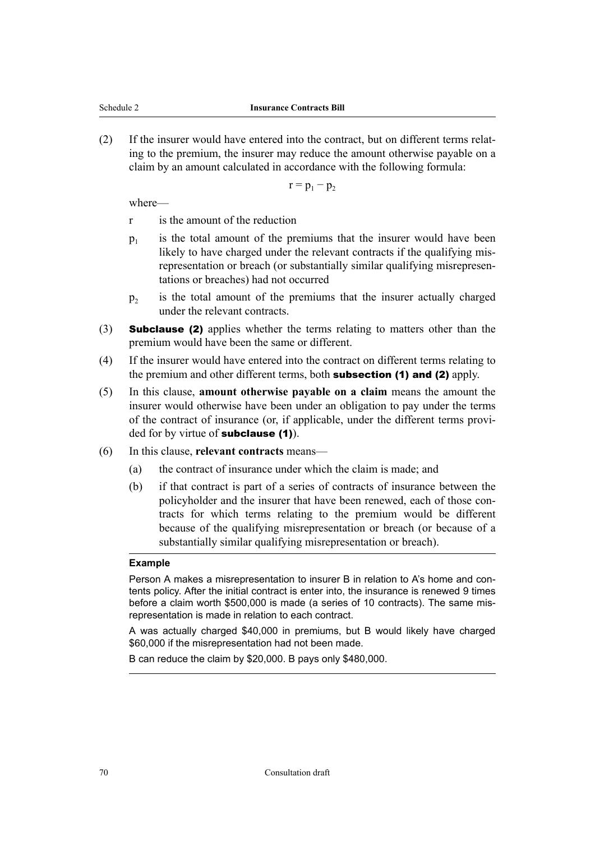(2) If the insurer would have entered into the contract, but on different terms relat‐ ing to the premium, the insurer may reduce the amount otherwise payable on a claim by an amount calculated in accordance with the following formula:

 $r = p_1 - p_2$ 

where—

- r is the amount of the reduction
- $p_1$ is the total amount of the premiums that the insurer would have been likely to have charged under the relevant contracts if the qualifying misrepresentation or breach (or substantially similar qualifying misrepresentations or breaches) had not occurred
- $p<sub>2</sub>$ is the total amount of the premiums that the insurer actually charged under the relevant contracts.
- (3) Subclause (2) applies whether the terms relating to matters other than the premium would have been the same or different.
- (4) If the insurer would have entered into the contract on different terms relating to the premium and other different terms, both **subsection (1) and (2)** apply.
- (5) In this clause, **amount otherwise payable on a claim** means the amount the insurer would otherwise have been under an obligation to pay under the terms of the contract of insurance (or, if applicable, under the different terms provided for by virtue of **subclause** (1).
- (6) In this clause, **relevant contracts** means—
	- (a) the contract of insurance under which the claim is made; and
	- (b) if that contract is part of a series of contracts of insurance between the policyholder and the insurer that have been renewed, each of those contracts for which terms relating to the premium would be different because of the qualifying misrepresentation or breach (or because of a substantially similar qualifying misrepresentation or breach).

#### **Example**

Person A makes a misrepresentation to insurer B in relation to A's home and contents policy. After the initial contract is enter into, the insurance is renewed 9 times before a claim worth \$500,000 is made (a series of 10 contracts). The same misrepresentation is made in relation to each contract.

A was actually charged \$40,000 in premiums, but B would likely have charged \$60,000 if the misrepresentation had not been made.

B can reduce the claim by \$20,000. B pays only \$480,000.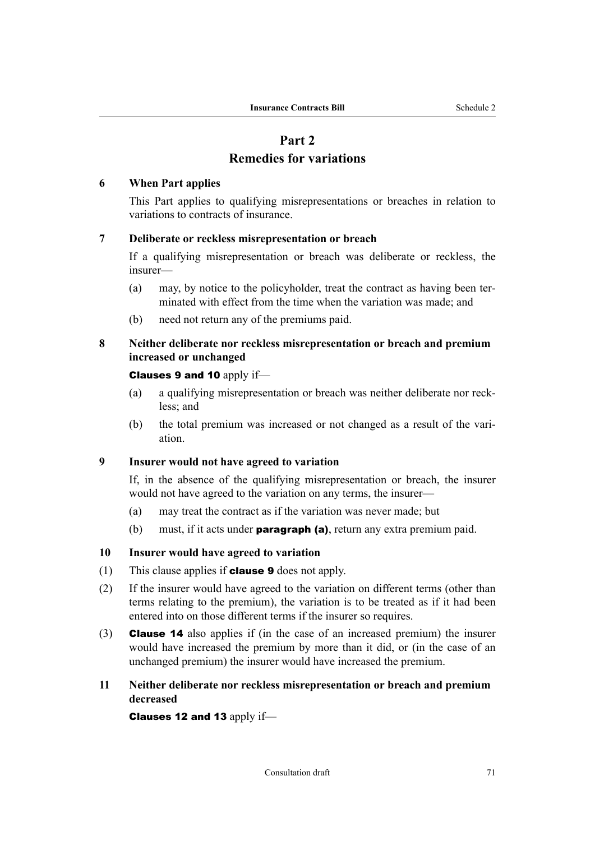# **Part 2**

# **Remedies for variations**

# <span id="page-72-0"></span>**6 When Part applies**

This Part applies to qualifying misrepresentations or breaches in relation to variations to contracts of insurance.

# **7 Deliberate or reckless misrepresentation or breach**

If a qualifying misrepresentation or breach was deliberate or reckless, the insurer—

- (a) may, by notice to the policyholder, treat the contract as having been ter‐ minated with effect from the time when the variation was made; and
- (b) need not return any of the premiums paid.

# **8 Neither deliberate nor reckless misrepresentation or breach and premium increased or unchanged**

# Clauses 9 and 10 apply if—

- (a) a qualifying misrepresentation or breach was neither deliberate nor reck‐ less; and
- (b) the total premium was increased or not changed as a result of the variation.

# **9 Insurer would not have agreed to variation**

If, in the absence of the qualifying misrepresentation or breach, the insurer would not have agreed to the variation on any terms, the insurer—

- (a) may treat the contract as if the variation was never made; but
- (b) must, if it acts under **paragraph (a)**, return any extra premium paid.

# **10 Insurer would have agreed to variation**

- (1) This clause applies if **clause 9** does not apply.
- (2) If the insurer would have agreed to the variation on different terms (other than terms relating to the premium), the variation is to be treated as if it had been entered into on those different terms if the insurer so requires.
- (3) [Clause 14](#page-73-0) also applies if (in the case of an increased premium) the insurer would have increased the premium by more than it did, or (in the case of an unchanged premium) the insurer would have increased the premium.

# **11 Neither deliberate nor reckless misrepresentation or breach and premium decreased**

[Clauses 12](#page-73-0) and [13](#page-73-0) apply if—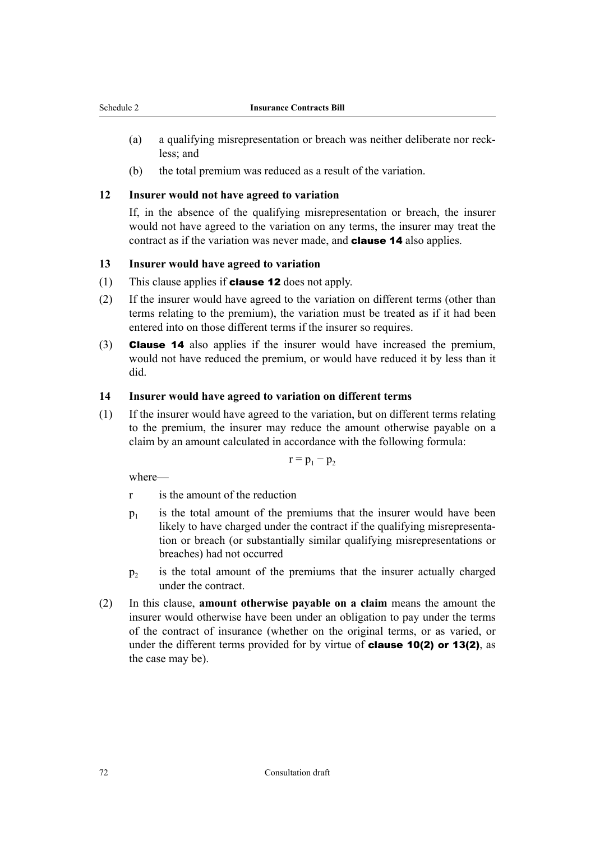- <span id="page-73-0"></span>(a) a qualifying misrepresentation or breach was neither deliberate nor reck‐ less; and
- (b) the total premium was reduced as a result of the variation.

#### **12 Insurer would not have agreed to variation**

If, in the absence of the qualifying misrepresentation or breach, the insurer would not have agreed to the variation on any terms, the insurer may treat the contract as if the variation was never made, and **clause 14** also applies.

#### **13 Insurer would have agreed to variation**

- (1) This clause applies if **clause 12** does not apply.
- (2) If the insurer would have agreed to the variation on different terms (other than terms relating to the premium), the variation must be treated as if it had been entered into on those different terms if the insurer so requires.
- (3) Clause 14 also applies if the insurer would have increased the premium, would not have reduced the premium, or would have reduced it by less than it did.

#### **14 Insurer would have agreed to variation on different terms**

(1) If the insurer would have agreed to the variation, but on different terms relating to the premium, the insurer may reduce the amount otherwise payable on a claim by an amount calculated in accordance with the following formula:

$$
r=p_1-p_2
$$

where—

- r is the amount of the reduction
- $p_1$ is the total amount of the premiums that the insurer would have been likely to have charged under the contract if the qualifying misrepresentation or breach (or substantially similar qualifying misrepresentations or breaches) had not occurred
- $p<sub>2</sub>$ is the total amount of the premiums that the insurer actually charged under the contract.
- (2) In this clause, **amount otherwise payable on a claim** means the amount the insurer would otherwise have been under an obligation to pay under the terms of the contract of insurance (whether on the original terms, or as varied, or under the different terms provided for by virtue of **[clause 10\(2\)](#page-72-0)** or 13(2), as the case may be).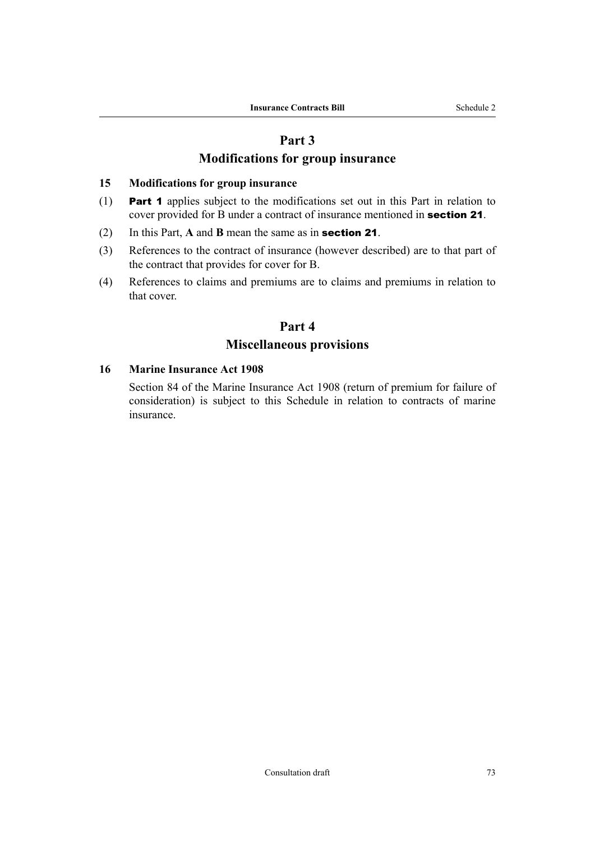# **Part 3**

# **Modifications for group insurance**

## **15 Modifications for group insurance**

- (1) Part 1 applies subject to the modifications set out in this Part in relation to cover provided for B under a contract of insurance mentioned in [section 21](#page-16-0).
- (2) In this Part, **A** and **B** mean the same as in [section 21](#page-16-0).
- (3) References to the contract of insurance (however described) are to that part of the contract that provides for cover for B.
- (4) References to claims and premiums are to claims and premiums in relation to that cover.

# **Part 4**

# **Miscellaneous provisions**

## **16 Marine Insurance Act 1908**

Section 84 of the Marine Insurance Act 1908 (return of premium for failure of consideration) is subject to this Schedule in relation to contracts of marine insurance.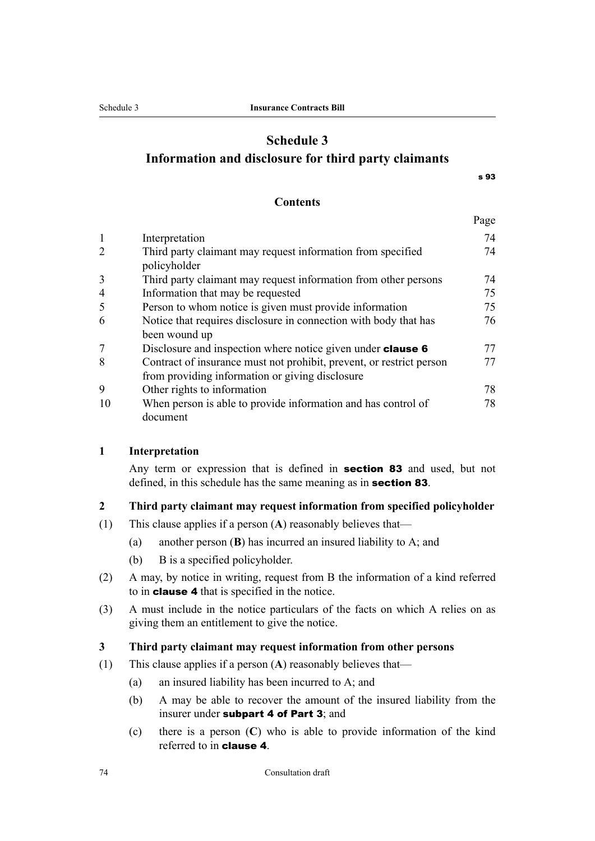# <span id="page-75-0"></span>**Schedule 3 Information and disclosure for third party claimants**

[s 93](#page-36-0)

Page

#### **Contents**

|                |                                                                                                                         | -- 0 |
|----------------|-------------------------------------------------------------------------------------------------------------------------|------|
|                | Interpretation                                                                                                          | 74   |
| 2              | Third party claimant may request information from specified<br>policyholder                                             | 74   |
| 3              | Third party claimant may request information from other persons                                                         | 74   |
| $\overline{4}$ | Information that may be requested                                                                                       | 75   |
| 5              | Person to whom notice is given must provide information                                                                 | 75   |
| 6              | Notice that requires disclosure in connection with body that has<br>been wound up                                       | 76   |
|                | Disclosure and inspection where notice given under <b>clause 6</b>                                                      | 77   |
| 8              | Contract of insurance must not prohibit, prevent, or restrict person<br>from providing information or giving disclosure | 77   |
| 9              | Other rights to information                                                                                             | 78   |
| 10             | When person is able to provide information and has control of<br>document                                               | 78   |

#### **1 Interpretation**

Any term or expression that is defined in **[section 83](#page-33-0)** and used, but not defined, in this schedule has the same meaning as in **[section 83](#page-33-0)**.

## **2 Third party claimant may request information from specified policyholder**

- (1) This clause applies if a person (**A**) reasonably believes that—
	- (a) another person (**B**) has incurred an insured liability to A; and
	- (b) B is a specified policyholder.
- (2) A may, by notice in writing, request from B the information of a kind referred to in [clause 4](#page-76-0) that is specified in the notice.
- (3) A must include in the notice particulars of the facts on which A relies on as giving them an entitlement to give the notice.

## **3 Third party claimant may request information from other persons**

- (1) This clause applies if a person (**A**) reasonably believes that—
	- (a) an insured liability has been incurred to A; and
	- (b) A may be able to recover the amount of the insured liability from the insurer under [subpart 4](#page-33-0) of [Part 3](#page-26-0); and
	- (c) there is a person (**C**) who is able to provide information of the kind referred to in [clause 4](#page-76-0).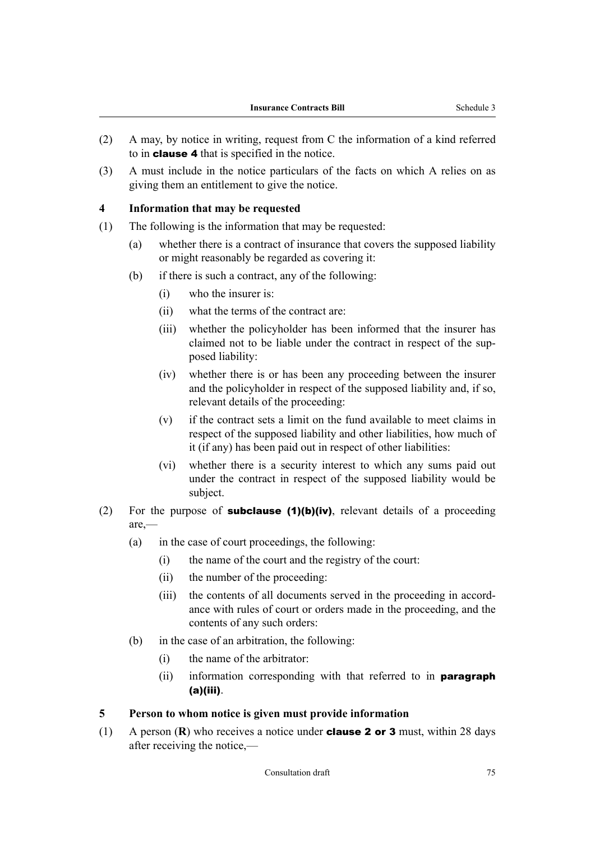- <span id="page-76-0"></span>(2) A may, by notice in writing, request from C the information of a kind referred to in clause 4 that is specified in the notice.
- (3) A must include in the notice particulars of the facts on which A relies on as giving them an entitlement to give the notice.

#### **4 Information that may be requested**

- (1) The following is the information that may be requested:
	- (a) whether there is a contract of insurance that covers the supposed liability or might reasonably be regarded as covering it:
	- (b) if there is such a contract, any of the following:
		- (i) who the insurer is:
		- (ii) what the terms of the contract are:
		- (iii) whether the policyholder has been informed that the insurer has claimed not to be liable under the contract in respect of the supposed liability:
		- (iv) whether there is or has been any proceeding between the insurer and the policyholder in respect of the supposed liability and, if so, relevant details of the proceeding:
		- (v) if the contract sets a limit on the fund available to meet claims in respect of the supposed liability and other liabilities, how much of it (if any) has been paid out in respect of other liabilities:
		- (vi) whether there is a security interest to which any sums paid out under the contract in respect of the supposed liability would be subject.
- (2) For the purpose of **subclause (1)(b)(iv)**, relevant details of a proceeding are,—
	- (a) in the case of court proceedings, the following:
		- (i) the name of the court and the registry of the court:
		- (ii) the number of the proceeding:
		- (iii) the contents of all documents served in the proceeding in accordance with rules of court or orders made in the proceeding, and the contents of any such orders:
	- (b) in the case of an arbitration, the following:
		- (i) the name of the arbitrator:
		- (ii) information corresponding with that referred to in **paragraph** (a)(iii).

#### **5 Person to whom notice is given must provide information**

(1) A person (**R**) who receives a notice under [clause 2](#page-75-0) or [3](#page-75-0) must, within 28 days after receiving the notice,—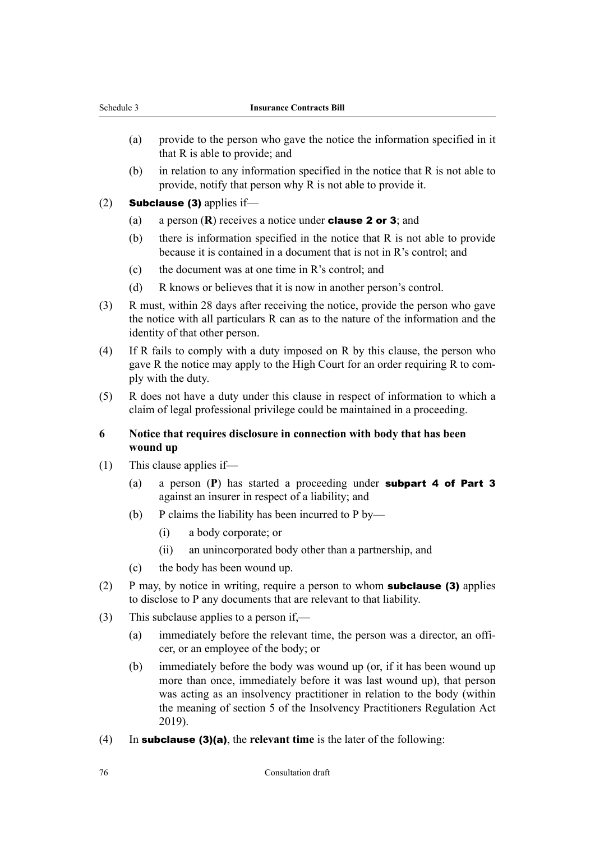- <span id="page-77-0"></span>(a) provide to the person who gave the notice the information specified in it that R is able to provide; and
- (b) in relation to any information specified in the notice that R is not able to provide, notify that person why R is not able to provide it.
- (2) **Subclause (3)** applies if—
	- (a) a person (**R**) receives a notice under [clause 2](#page-75-0) or [3](#page-75-0); and
	- (b) there is information specified in the notice that R is not able to provide because it is contained in a document that is not in R's control; and
	- (c) the document was at one time in R's control; and
	- (d) R knows or believes that it is now in another person's control.
- (3) R must, within 28 days after receiving the notice, provide the person who gave the notice with all particulars R can as to the nature of the information and the identity of that other person.
- (4) If R fails to comply with a duty imposed on R by this clause, the person who gave R the notice may apply to the High Court for an order requiring R to comply with the duty.
- (5) R does not have a duty under this clause in respect of information to which a claim of legal professional privilege could be maintained in a proceeding.

## **6 Notice that requires disclosure in connection with body that has been wound up**

- (1) This clause applies if—
	- (a) a person (**P**) has started a proceeding under [subpart 4](#page-33-0) of [Part 3](#page-26-0) against an insurer in respect of a liability; and
	- (b) P claims the liability has been incurred to  $P_{\text{by}}$ 
		- (i) a body corporate; or
		- (ii) an unincorporated body other than a partnership, and
	- (c) the body has been wound up.
- (2) P may, by notice in writing, require a person to whom **subclause (3)** applies to disclose to P any documents that are relevant to that liability.
- (3) This subclause applies to a person if,—
	- (a) immediately before the relevant time, the person was a director, an officer, or an employee of the body; or
	- (b) immediately before the body was wound up (or, if it has been wound up more than once, immediately before it was last wound up), that person was acting as an insolvency practitioner in relation to the body (within the meaning of section 5 of the Insolvency Practitioners Regulation Act 2019).
- (4) In subclause (3)(a), the **relevant time** is the later of the following: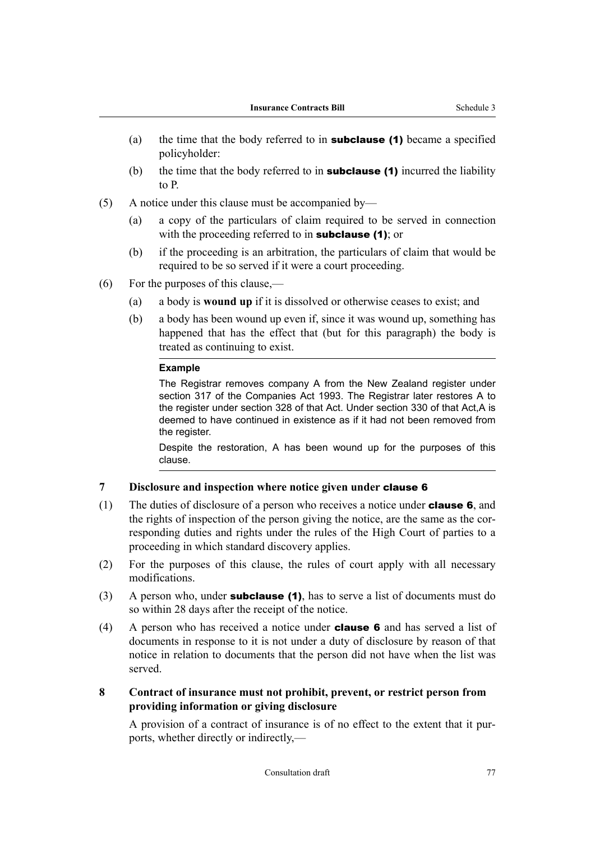- <span id="page-78-0"></span>(a) the time that the body referred to in **subclause (1)** became a specified policyholder:
- (b) the time that the body referred to in **subclause (1)** incurred the liability to P.
- (5) A notice under this clause must be accompanied by—
	- (a) a copy of the particulars of claim required to be served in connection with the proceeding referred to in **subclause** (1); or
	- (b) if the proceeding is an arbitration, the particulars of claim that would be required to be so served if it were a court proceeding.
- (6) For the purposes of this clause,—
	- (a) a body is **wound up** if it is dissolved or otherwise ceases to exist; and
	- (b) a body has been wound up even if, since it was wound up, something has happened that has the effect that (but for this paragraph) the body is treated as continuing to exist.

#### **Example**

The Registrar removes company A from the New Zealand register under section 317 of the Companies Act 1993. The Registrar later restores A to the register under section 328 of that Act. Under section 330 of that Act,A is deemed to have continued in existence as if it had not been removed from the register.

Despite the restoration, A has been wound up for the purposes of this clause.

## **7 Disclosure and inspection where notice given under** [clause 6](#page-77-0)

- (1) The duties of disclosure of a person who receives a notice under **[clause 6](#page-77-0)**, and the rights of inspection of the person giving the notice, are the same as the corresponding duties and rights under the rules of the High Court of parties to a proceeding in which standard discovery applies.
- (2) For the purposes of this clause, the rules of court apply with all necessary modifications.
- (3) A person who, under **subclause (1)**, has to serve a list of documents must do so within 28 days after the receipt of the notice.
- (4) A person who has received a notice under [clause 6](#page-77-0) and has served a list of documents in response to it is not under a duty of disclosure by reason of that notice in relation to documents that the person did not have when the list was served.
- **8 Contract of insurance must not prohibit, prevent, or restrict person from providing information or giving disclosure**

A provision of a contract of insurance is of no effect to the extent that it pur‐ ports, whether directly or indirectly,—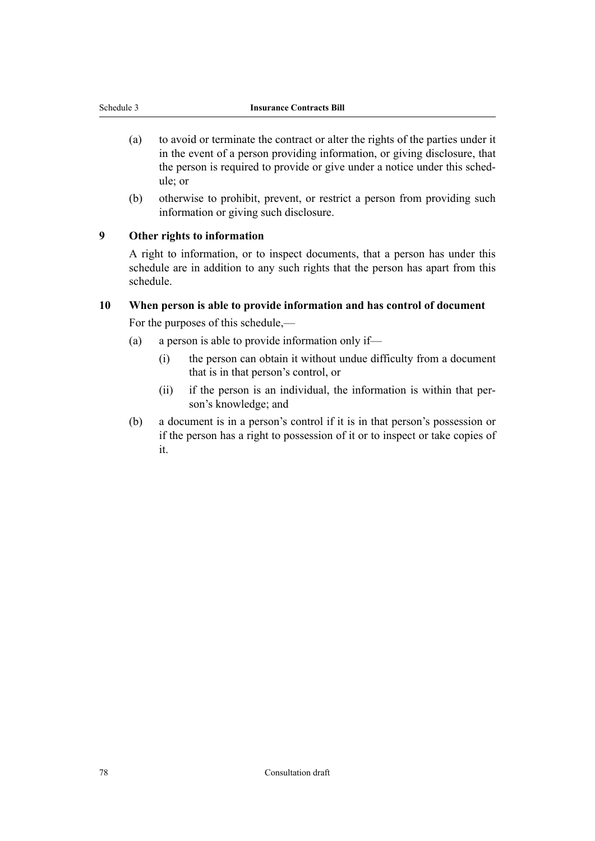- <span id="page-79-0"></span>(a) to avoid or terminate the contract or alter the rights of the parties under it in the event of a person providing information, or giving disclosure, that the person is required to provide or give under a notice under this schedule; or
- (b) otherwise to prohibit, prevent, or restrict a person from providing such information or giving such disclosure.

# **9 Other rights to information**

A right to information, or to inspect documents, that a person has under this schedule are in addition to any such rights that the person has apart from this schedule.

## **10 When person is able to provide information and has control of document**

For the purposes of this schedule,—

- (a) a person is able to provide information only if—
	- (i) the person can obtain it without undue difficulty from a document that is in that person's control, or
	- (ii) if the person is an individual, the information is within that person's knowledge; and
- (b) a document is in a person's control if it is in that person's possession or if the person has a right to possession of it or to inspect or take copies of it.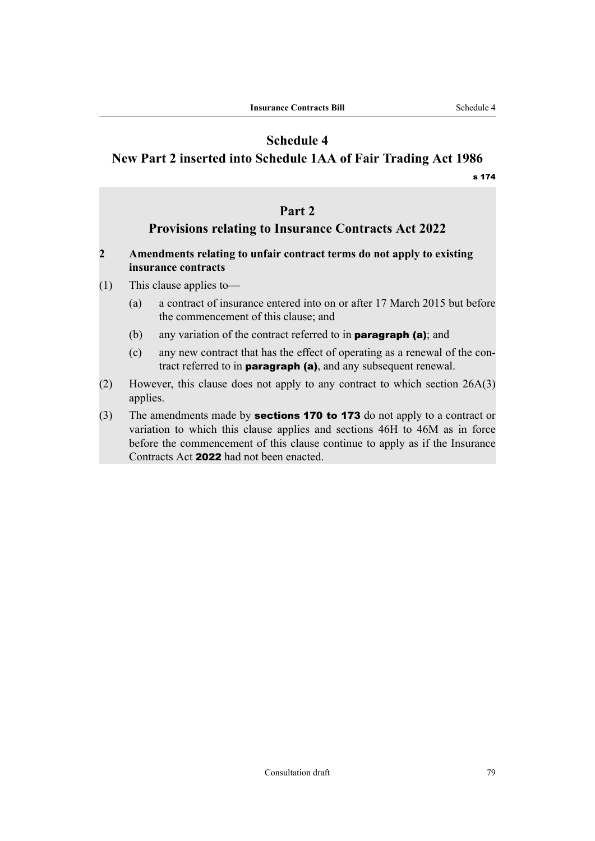# **Schedule 4**

# **New Part 2 inserted into Schedule 1AA of Fair Trading Act 1986**

[s 174](#page-63-0)

# **Part 2**

# **Provisions relating to Insurance Contracts Act 2022**

# **2 Amendments relating to unfair contract terms do not apply to existing insurance contracts**

- (1) This clause applies to—
	- (a) a contract of insurance entered into on or after 17 March 2015 but before the commencement of this clause; and
	- (b) any variation of the contract referred to in **paragraph (a)**; and
	- (c) any new contract that has the effect of operating as a renewal of the con‐ tract referred to in **paragraph (a)**, and any subsequent renewal.
- (2) However, this clause does not apply to any contract to which section 26A(3) applies.
- (3) The amendments made by **[sections 170](#page-61-0) to [173](#page-63-0)** do not apply to a contract or variation to which this clause applies and sections 46H to 46M as in force before the commencement of this clause continue to apply as if the Insurance Contracts Act 2022 had not been enacted.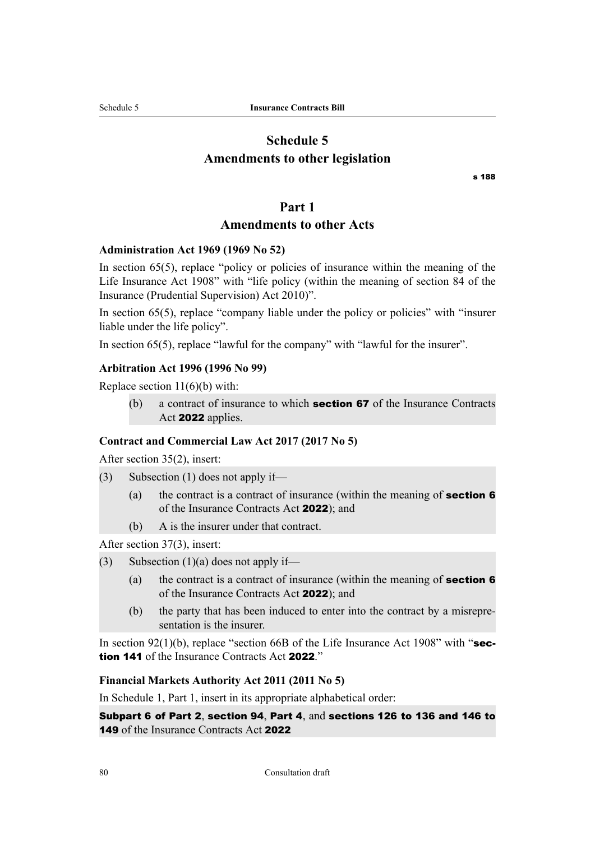# **Schedule 5 Amendments to other legislation**

[s 188](#page-66-0)

#### **Part 1**

# **Amendments to other Acts**

#### **Administration Act 1969 (1969 No 52)**

In section 65(5), replace "policy or policies of insurance within the meaning of the Life Insurance Act 1908" with "life policy (within the meaning of section 84 of the Insurance (Prudential Supervision) Act 2010)".

In section 65(5), replace "company liable under the policy or policies" with "insurer liable under the life policy".

In section 65(5), replace "lawful for the company" with "lawful for the insurer".

# **Arbitration Act 1996 (1996 No 99)**

Replace section  $11(6)(b)$  with:

(b) a contract of insurance to which **[section 67](#page-26-0)** of the Insurance Contracts Act 2022 applies.

#### **Contract and Commercial Law Act 2017 (2017 No 5)**

After section 35(2), insert:

(3) Subsection (1) does not apply if—

- (a) the contract is a contract of insurance (within the meaning of **[section 6](#page-12-0)** of the Insurance Contracts Act 2022); and
- (b) A is the insurer under that contract.

After section 37(3), insert:

- (3) Subsection  $(1)(a)$  does not apply if—
	- (a) the contract is a contract of insurance (within the meaning of **[section 6](#page-12-0)** of the Insurance Contracts Act 2022); and
	- (b) the party that has been induced to enter into the contract by a misrepre‐ sentation is the insurer.

In section 92(1)(b), replace "section 66B of the Life Insurance Act 1908" with "[sec](#page-51-0)[tion 141](#page-51-0) of the Insurance Contracts Act 2022."

## **Financial Markets Authority Act 2011 (2011 No 5)**

In Schedule 1, Part 1, insert in its appropriate alphabetical order:

[Subpart 6](#page-23-0) of [Part 2](#page-13-0), [section 94](#page-36-0), [Part 4](#page-37-0), and [sections 126](#page-47-0) to [136](#page-50-0) and [146](#page-53-0) to [149](#page-54-0) of the Insurance Contracts Act 2022